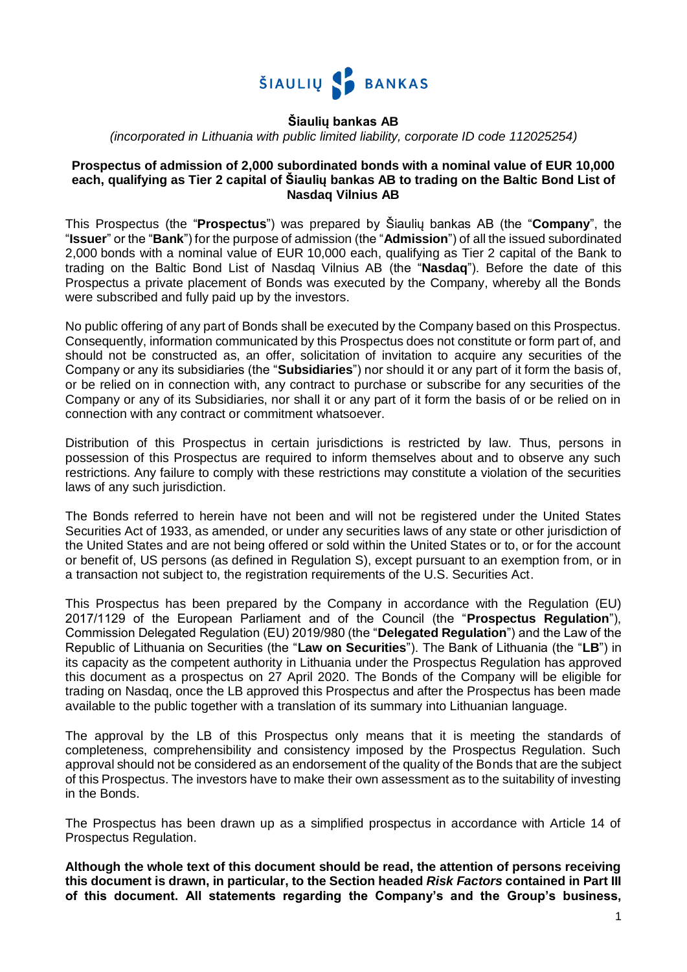

## **Šiaulių bankas AB**

*(incorporated in Lithuania with public limited liability, corporate ID code 112025254)*

#### **Prospectus of admission of 2,000 subordinated bonds with a nominal value of EUR 10,000 each, qualifying as Tier 2 capital of Šiaulių bankas AB to trading on the Baltic Bond List of Nasdaq Vilnius AB**

This Prospectus (the "**Prospectus**") was prepared by Šiaulių bankas AB (the "**Company**", the "**Issuer**" or the "**Bank**") for the purpose of admission (the "**Admission**") of all the issued subordinated 2,000 bonds with a nominal value of EUR 10,000 each, qualifying as Tier 2 capital of the Bank to trading on the Baltic Bond List of Nasdaq Vilnius AB (the "**Nasdaq**"). Before the date of this Prospectus a private placement of Bonds was executed by the Company, whereby all the Bonds were subscribed and fully paid up by the investors.

No public offering of any part of Bonds shall be executed by the Company based on this Prospectus. Consequently, information communicated by this Prospectus does not constitute or form part of, and should not be constructed as, an offer, solicitation of invitation to acquire any securities of the Company or any its subsidiaries (the "**Subsidiaries**") nor should it or any part of it form the basis of, or be relied on in connection with, any contract to purchase or subscribe for any securities of the Company or any of its Subsidiaries, nor shall it or any part of it form the basis of or be relied on in connection with any contract or commitment whatsoever.

Distribution of this Prospectus in certain jurisdictions is restricted by law. Thus, persons in possession of this Prospectus are required to inform themselves about and to observe any such restrictions. Any failure to comply with these restrictions may constitute a violation of the securities laws of any such jurisdiction.

The Bonds referred to herein have not been and will not be registered under the United States Securities Act of 1933, as amended, or under any securities laws of any state or other jurisdiction of the United States and are not being offered or sold within the United States or to, or for the account or benefit of, US persons (as defined in Regulation S), except pursuant to an exemption from, or in a transaction not subject to, the registration requirements of the U.S. Securities Act.

This Prospectus has been prepared by the Company in accordance with the Regulation (EU) 2017/1129 of the European Parliament and of the Council (the "**Prospectus Regulation**"), Commission Delegated Regulation (EU) 2019/980 (the "**Delegated Regulation**") and the Law of the Republic of Lithuania on Securities (the "**Law on Securities**"). The Bank of Lithuania (the "**LB**") in its capacity as the competent authority in Lithuania under the Prospectus Regulation has approved this document as a prospectus on 27 April 2020. The Bonds of the Company will be eligible for trading on Nasdaq, once the LB approved this Prospectus and after the Prospectus has been made available to the public together with a translation of its summary into Lithuanian language.

The approval by the LB of this Prospectus only means that it is meeting the standards of completeness, comprehensibility and consistency imposed by the Prospectus Regulation. Such approval should not be considered as an endorsement of the quality of the Bonds that are the subject of this Prospectus. The investors have to make their own assessment as to the suitability of investing in the Bonds.

The Prospectus has been drawn up as a simplified prospectus in accordance with Article 14 of Prospectus Regulation.

**Although the whole text of this document should be read, the attention of persons receiving this document is drawn, in particular, to the Section headed** *Risk Factors* **contained in Part III of this document. All statements regarding the Company's and the Group's business,**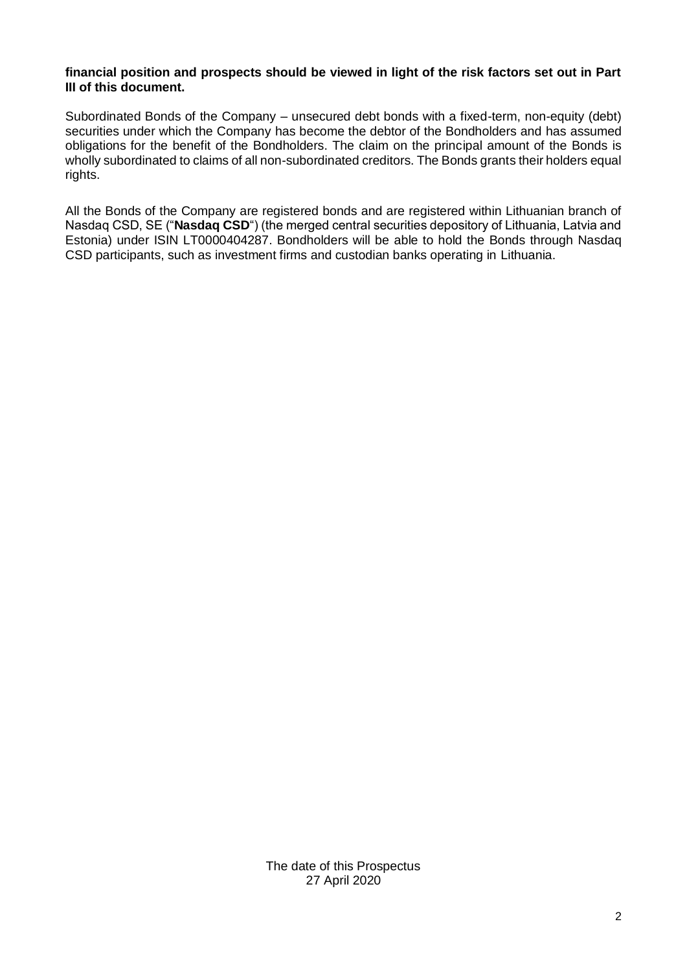#### **financial position and prospects should be viewed in light of the risk factors set out in Part III of this document.**

Subordinated Bonds of the Company – unsecured debt bonds with a fixed-term, non-equity (debt) securities under which the Company has become the debtor of the Bondholders and has assumed obligations for the benefit of the Bondholders. The claim on the principal amount of the Bonds is wholly subordinated to claims of all non-subordinated creditors. The Bonds grants their holders equal rights.

All the Bonds of the Company are registered bonds and are registered within Lithuanian branch of Nasdaq CSD, SE ("**Nasdaq CSD**") (the merged central securities depository of Lithuania, Latvia and Estonia) under ISIN LT0000404287. Bondholders will be able to hold the Bonds through Nasdaq CSD participants, such as investment firms and custodian banks operating in Lithuania.

> The date of this Prospectus 27 April 2020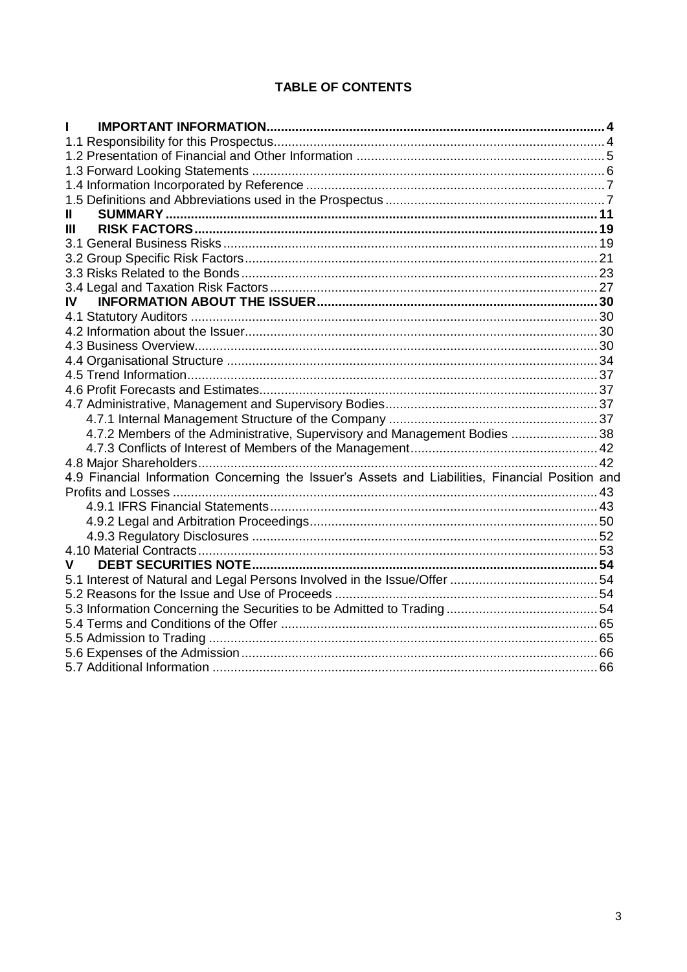# TABLE OF CONTENTS

| Ш                                                                                                |  |
|--------------------------------------------------------------------------------------------------|--|
| Ш                                                                                                |  |
|                                                                                                  |  |
|                                                                                                  |  |
|                                                                                                  |  |
|                                                                                                  |  |
| IV                                                                                               |  |
|                                                                                                  |  |
|                                                                                                  |  |
|                                                                                                  |  |
|                                                                                                  |  |
|                                                                                                  |  |
|                                                                                                  |  |
|                                                                                                  |  |
|                                                                                                  |  |
| 4.7.2 Members of the Administrative, Supervisory and Management Bodies  38                       |  |
|                                                                                                  |  |
|                                                                                                  |  |
| 4.9 Financial Information Concerning the Issuer's Assets and Liabilities, Financial Position and |  |
|                                                                                                  |  |
|                                                                                                  |  |
|                                                                                                  |  |
|                                                                                                  |  |
|                                                                                                  |  |
| v                                                                                                |  |
|                                                                                                  |  |
|                                                                                                  |  |
|                                                                                                  |  |
|                                                                                                  |  |
|                                                                                                  |  |
|                                                                                                  |  |
|                                                                                                  |  |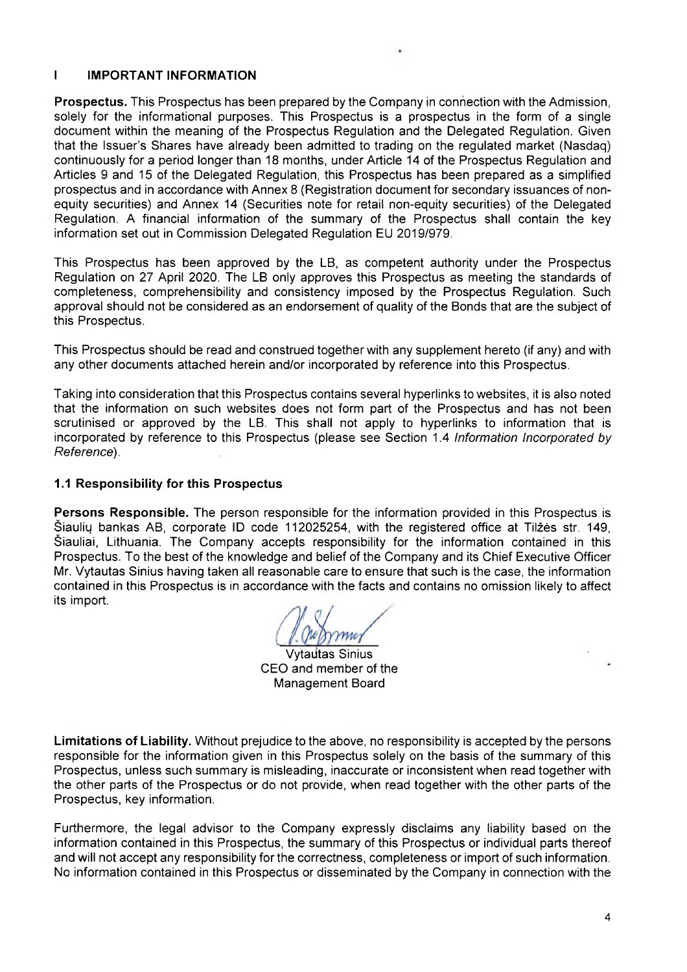#### $\mathbf{I}$ **IMPORTANT INFORMATION**

**Prospectus.** This Prospectus has been prepared by the Company in connection with the Admission. solely for the informational purposes. This Prospectus is a prospectus in the form of a single document within the meaning of the Prospectus Regulation and the Delegated Regulation. Given that the Issuer's Shares have already been admitted to trading on the regulated market (Nasdag) continuously for a period longer than 18 months, under Article 14 of the Prospectus Regulation and Articles 9 and 15 of the Delegated Regulation, this Prospectus has been prepared as a simplified prospectus and in accordance with Annex 8 (Registration document for secondary issuances of nonequity securities) and Annex 14 (Securities note for retail non-equity securities) of the Delegated Regulation. A financial information of the summary of the Prospectus shall contain the key information set out in Commission Delegated Regulation EU 2019/979.

This Prospectus has been approved by the LB, as competent authority under the Prospectus Regulation on 27 April 2020. The LB only approves this Prospectus as meeting the standards of completeness, comprehensibility and consistency imposed by the Prospectus Regulation. Such approval should not be considered as an endorsement of quality of the Bonds that are the subject of this Prospectus.

This Prospectus should be read and construed together with any supplement hereto (if any) and with any other documents attached herein and/or incorporated by reference into this Prospectus.

Taking into consideration that this Prospectus contains several hyperlinks to websites, it is also noted that the information on such websites does not form part of the Prospectus and has not been scrutinised or approved by the LB. This shall not apply to hyperlinks to information that is incorporated by reference to this Prospectus (please see Section 1.4 Information Incorporated by Reference).

#### 1.1 Responsibility for this Prospectus

Persons Responsible. The person responsible for the information provided in this Prospectus is Šiaulių bankas AB, corporate ID code 112025254, with the registered office at Tilžės str. 149, Šiauliai, Lithuania. The Company accepts responsibility for the information contained in this Prospectus. To the best of the knowledge and belief of the Company and its Chief Executive Officer Mr. Vytautas Sinius having taken all reasonable care to ensure that such is the case, the information contained in this Prospectus is in accordance with the facts and contains no omission likely to affect its import.

**Vytautas Sinius** CEO and member of the **Management Board** 

Limitations of Liability. Without prejudice to the above, no responsibility is accepted by the persons responsible for the information given in this Prospectus solely on the basis of the summary of this Prospectus, unless such summary is misleading, inaccurate or inconsistent when read together with the other parts of the Prospectus or do not provide, when read together with the other parts of the Prospectus, key information.

Furthermore, the legal advisor to the Company expressly disclaims any liability based on the information contained in this Prospectus, the summary of this Prospectus or individual parts thereof and will not accept any responsibility for the correctness, completeness or import of such information. No information contained in this Prospectus or disseminated by the Company in connection with the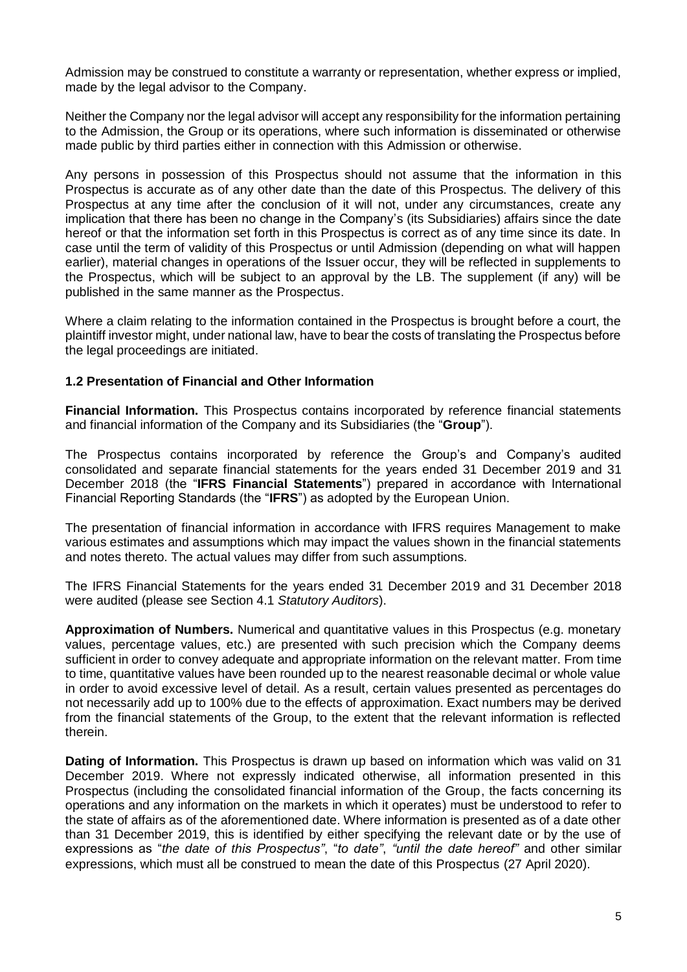Admission may be construed to constitute a warranty or representation, whether express or implied, made by the legal advisor to the Company.

Neither the Company nor the legal advisor will accept any responsibility for the information pertaining to the Admission, the Group or its operations, where such information is disseminated or otherwise made public by third parties either in connection with this Admission or otherwise.

Any persons in possession of this Prospectus should not assume that the information in this Prospectus is accurate as of any other date than the date of this Prospectus. The delivery of this Prospectus at any time after the conclusion of it will not, under any circumstances, create any implication that there has been no change in the Company's (its Subsidiaries) affairs since the date hereof or that the information set forth in this Prospectus is correct as of any time since its date. In case until the term of validity of this Prospectus or until Admission (depending on what will happen earlier), material changes in operations of the Issuer occur, they will be reflected in supplements to the Prospectus, which will be subject to an approval by the LB. The supplement (if any) will be published in the same manner as the Prospectus.

Where a claim relating to the information contained in the Prospectus is brought before a court, the plaintiff investor might, under national law, have to bear the costs of translating the Prospectus before the legal proceedings are initiated.

### <span id="page-4-0"></span>**1.2 Presentation of Financial and Other Information**

**Financial Information.** This Prospectus contains incorporated by reference financial statements and financial information of the Company and its Subsidiaries (the "**Group**").

The Prospectus contains incorporated by reference the Group's and Company's audited consolidated and separate financial statements for the years ended 31 December 2019 and 31 December 2018 (the "**IFRS Financial Statements**") prepared in accordance with International Financial Reporting Standards (the "**IFRS**") as adopted by the European Union.

The presentation of financial information in accordance with IFRS requires Management to make various estimates and assumptions which may impact the values shown in the financial statements and notes thereto. The actual values may differ from such assumptions.

The IFRS Financial Statements for the years ended 31 December 2019 and 31 December 2018 were audited (please see Section 4.1 *Statutory Auditors*).

**Approximation of Numbers.** Numerical and quantitative values in this Prospectus (e.g. monetary values, percentage values, etc.) are presented with such precision which the Company deems sufficient in order to convey adequate and appropriate information on the relevant matter. From time to time, quantitative values have been rounded up to the nearest reasonable decimal or whole value in order to avoid excessive level of detail. As a result, certain values presented as percentages do not necessarily add up to 100% due to the effects of approximation. Exact numbers may be derived from the financial statements of the Group, to the extent that the relevant information is reflected therein.

**Dating of Information.** This Prospectus is drawn up based on information which was valid on 31 December 2019. Where not expressly indicated otherwise, all information presented in this Prospectus (including the consolidated financial information of the Group, the facts concerning its operations and any information on the markets in which it operates) must be understood to refer to the state of affairs as of the aforementioned date. Where information is presented as of a date other than 31 December 2019, this is identified by either specifying the relevant date or by the use of expressions as "*the date of this Prospectus"*, "*to date"*, *"until the date hereof"* and other similar expressions, which must all be construed to mean the date of this Prospectus (27 April 2020).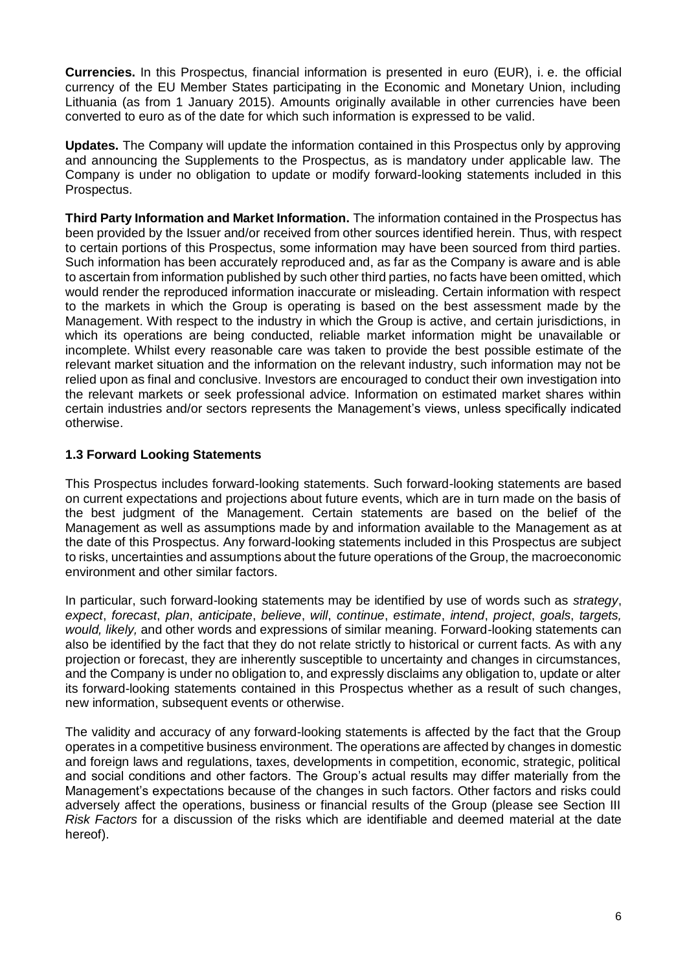**Currencies.** In this Prospectus, financial information is presented in euro (EUR), i. e. the official currency of the EU Member States participating in the Economic and Monetary Union, including Lithuania (as from 1 January 2015). Amounts originally available in other currencies have been converted to euro as of the date for which such information is expressed to be valid.

**Updates.** The Company will update the information contained in this Prospectus only by approving and announcing the Supplements to the Prospectus, as is mandatory under applicable law. The Company is under no obligation to update or modify forward-looking statements included in this Prospectus.

**Third Party Information and Market Information.** The information contained in the Prospectus has been provided by the Issuer and/or received from other sources identified herein. Thus, with respect to certain portions of this Prospectus, some information may have been sourced from third parties. Such information has been accurately reproduced and, as far as the Company is aware and is able to ascertain from information published by such other third parties, no facts have been omitted, which would render the reproduced information inaccurate or misleading. Certain information with respect to the markets in which the Group is operating is based on the best assessment made by the Management. With respect to the industry in which the Group is active, and certain jurisdictions, in which its operations are being conducted, reliable market information might be unavailable or incomplete. Whilst every reasonable care was taken to provide the best possible estimate of the relevant market situation and the information on the relevant industry, such information may not be relied upon as final and conclusive. Investors are encouraged to conduct their own investigation into the relevant markets or seek professional advice. Information on estimated market shares within certain industries and/or sectors represents the Management's views, unless specifically indicated otherwise.

## <span id="page-5-0"></span>**1.3 Forward Looking Statements**

This Prospectus includes forward-looking statements. Such forward-looking statements are based on current expectations and projections about future events, which are in turn made on the basis of the best judgment of the Management. Certain statements are based on the belief of the Management as well as assumptions made by and information available to the Management as at the date of this Prospectus. Any forward-looking statements included in this Prospectus are subject to risks, uncertainties and assumptions about the future operations of the Group, the macroeconomic environment and other similar factors.

In particular, such forward-looking statements may be identified by use of words such as *strategy*, *expect*, *forecast*, *plan*, *anticipate*, *believe*, *will*, *continue*, *estimate*, *intend*, *project*, *goals*, *targets, would, likely,* and other words and expressions of similar meaning. Forward-looking statements can also be identified by the fact that they do not relate strictly to historical or current facts. As with any projection or forecast, they are inherently susceptible to uncertainty and changes in circumstances, and the Company is under no obligation to, and expressly disclaims any obligation to, update or alter its forward-looking statements contained in this Prospectus whether as a result of such changes, new information, subsequent events or otherwise.

The validity and accuracy of any forward-looking statements is affected by the fact that the Group operates in a competitive business environment. The operations are affected by changes in domestic and foreign laws and regulations, taxes, developments in competition, economic, strategic, political and social conditions and other factors. The Group's actual results may differ materially from the Management's expectations because of the changes in such factors. Other factors and risks could adversely affect the operations, business or financial results of the Group (please see Section III *Risk Factors* for a discussion of the risks which are identifiable and deemed material at the date hereof).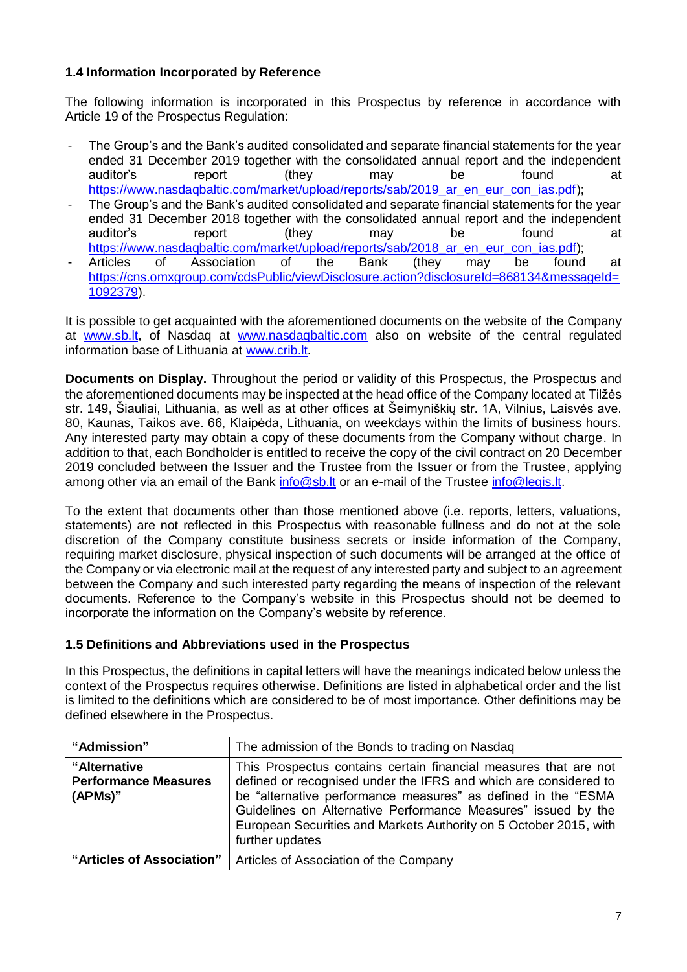# <span id="page-6-0"></span>**1.4 Information Incorporated by Reference**

The following information is incorporated in this Prospectus by reference in accordance with Article 19 of the Prospectus Regulation:

- The Group's and the Bank's audited consolidated and separate financial statements for the year ended 31 December 2019 together with the consolidated annual report and the independent auditor's report (they may be found at https://www.nasdaqbaltic.com/market/upload/reports/sab/2019 ar en eur con ias.pdf);
- The Group's and the Bank's audited consolidated and separate financial statements for the year ended 31 December 2018 together with the consolidated annual report and the independent auditor's report (they may be found at https://www.nasdaqbaltic.com/market/upload/reports/sab/2018 ar en eur con jas.pdf);
- Articles of Association of the Bank (they may be found at [https://cns.omxgroup.com/cdsPublic/viewDisclosure.action?disclosureId=868134&messageId=](https://cns.omxgroup.com/cdsPublic/viewDisclosure.action?disclosureId=868134&messageId=1092379) [1092379\)](https://cns.omxgroup.com/cdsPublic/viewDisclosure.action?disclosureId=868134&messageId=1092379).

It is possible to get acquainted with the aforementioned documents on the website of the Company at [www.sb.lt,](http://www.sb.lt/) of Nasdaq at [www.nasdaqbaltic.com](http://www.nasdaqbaltic.com/) also on website of the central regulated information base of Lithuania at [www.crib.lt.](http://www.crib.lt/)

**Documents on Display.** Throughout the period or validity of this Prospectus, the Prospectus and the aforementioned documents may be inspected at the head office of the Company located at Tilžės str. 149, Šiauliai, Lithuania, as well as at other offices at Šeimyniškių str. 1A, Vilnius, Laisvės ave. 80, Kaunas, Taikos ave. 66, Klaipėda, Lithuania, on weekdays within the limits of business hours. Any interested party may obtain a copy of these documents from the Company without charge. In addition to that, each Bondholder is entitled to receive the copy of the civil contract on 20 December 2019 concluded between the Issuer and the Trustee from the Issuer or from the Trustee, applying among other via an email of the Bank [info@sb.lt](mailto:info@sb.lt) or an e-mail of the Trustee [info@legis.lt.](mailto:info@legis.lt)

To the extent that documents other than those mentioned above (i.e. reports, letters, valuations, statements) are not reflected in this Prospectus with reasonable fullness and do not at the sole discretion of the Company constitute business secrets or inside information of the Company, requiring market disclosure, physical inspection of such documents will be arranged at the office of the Company or via electronic mail at the request of any interested party and subject to an agreement between the Company and such interested party regarding the means of inspection of the relevant documents. Reference to the Company's website in this Prospectus should not be deemed to incorporate the information on the Company's website by reference.

### <span id="page-6-1"></span>**1.5 Definitions and Abbreviations used in the Prospectus**

In this Prospectus, the definitions in capital letters will have the meanings indicated below unless the context of the Prospectus requires otherwise. Definitions are listed in alphabetical order and the list is limited to the definitions which are considered to be of most importance. Other definitions may be defined elsewhere in the Prospectus.

| "Admission"                                            | The admission of the Bonds to trading on Nasdaq                                                                                                                                                                                                                                                                                                                |
|--------------------------------------------------------|----------------------------------------------------------------------------------------------------------------------------------------------------------------------------------------------------------------------------------------------------------------------------------------------------------------------------------------------------------------|
| "Alternative<br><b>Performance Measures</b><br>(APMs)" | This Prospectus contains certain financial measures that are not<br>defined or recognised under the IFRS and which are considered to<br>be "alternative performance measures" as defined in the "ESMA<br>Guidelines on Alternative Performance Measures" issued by the<br>European Securities and Markets Authority on 5 October 2015, with<br>further updates |
| "Articles of Association"                              | Articles of Association of the Company                                                                                                                                                                                                                                                                                                                         |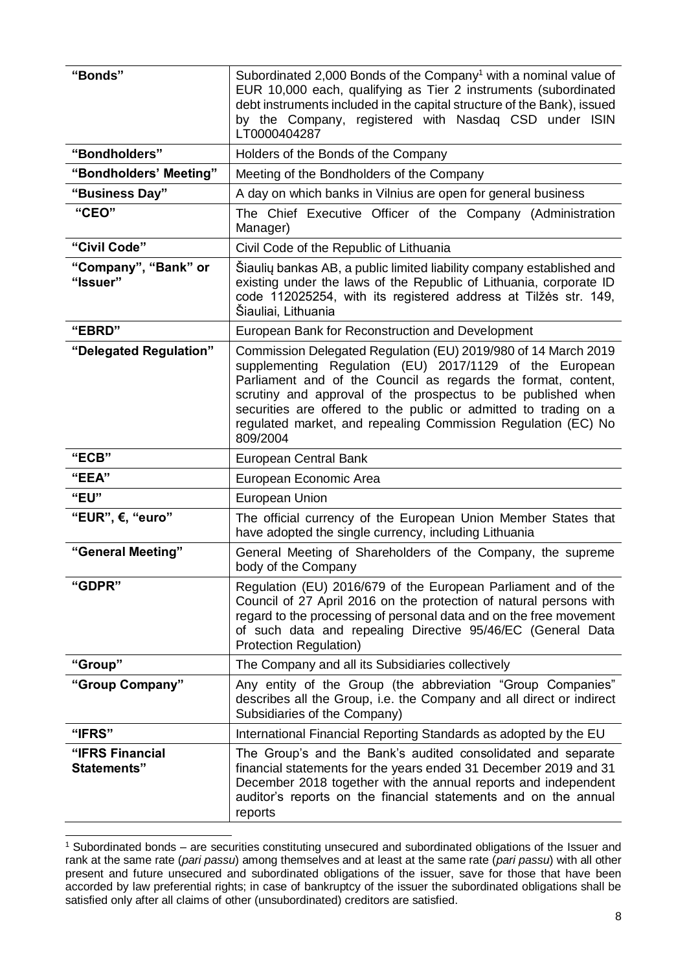| "Bonds"                               | Subordinated 2,000 Bonds of the Company <sup>1</sup> with a nominal value of<br>EUR 10,000 each, qualifying as Tier 2 instruments (subordinated<br>debt instruments included in the capital structure of the Bank), issued<br>by the Company, registered with Nasdaq CSD under ISIN<br>LT0000404287                                                                                                         |  |
|---------------------------------------|-------------------------------------------------------------------------------------------------------------------------------------------------------------------------------------------------------------------------------------------------------------------------------------------------------------------------------------------------------------------------------------------------------------|--|
| "Bondholders"                         | Holders of the Bonds of the Company                                                                                                                                                                                                                                                                                                                                                                         |  |
| "Bondholders' Meeting"                | Meeting of the Bondholders of the Company                                                                                                                                                                                                                                                                                                                                                                   |  |
| "Business Day"                        | A day on which banks in Vilnius are open for general business                                                                                                                                                                                                                                                                                                                                               |  |
| "CEO"                                 | The Chief Executive Officer of the Company (Administration<br>Manager)                                                                                                                                                                                                                                                                                                                                      |  |
| "Civil Code"                          | Civil Code of the Republic of Lithuania                                                                                                                                                                                                                                                                                                                                                                     |  |
| "Company", "Bank" or<br>"Issuer"      | Šiaulių bankas AB, a public limited liability company established and<br>existing under the laws of the Republic of Lithuania, corporate ID<br>code 112025254, with its registered address at Tilžės str. 149,<br>Šiauliai, Lithuania                                                                                                                                                                       |  |
| "EBRD"                                | European Bank for Reconstruction and Development                                                                                                                                                                                                                                                                                                                                                            |  |
| "Delegated Regulation"                | Commission Delegated Regulation (EU) 2019/980 of 14 March 2019<br>supplementing Regulation (EU) 2017/1129 of the European<br>Parliament and of the Council as regards the format, content,<br>scrutiny and approval of the prospectus to be published when<br>securities are offered to the public or admitted to trading on a<br>regulated market, and repealing Commission Regulation (EC) No<br>809/2004 |  |
| "ECB"                                 | European Central Bank                                                                                                                                                                                                                                                                                                                                                                                       |  |
| "EEA"                                 | European Economic Area                                                                                                                                                                                                                                                                                                                                                                                      |  |
| "EU"                                  | <b>European Union</b>                                                                                                                                                                                                                                                                                                                                                                                       |  |
| "EUR", $\epsilon$ , "euro"            | The official currency of the European Union Member States that<br>have adopted the single currency, including Lithuania                                                                                                                                                                                                                                                                                     |  |
| "General Meeting"                     | General Meeting of Shareholders of the Company, the supreme<br>body of the Company                                                                                                                                                                                                                                                                                                                          |  |
| "GDPR"                                | Regulation (EU) 2016/679 of the European Parliament and of the<br>Council of 27 April 2016 on the protection of natural persons with<br>regard to the processing of personal data and on the free movement<br>of such data and repealing Directive 95/46/EC (General Data<br>Protection Regulation)                                                                                                         |  |
| "Group"                               | The Company and all its Subsidiaries collectively                                                                                                                                                                                                                                                                                                                                                           |  |
| "Group Company"                       | Any entity of the Group (the abbreviation "Group Companies"<br>describes all the Group, i.e. the Company and all direct or indirect<br>Subsidiaries of the Company)                                                                                                                                                                                                                                         |  |
| "IFRS"                                | International Financial Reporting Standards as adopted by the EU                                                                                                                                                                                                                                                                                                                                            |  |
| "IFRS Financial<br><b>Statements"</b> | The Group's and the Bank's audited consolidated and separate<br>financial statements for the years ended 31 December 2019 and 31<br>December 2018 together with the annual reports and independent<br>auditor's reports on the financial statements and on the annual<br>reports                                                                                                                            |  |

<sup>-</sup><sup>1</sup> Subordinated bonds – are securities constituting unsecured and subordinated obligations of the Issuer and rank at the same rate (*pari passu*) among themselves and at least at the same rate (*pari passu*) with all other present and future unsecured and subordinated obligations of the issuer, save for those that have been accorded by law preferential rights; in case of bankruptcy of the issuer the subordinated obligations shall be satisfied only after all claims of other (unsubordinated) creditors are satisfied.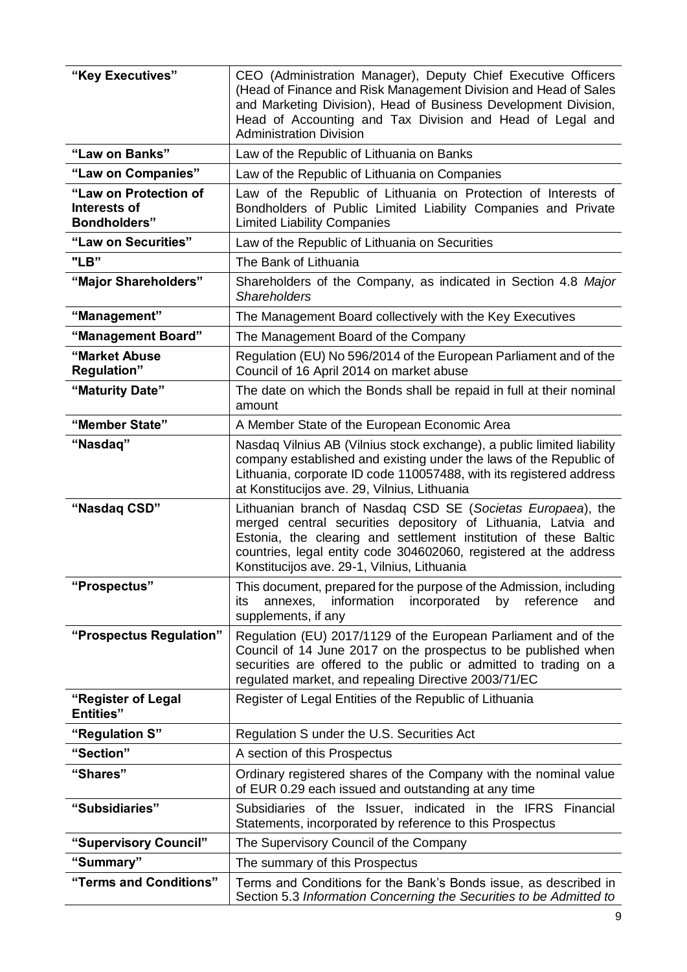| "Key Executives"                                             | CEO (Administration Manager), Deputy Chief Executive Officers<br>(Head of Finance and Risk Management Division and Head of Sales<br>and Marketing Division), Head of Business Development Division,<br>Head of Accounting and Tax Division and Head of Legal and<br><b>Administration Division</b>                   |  |
|--------------------------------------------------------------|----------------------------------------------------------------------------------------------------------------------------------------------------------------------------------------------------------------------------------------------------------------------------------------------------------------------|--|
| "Law on Banks"                                               | Law of the Republic of Lithuania on Banks                                                                                                                                                                                                                                                                            |  |
| "Law on Companies"                                           | Law of the Republic of Lithuania on Companies                                                                                                                                                                                                                                                                        |  |
| "Law on Protection of<br>Interests of<br><b>Bondholders"</b> | Law of the Republic of Lithuania on Protection of Interests of<br>Bondholders of Public Limited Liability Companies and Private<br><b>Limited Liability Companies</b>                                                                                                                                                |  |
| "Law on Securities"                                          | Law of the Republic of Lithuania on Securities                                                                                                                                                                                                                                                                       |  |
| "LB"                                                         | The Bank of Lithuania                                                                                                                                                                                                                                                                                                |  |
| "Major Shareholders"                                         | Shareholders of the Company, as indicated in Section 4.8 Major<br><b>Shareholders</b>                                                                                                                                                                                                                                |  |
| "Management"                                                 | The Management Board collectively with the Key Executives                                                                                                                                                                                                                                                            |  |
| "Management Board"                                           | The Management Board of the Company                                                                                                                                                                                                                                                                                  |  |
| "Market Abuse<br><b>Regulation"</b>                          | Regulation (EU) No 596/2014 of the European Parliament and of the<br>Council of 16 April 2014 on market abuse                                                                                                                                                                                                        |  |
| "Maturity Date"                                              | The date on which the Bonds shall be repaid in full at their nominal<br>amount                                                                                                                                                                                                                                       |  |
| "Member State"                                               | A Member State of the European Economic Area                                                                                                                                                                                                                                                                         |  |
| "Nasdaq"                                                     | Nasdaq Vilnius AB (Vilnius stock exchange), a public limited liability<br>company established and existing under the laws of the Republic of<br>Lithuania, corporate ID code 110057488, with its registered address<br>at Konstitucijos ave. 29, Vilnius, Lithuania                                                  |  |
| "Nasdaq CSD"                                                 | Lithuanian branch of Nasdaq CSD SE (Societas Europaea), the<br>merged central securities depository of Lithuania, Latvia and<br>Estonia, the clearing and settlement institution of these Baltic<br>countries, legal entity code 304602060, registered at the address<br>Konstitucijos ave. 29-1, Vilnius, Lithuania |  |
| "Prospectus"                                                 | This document, prepared for the purpose of the Admission, including<br>information<br>incorporated<br>by<br>reference<br>annexes,<br>and<br>its<br>supplements, if any                                                                                                                                               |  |
| "Prospectus Regulation"                                      | Regulation (EU) 2017/1129 of the European Parliament and of the<br>Council of 14 June 2017 on the prospectus to be published when<br>securities are offered to the public or admitted to trading on a<br>regulated market, and repealing Directive 2003/71/EC                                                        |  |
| "Register of Legal<br><b>Entities</b> "                      | Register of Legal Entities of the Republic of Lithuania                                                                                                                                                                                                                                                              |  |
| "Regulation S"                                               | Regulation S under the U.S. Securities Act                                                                                                                                                                                                                                                                           |  |
| "Section"                                                    | A section of this Prospectus                                                                                                                                                                                                                                                                                         |  |
| "Shares"                                                     | Ordinary registered shares of the Company with the nominal value<br>of EUR 0.29 each issued and outstanding at any time                                                                                                                                                                                              |  |
| "Subsidiaries"                                               | Subsidiaries of the Issuer, indicated in the IFRS<br>Financial<br>Statements, incorporated by reference to this Prospectus                                                                                                                                                                                           |  |
| "Supervisory Council"                                        | The Supervisory Council of the Company                                                                                                                                                                                                                                                                               |  |
| "Summary"                                                    | The summary of this Prospectus                                                                                                                                                                                                                                                                                       |  |
| "Terms and Conditions"                                       | Terms and Conditions for the Bank's Bonds issue, as described in<br>Section 5.3 Information Concerning the Securities to be Admitted to                                                                                                                                                                              |  |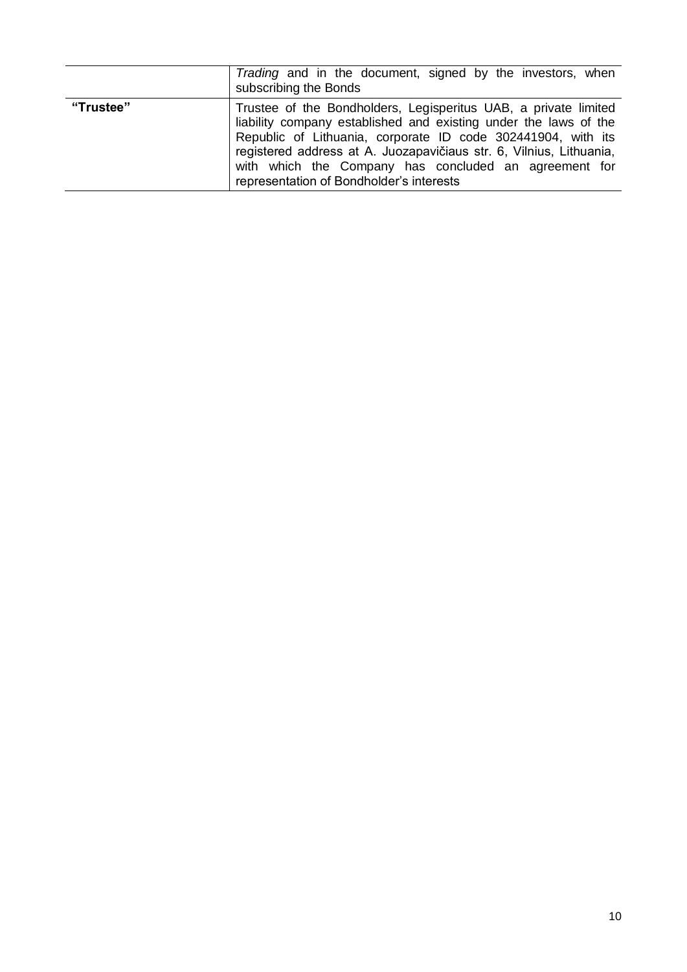|           | Trading and in the document, signed by the investors, when<br>subscribing the Bonds                                                                                                                                                                                                                                                                                             |
|-----------|---------------------------------------------------------------------------------------------------------------------------------------------------------------------------------------------------------------------------------------------------------------------------------------------------------------------------------------------------------------------------------|
| "Trustee" | Trustee of the Bondholders, Legisperitus UAB, a private limited<br>liability company established and existing under the laws of the<br>Republic of Lithuania, corporate ID code 302441904, with its<br>registered address at A. Juozapavičiaus str. 6, Vilnius, Lithuania,<br>with which the Company has concluded an agreement for<br>representation of Bondholder's interests |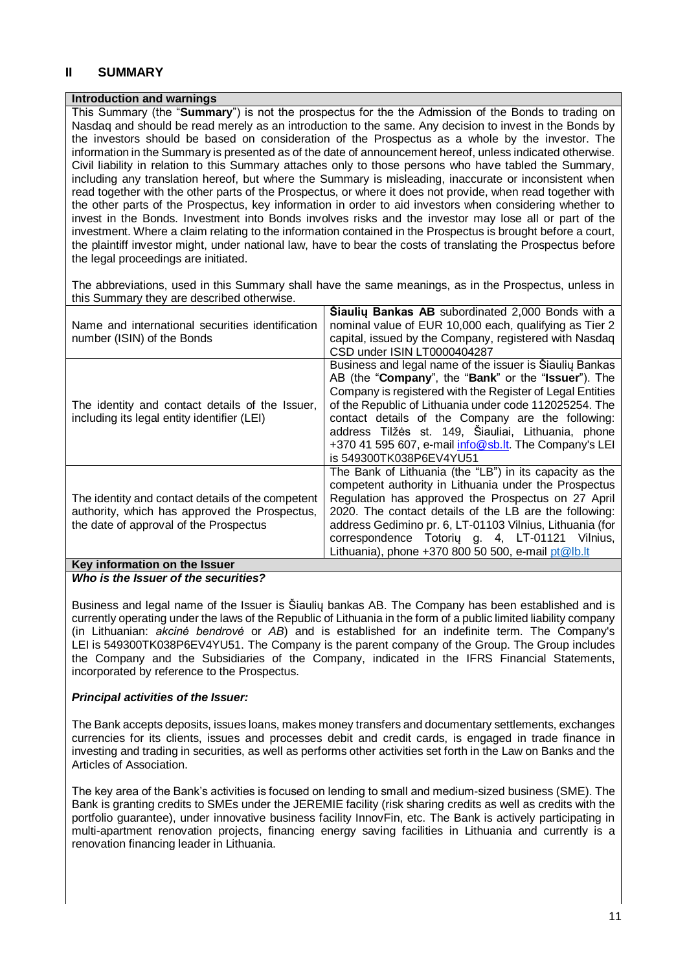## <span id="page-10-0"></span>**II SUMMARY**

#### **Introduction and warnings**

This Summary (the "**Summary**") is not the prospectus for the the Admission of the Bonds to trading on Nasdaq and should be read merely as an introduction to the same. Any decision to invest in the Bonds by the investors should be based on consideration of the Prospectus as a whole by the investor. The information in the Summary is presented as of the date of announcement hereof, unless indicated otherwise. Civil liability in relation to this Summary attaches only to those persons who have tabled the Summary, including any translation hereof, but where the Summary is misleading, inaccurate or inconsistent when read together with the other parts of the Prospectus, or where it does not provide, when read together with the other parts of the Prospectus, key information in order to aid investors when considering whether to invest in the Bonds. Investment into Bonds involves risks and the investor may lose all or part of the investment. Where a claim relating to the information contained in the Prospectus is brought before a court, the plaintiff investor might, under national law, have to bear the costs of translating the Prospectus before the legal proceedings are initiated.

The abbreviations, used in this Summary shall have the same meanings, as in the Prospectus, unless in this Summary they are described otherwise.

|                                                   | <b>Siauliu Bankas AB</b> subordinated 2,000 Bonds with a  |
|---------------------------------------------------|-----------------------------------------------------------|
| Name and international securities identification  | nominal value of EUR 10,000 each, qualifying as Tier 2    |
| number (ISIN) of the Bonds                        | capital, issued by the Company, registered with Nasdaq    |
|                                                   | CSD under ISIN LT0000404287                               |
|                                                   | Business and legal name of the issuer is Siauliy Bankas   |
|                                                   | AB (the "Company", the "Bank" or the "Issuer"). The       |
|                                                   | Company is registered with the Register of Legal Entities |
| The identity and contact details of the Issuer,   | of the Republic of Lithuania under code 112025254. The    |
| including its legal entity identifier (LEI)       | contact details of the Company are the following:         |
|                                                   | address Tilžės st. 149, Šiauliai, Lithuania, phone        |
|                                                   | +370 41 595 607, e-mail info@sb.lt. The Company's LEI     |
|                                                   | is 549300TK038P6EV4YU51                                   |
|                                                   | The Bank of Lithuania (the "LB") in its capacity as the   |
|                                                   | competent authority in Lithuania under the Prospectus     |
| The identity and contact details of the competent | Regulation has approved the Prospectus on 27 April        |
| authority, which has approved the Prospectus,     | 2020. The contact details of the LB are the following:    |
| the date of approval of the Prospectus            | address Gedimino pr. 6, LT-01103 Vilnius, Lithuania (for  |
|                                                   | correspondence Totoriy g. 4, LT-01121 Vilnius,            |
|                                                   | Lithuania), phone $+37080050500$ , e-mail pt@lb.lt        |
| Key information on the Issuer                     |                                                           |

#### *Who is the Issuer of the securities?*

Business and legal name of the Issuer is Šiaulių bankas AB. The Company has been established and is currently operating under the laws of the Republic of Lithuania in the form of a public limited liability company (in Lithuanian: *akcinė bendrovė* or *AB*) and is established for an indefinite term. The Company's LEI is 549300TK038P6EV4YU51. The Company is the parent company of the Group. The Group includes the Company and the Subsidiaries of the Company, indicated in the IFRS Financial Statements, incorporated by reference to the Prospectus.

#### *Principal activities of the Issuer:*

The Bank accepts deposits, issues loans, makes money transfers and documentary settlements, exchanges currencies for its clients, issues and processes debit and credit cards, is engaged in trade finance in investing and trading in securities, as well as performs other activities set forth in the Law on Banks and the Articles of Association.

The key area of the Bank's activities is focused on lending to small and medium-sized business (SME). The Bank is granting credits to SMEs under the JEREMIE facility (risk sharing credits as well as credits with the portfolio guarantee), under innovative business facility InnovFin, etc. The Bank is actively participating in multi-apartment renovation projects, financing energy saving facilities in Lithuania and currently is a renovation financing leader in Lithuania.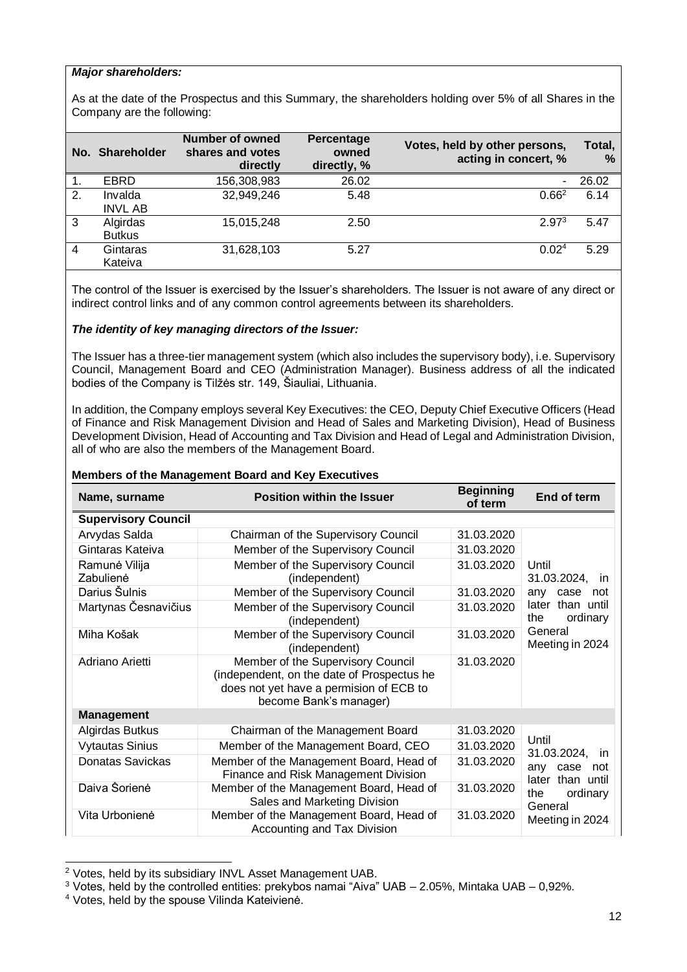#### *Major shareholders:*

As at the date of the Prospectus and this Summary, the shareholders holding over 5% of all Shares in the Company are the following:

|    | No. Shareholder           | Number of owned<br>shares and votes<br>directly | Percentage<br>owned<br>directly, % | Votes, held by other persons,<br>acting in concert, % | Total,<br>% |
|----|---------------------------|-------------------------------------------------|------------------------------------|-------------------------------------------------------|-------------|
| 1. | <b>EBRD</b>               | 156,308,983                                     | 26.02                              | $\overline{\phantom{0}}$                              | 26.02       |
| 2. | Invalda<br><b>INVL AB</b> | 32,949,246                                      | 5.48                               | $0.66^2$                                              | 6.14        |
| 3  | Algirdas<br><b>Butkus</b> | 15,015,248                                      | 2.50                               | 2.97 <sup>3</sup>                                     | 5.47        |
| 4  | Gintaras<br>Kateiva       | 31,628,103                                      | 5.27                               | 0.02 <sup>4</sup>                                     | 5.29        |

The control of the Issuer is exercised by the Issuer's shareholders. The Issuer is not aware of any direct or indirect control links and of any common control agreements between its shareholders.

#### *The identity of key managing directors of the Issuer:*

The Issuer has a three-tier management system (which also includes the supervisory body), i.e. Supervisory Council, Management Board and CEO (Administration Manager). Business address of all the indicated bodies of the Company is Tilžės str. 149, Šiauliai, Lithuania.

In addition, the Company employs several Key Executives: the CEO, Deputy Chief Executive Officers (Head of Finance and Risk Management Division and Head of Sales and Marketing Division), Head of Business Development Division, Head of Accounting and Tax Division and Head of Legal and Administration Division, all of who are also the members of the Management Board.

| Name, surname              | <b>Position within the Issuer</b>                                                                                                                                  | <b>Beginning</b><br>of term | End of term                            |
|----------------------------|--------------------------------------------------------------------------------------------------------------------------------------------------------------------|-----------------------------|----------------------------------------|
| <b>Supervisory Council</b> |                                                                                                                                                                    |                             |                                        |
| Arvydas Salda              | Chairman of the Supervisory Council                                                                                                                                | 31.03.2020                  |                                        |
| Gintaras Kateiva           | Member of the Supervisory Council                                                                                                                                  | 31.03.2020                  |                                        |
| Ramunė Vilija<br>Zabulienė | Member of the Supervisory Council<br>(independent)                                                                                                                 | 31.03.2020                  | Until<br>31.03.2024, in                |
| Darius Šulnis              | Member of the Supervisory Council                                                                                                                                  | 31.03.2020                  | any<br>case<br>not                     |
| Martynas Česnavičius       | Member of the Supervisory Council<br>(independent)                                                                                                                 | 31.03.2020                  | later than until<br>ordinary<br>the    |
| Miha Košak                 | Member of the Supervisory Council<br>(independent)                                                                                                                 | 31.03.2020                  | General<br>Meeting in 2024             |
| Adriano Arietti            | Member of the Supervisory Council<br>31.03.2020<br>(independent, on the date of Prospectus he<br>does not yet have a permision of ECB to<br>become Bank's manager) |                             |                                        |
| <b>Management</b>          |                                                                                                                                                                    |                             |                                        |
| Algirdas Butkus            | Chairman of the Management Board                                                                                                                                   | 31.03.2020                  |                                        |
| <b>Vytautas Sinius</b>     | Member of the Management Board, CEO                                                                                                                                | 31.03.2020                  | Until<br>31.03.2024, in                |
| <b>Donatas Savickas</b>    | Member of the Management Board, Head of<br>Finance and Risk Management Division                                                                                    | 31.03.2020                  | any<br>case<br>not<br>later than until |
| Daiva Šorienė              | Member of the Management Board, Head of<br>Sales and Marketing Division                                                                                            | 31.03.2020                  | ordinary<br>the<br>General             |
| Vita Urbonienė             | Member of the Management Board, Head of<br>Accounting and Tax Division                                                                                             | 31.03.2020                  | Meeting in 2024                        |

#### **Members of the Management Board and Key Executives**

-

<sup>2</sup> Votes, held by its subsidiary INVL Asset Management UAB.

<sup>3</sup> Votes, held by the controlled entities: prekybos namai "Aiva" UAB – 2.05%, Mintaka UAB – 0,92%.

<sup>4</sup> Votes, held by the spouse Vilinda Kateivienė.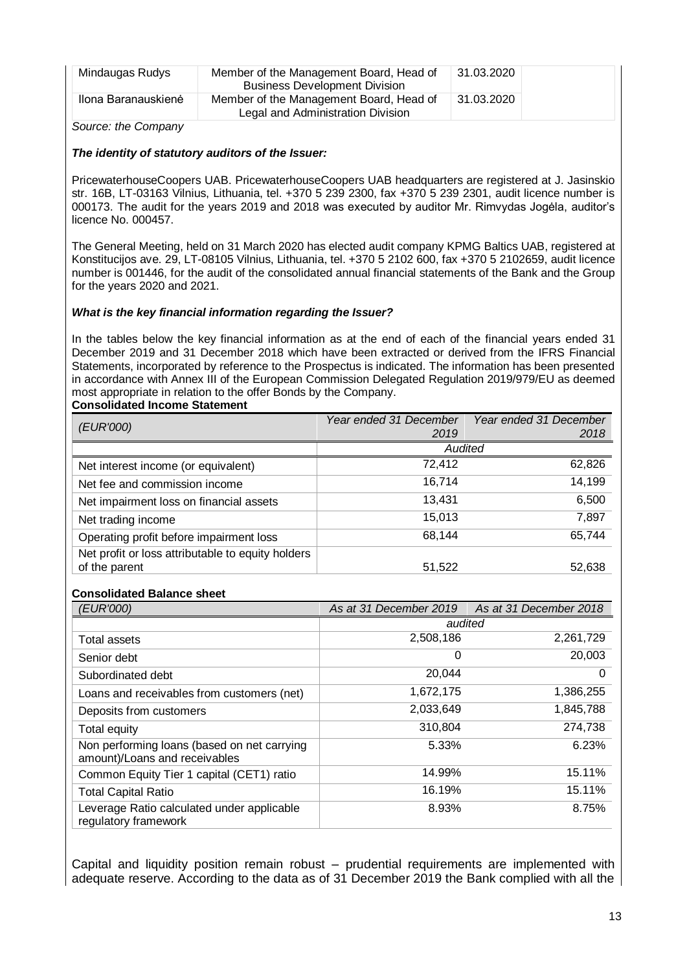| Mindaugas Rudys     | Member of the Management Board, Head of<br><b>Business Development Division</b> | 31.03.2020 |
|---------------------|---------------------------------------------------------------------------------|------------|
| Ilona Baranauskienė | Member of the Management Board, Head of<br>Legal and Administration Division    | 31.03.2020 |

*Source: the Company*

#### *The identity of statutory auditors of the Issuer:*

PricewaterhouseCoopers UAB. PricewaterhouseCoopers UAB headquarters are registered at J. Jasinskio str. 16B, LT-03163 Vilnius, Lithuania, tel. +370 5 239 2300, fax +370 5 239 2301, audit licence number is 000173. The audit for the years 2019 and 2018 was executed by auditor Mr. Rimvydas Jogėla, auditor's licence No. 000457.

The General Meeting, held on 31 March 2020 has elected audit company KPMG Baltics UAB, registered at Konstitucijos ave. 29, LT-08105 Vilnius, Lithuania, tel. +370 5 2102 600, fax +370 5 2102659, audit licence number is 001446, for the audit of the consolidated annual financial statements of the Bank and the Group for the years 2020 and 2021.

#### *What is the key financial information regarding the Issuer?*

In the tables below the key financial information as at the end of each of the financial years ended 31 December 2019 and 31 December 2018 which have been extracted or derived from the IFRS Financial Statements, incorporated by reference to the Prospectus is indicated. The information has been presented in accordance with Annex III of the European Commission Delegated Regulation 2019/979/EU as deemed most appropriate in relation to the offer Bonds by the Company. **Consolidated Income Statement** 

|                                                   | Year ended 31 December | Year ended 31 December |
|---------------------------------------------------|------------------------|------------------------|
| <i>(EUR'000)</i>                                  | 2019                   | 2018                   |
|                                                   | Audited                |                        |
| Net interest income (or equivalent)               | 72,412                 | 62,826                 |
| Net fee and commission income                     | 16.714                 | 14,199                 |
| Net impairment loss on financial assets           | 13,431                 | 6,500                  |
| Net trading income                                | 15,013                 | 7,897                  |
| Operating profit before impairment loss           | 68,144                 | 65,744                 |
| Net profit or loss attributable to equity holders |                        |                        |
| of the parent                                     | 51,522                 | 52,638                 |

#### **Consolidated Balance sheet**

| <i>(EUR'000)</i>                                                             | As at 31 December 2019 | As at 31 December 2018 |
|------------------------------------------------------------------------------|------------------------|------------------------|
|                                                                              | audited                |                        |
| Total assets                                                                 | 2,508,186              | 2,261,729              |
| Senior debt                                                                  | 0                      | 20,003                 |
| Subordinated debt                                                            | 20,044                 | 0                      |
| Loans and receivables from customers (net)                                   | 1,672,175              | 1,386,255              |
| Deposits from customers                                                      | 2,033,649              | 1,845,788              |
| Total equity                                                                 | 310,804                | 274,738                |
| Non performing loans (based on net carrying<br>amount)/Loans and receivables | 5.33%                  | 6.23%                  |
| Common Equity Tier 1 capital (CET1) ratio                                    | 14.99%                 | 15.11%                 |
| <b>Total Capital Ratio</b>                                                   | 16.19%                 | 15.11%                 |
| Leverage Ratio calculated under applicable<br>regulatory framework           | 8.93%                  | 8.75%                  |

Capital and liquidity position remain robust – prudential requirements are implemented with adequate reserve. According to the data as of 31 December 2019 the Bank complied with all the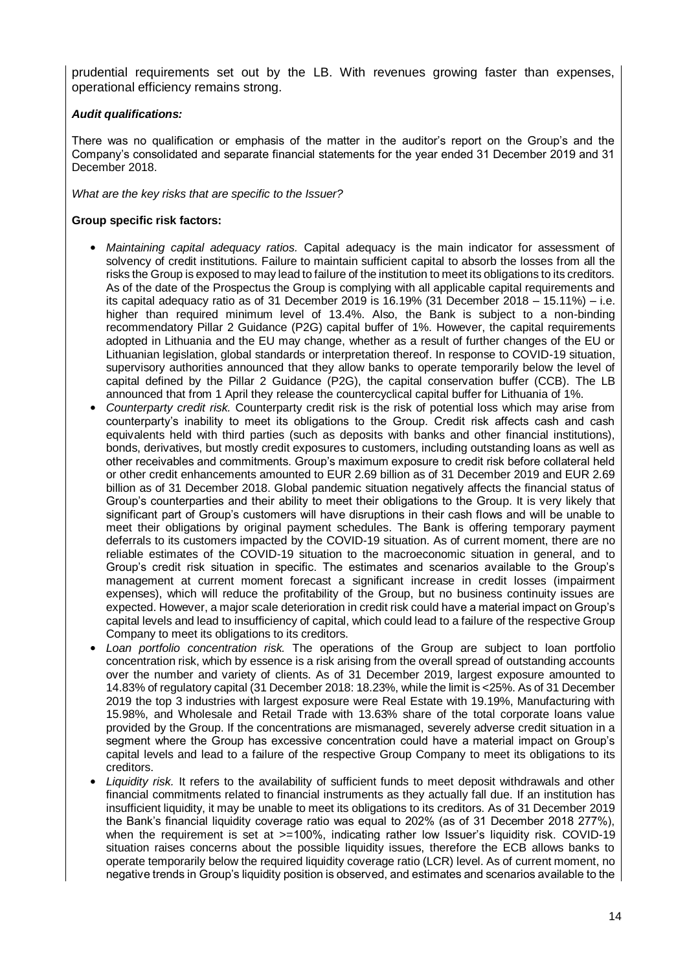prudential requirements set out by the LB. With revenues growing faster than expenses, operational efficiency remains strong.

#### *Audit qualifications:*

There was no qualification or emphasis of the matter in the auditor's report on the Group's and the Company's consolidated and separate financial statements for the year ended 31 December 2019 and 31 December 2018.

*What are the key risks that are specific to the Issuer?* 

#### **Group specific risk factors:**

- *Maintaining capital adequacy ratios.* Capital adequacy is the main indicator for assessment of solvency of credit institutions. Failure to maintain sufficient capital to absorb the losses from all the risks the Group is exposed to may lead to failure of the institution to meet its obligations to its creditors. As of the date of the Prospectus the Group is complying with all applicable capital requirements and its capital adequacy ratio as of 31 December 2019 is  $16.19\%$  (31 December 2018 – 15.11%) – i.e. higher than required minimum level of 13.4%. Also, the Bank is subject to a non-binding recommendatory Pillar 2 Guidance (P2G) capital buffer of 1%. However, the capital requirements adopted in Lithuania and the EU may change, whether as a result of further changes of the EU or Lithuanian legislation, global standards or interpretation thereof. In response to COVID-19 situation, supervisory authorities announced that they allow banks to operate temporarily below the level of capital defined by the Pillar 2 Guidance (P2G), the capital conservation buffer (CCB). The LB announced that from 1 April they release the countercyclical capital buffer for Lithuania of 1%.
- *Counterparty credit risk.* Counterparty credit risk is the risk of potential loss which may arise from counterparty's inability to meet its obligations to the Group. Credit risk affects cash and cash equivalents held with third parties (such as deposits with banks and other financial institutions), bonds, derivatives, but mostly credit exposures to customers, including outstanding loans as well as other receivables and commitments. Group's maximum exposure to credit risk before collateral held or other credit enhancements amounted to EUR 2.69 billion as of 31 December 2019 and EUR 2.69 billion as of 31 December 2018. Global pandemic situation negatively affects the financial status of Group's counterparties and their ability to meet their obligations to the Group. It is very likely that significant part of Group's customers will have disruptions in their cash flows and will be unable to meet their obligations by original payment schedules. The Bank is offering temporary payment deferrals to its customers impacted by the COVID-19 situation. As of current moment, there are no reliable estimates of the COVID-19 situation to the macroeconomic situation in general, and to Group's credit risk situation in specific. The estimates and scenarios available to the Group's management at current moment forecast a significant increase in credit losses (impairment expenses), which will reduce the profitability of the Group, but no business continuity issues are expected. However, a major scale deterioration in credit risk could have a material impact on Group's capital levels and lead to insufficiency of capital, which could lead to a failure of the respective Group Company to meet its obligations to its creditors.
- *Loan portfolio concentration risk.* The operations of the Group are subject to loan portfolio concentration risk, which by essence is a risk arising from the overall spread of outstanding accounts over the number and variety of clients. As of 31 December 2019, largest exposure amounted to 14.83% of regulatory capital (31 December 2018: 18.23%, while the limit is <25%. As of 31 December 2019 the top 3 industries with largest exposure were Real Estate with 19.19%, Manufacturing with 15.98%, and Wholesale and Retail Trade with 13.63% share of the total corporate loans value provided by the Group. If the concentrations are mismanaged, severely adverse credit situation in a segment where the Group has excessive concentration could have a material impact on Group's capital levels and lead to a failure of the respective Group Company to meet its obligations to its creditors.
- *Liquidity risk.* It refers to the availability of sufficient funds to meet deposit withdrawals and other financial commitments related to financial instruments as they actually fall due. If an institution has insufficient liquidity, it may be unable to meet its obligations to its creditors. As of 31 December 2019 the Bank's financial liquidity coverage ratio was equal to 202% (as of 31 December 2018 277%), when the requirement is set at >=100%, indicating rather low Issuer's liquidity risk. COVID-19 situation raises concerns about the possible liquidity issues, therefore the ECB allows banks to operate temporarily below the required liquidity coverage ratio (LCR) level. As of current moment, no negative trends in Group's liquidity position is observed, and estimates and scenarios available to the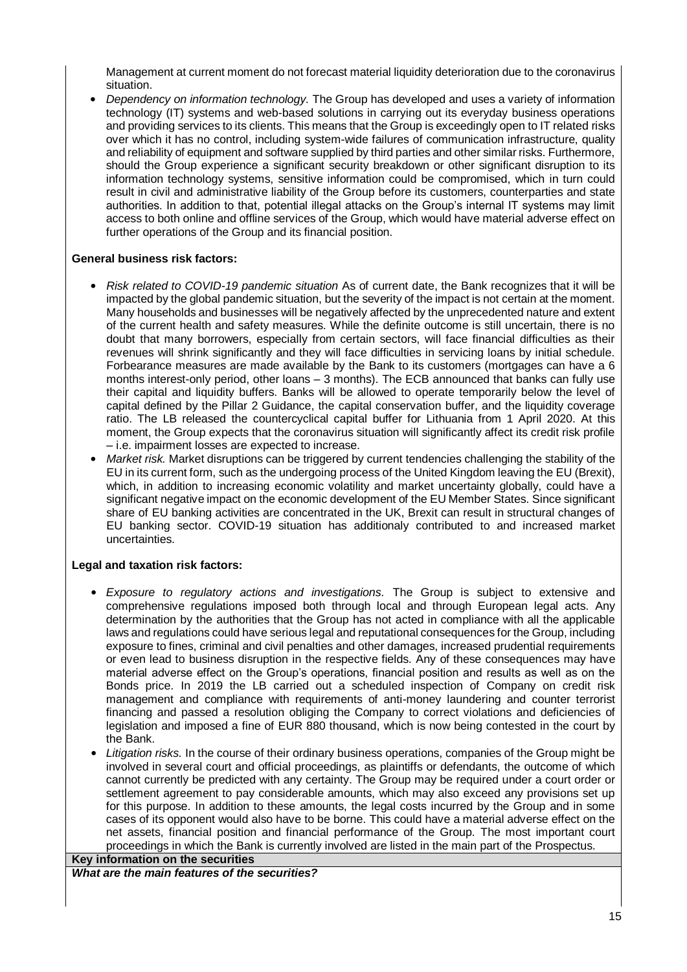Management at current moment do not forecast material liquidity deterioration due to the coronavirus situation.

• *Dependency on information technology.* The Group has developed and uses a variety of information technology (IT) systems and web-based solutions in carrying out its everyday business operations and providing services to its clients. This means that the Group is exceedingly open to IT related risks over which it has no control, including system-wide failures of communication infrastructure, quality and reliability of equipment and software supplied by third parties and other similar risks. Furthermore, should the Group experience a significant security breakdown or other significant disruption to its information technology systems, sensitive information could be compromised, which in turn could result in civil and administrative liability of the Group before its customers, counterparties and state authorities. In addition to that, potential illegal attacks on the Group's internal IT systems may limit access to both online and offline services of the Group, which would have material adverse effect on further operations of the Group and its financial position.

#### **General business risk factors:**

- *Risk related to COVID-19 pandemic situation* As of current date, the Bank recognizes that it will be impacted by the global pandemic situation, but the severity of the impact is not certain at the moment. Many households and businesses will be negatively affected by the unprecedented nature and extent of the current health and safety measures. While the definite outcome is still uncertain, there is no doubt that many borrowers, especially from certain sectors, will face financial difficulties as their revenues will shrink significantly and they will face difficulties in servicing loans by initial schedule. Forbearance measures are made available by the Bank to its customers (mortgages can have a 6 months interest-only period, other loans – 3 months). The ECB announced that banks can fully use their capital and liquidity buffers. Banks will be allowed to operate temporarily below the level of capital defined by the Pillar 2 Guidance, the capital conservation buffer, and the liquidity coverage ratio. The LB released the countercyclical capital buffer for Lithuania from 1 April 2020. At this moment, the Group expects that the coronavirus situation will significantly affect its credit risk profile – i.e. impairment losses are expected to increase.
- *Market risk.* Market disruptions can be triggered by current tendencies challenging the stability of the EU in its current form, such as the undergoing process of the United Kingdom leaving the EU (Brexit), which, in addition to increasing economic volatility and market uncertainty globally, could have a significant negative impact on the economic development of the EU Member States. Since significant share of EU banking activities are concentrated in the UK, Brexit can result in structural changes of EU banking sector. COVID-19 situation has additionaly contributed to and increased market uncertainties.

### **Legal and taxation risk factors:**

- *Exposure to regulatory actions and investigations.* The Group is subject to extensive and comprehensive regulations imposed both through local and through European legal acts. Any determination by the authorities that the Group has not acted in compliance with all the applicable laws and regulations could have serious legal and reputational consequences for the Group, including exposure to fines, criminal and civil penalties and other damages, increased prudential requirements or even lead to business disruption in the respective fields. Any of these consequences may have material adverse effect on the Group's operations, financial position and results as well as on the Bonds price. In 2019 the LB carried out a scheduled inspection of Company on credit risk management and compliance with requirements of anti-money laundering and counter terrorist financing and passed a resolution obliging the Company to correct violations and deficiencies of legislation and imposed a fine of EUR 880 thousand, which is now being contested in the court by the Bank.
- *Litigation risks.* In the course of their ordinary business operations, companies of the Group might be involved in several court and official proceedings, as plaintiffs or defendants, the outcome of which cannot currently be predicted with any certainty. The Group may be required under a court order or settlement agreement to pay considerable amounts, which may also exceed any provisions set up for this purpose. In addition to these amounts, the legal costs incurred by the Group and in some cases of its opponent would also have to be borne. This could have a material adverse effect on the net assets, financial position and financial performance of the Group*.* The most important court proceedings in which the Bank is currently involved are listed in the main part of the Prospectus.

#### **Key information on the securities** *What are the main features of the securities?*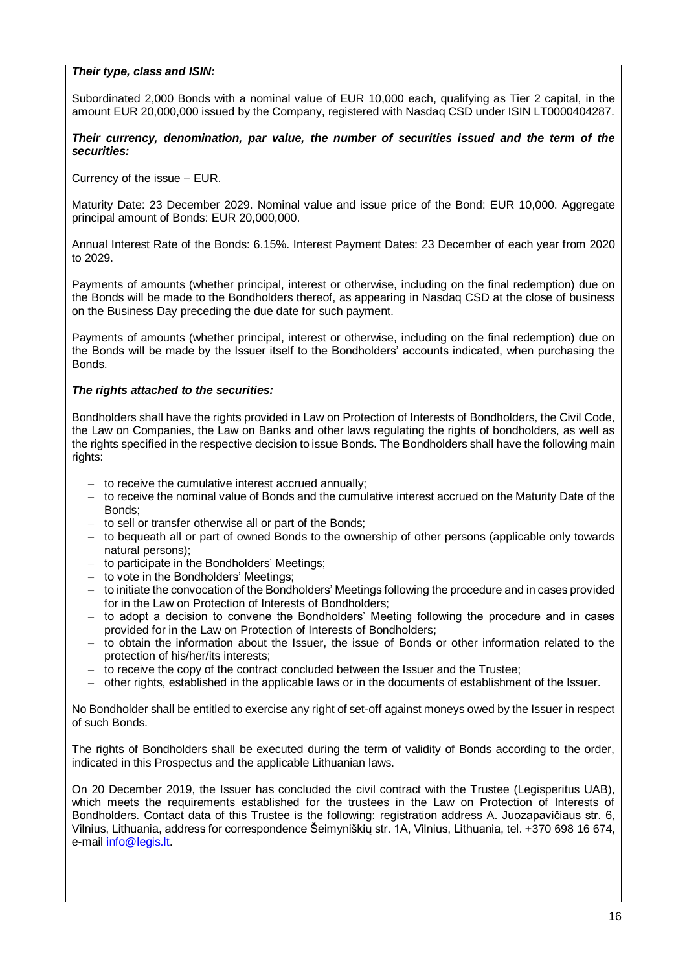#### *Their type, class and ISIN:*

Subordinated 2,000 Bonds with a nominal value of EUR 10,000 each, qualifying as Tier 2 capital, in the amount EUR 20,000,000 issued by the Company, registered with Nasdaq CSD under ISIN LT0000404287.

#### *Their currency, denomination, par value, the number of securities issued and the term of the securities:*

Currency of the issue – EUR.

Maturity Date: 23 December 2029. Nominal value and issue price of the Bond: EUR 10,000. Aggregate principal amount of Bonds: EUR 20,000,000.

Annual Interest Rate of the Bonds: 6.15%. Interest Payment Dates: 23 December of each year from 2020 to 2029.

Payments of amounts (whether principal, interest or otherwise, including on the final redemption) due on the Bonds will be made to the Bondholders thereof, as appearing in Nasdaq CSD at the close of business on the Business Day preceding the due date for such payment.

Payments of amounts (whether principal, interest or otherwise, including on the final redemption) due on the Bonds will be made by the Issuer itself to the Bondholders' accounts indicated, when purchasing the **Bonds** 

#### *The rights attached to the securities:*

Bondholders shall have the rights provided in Law on Protection of Interests of Bondholders, the Civil Code, the Law on Companies, the Law on Banks and other laws regulating the rights of bondholders, as well as the rights specified in the respective decision to issue Bonds. The Bondholders shall have the following main rights:

- to receive the cumulative interest accrued annually;
- to receive the nominal value of Bonds and the cumulative interest accrued on the Maturity Date of the Bonds;
- to sell or transfer otherwise all or part of the Bonds;
- to bequeath all or part of owned Bonds to the ownership of other persons (applicable only towards natural persons);
- to participate in the Bondholders' Meetings;
- to vote in the Bondholders' Meetings:
- to initiate the convocation of the Bondholders' Meetings following the procedure and in cases provided for in the Law on Protection of Interests of Bondholders;
- to adopt a decision to convene the Bondholders' Meeting following the procedure and in cases provided for in the Law on Protection of Interests of Bondholders;
- to obtain the information about the Issuer, the issue of Bonds or other information related to the protection of his/her/its interests;
- to receive the copy of the contract concluded between the Issuer and the Trustee;
- other rights, established in the applicable laws or in the documents of establishment of the Issuer.

No Bondholder shall be entitled to exercise any right of set-off against moneys owed by the Issuer in respect of such Bonds.

The rights of Bondholders shall be executed during the term of validity of Bonds according to the order, indicated in this Prospectus and the applicable Lithuanian laws.

On 20 December 2019, the Issuer has concluded the civil contract with the Trustee (Legisperitus UAB), which meets the requirements established for the trustees in the Law on Protection of Interests of Bondholders. Contact data of this Trustee is the following: registration address A. Juozapavičiaus str. 6, Vilnius, Lithuania, address for correspondence Šeimyniškių str. 1A, Vilnius, Lithuania, tel. +370 698 16 674, e-mail [info@legis.lt.](mailto:info@legis.lt)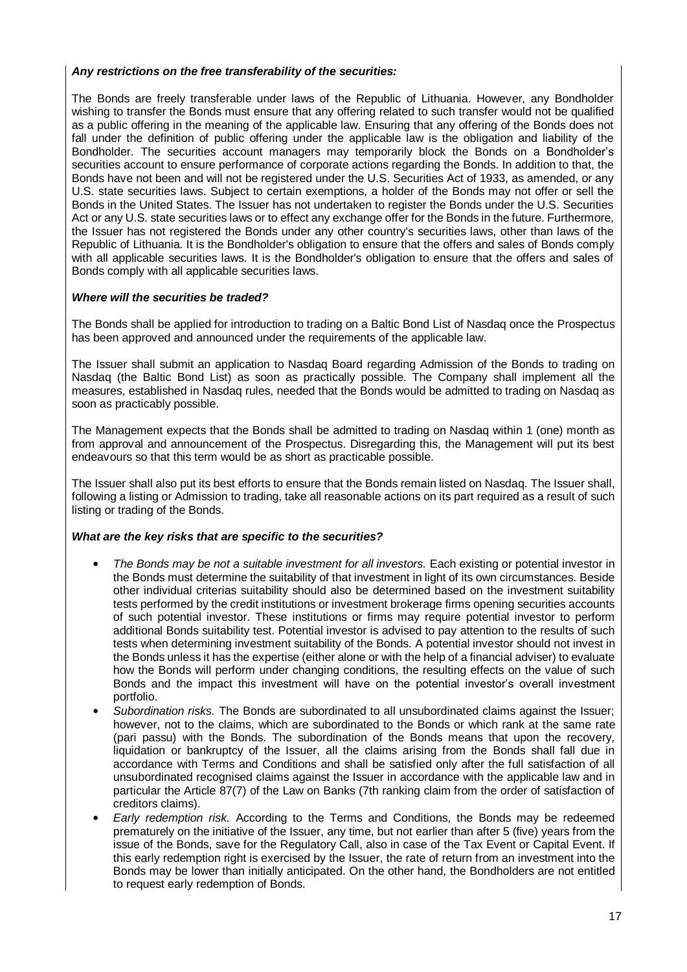#### *Any restrictions on the free transferability of the securities:*

The Bonds are freely transferable under laws of the Republic of Lithuania. However, any Bondholder wishing to transfer the Bonds must ensure that any offering related to such transfer would not be qualified as a public offering in the meaning of the applicable law. Ensuring that any offering of the Bonds does not fall under the definition of public offering under the applicable law is the obligation and liability of the Bondholder. The securities account managers may temporarily block the Bonds on a Bondholder's securities account to ensure performance of corporate actions regarding the Bonds. In addition to that, the Bonds have not been and will not be registered under the U.S. Securities Act of 1933, as amended, or any U.S. state securities laws. Subject to certain exemptions, a holder of the Bonds may not offer or sell the Bonds in the United States. The Issuer has not undertaken to register the Bonds under the U.S. Securities Act or any U.S. state securities laws or to effect any exchange offer for the Bonds in the future. Furthermore, the Issuer has not registered the Bonds under any other country's securities laws, other than laws of the Republic of Lithuania. It is the Bondholder's obligation to ensure that the offers and sales of Bonds comply with all applicable securities laws. It is the Bondholder's obligation to ensure that the offers and sales of Bonds comply with all applicable securities laws.

#### *Where will the securities be traded?*

The Bonds shall be applied for introduction to trading on a Baltic Bond List of Nasdaq once the Prospectus has been approved and announced under the requirements of the applicable law.

The Issuer shall submit an application to Nasdaq Board regarding Admission of the Bonds to trading on Nasdaq (the Baltic Bond List) as soon as practically possible. The Company shall implement all the measures, established in Nasdaq rules, needed that the Bonds would be admitted to trading on Nasdaq as soon as practicably possible.

The Management expects that the Bonds shall be admitted to trading on Nasdaq within 1 (one) month as from approval and announcement of the Prospectus. Disregarding this, the Management will put its best endeavours so that this term would be as short as practicable possible.

The Issuer shall also put its best efforts to ensure that the Bonds remain listed on Nasdaq. The Issuer shall, following a listing or Admission to trading, take all reasonable actions on its part required as a result of such listing or trading of the Bonds.

#### *What are the key risks that are specific to the securities?*

- *The Bonds may be not a suitable investment for all investors.* Each existing or potential investor in the Bonds must determine the suitability of that investment in light of its own circumstances. Beside other individual criterias suitability should also be determined based on the investment suitability tests performed by the credit institutions or investment brokerage firms opening securities accounts of such potential investor. These institutions or firms may require potential investor to perform additional Bonds suitability test. Potential investor is advised to pay attention to the results of such tests when determining investment suitability of the Bonds. A potential investor should not invest in the Bonds unless it has the expertise (either alone or with the help of a financial adviser) to evaluate how the Bonds will perform under changing conditions, the resulting effects on the value of such Bonds and the impact this investment will have on the potential investor's overall investment portfolio.
- *Subordination risks.* The Bonds are subordinated to all unsubordinated claims against the Issuer; however, not to the claims, which are subordinated to the Bonds or which rank at the same rate (pari passu) with the Bonds. The subordination of the Bonds means that upon the recovery, liquidation or bankruptcy of the Issuer, all the claims arising from the Bonds shall fall due in accordance with Terms and Conditions and shall be satisfied only after the full satisfaction of all unsubordinated recognised claims against the Issuer in accordance with the applicable law and in particular the Article 87(7) of the Law on Banks (7th ranking claim from the order of satisfaction of creditors claims).
- *Early redemption risk.* According to the Terms and Conditions, the Bonds may be redeemed prematurely on the initiative of the Issuer, any time, but not earlier than after 5 (five) years from the issue of the Bonds, save for the Regulatory Call, also in case of the Tax Event or Capital Event. If this early redemption right is exercised by the Issuer, the rate of return from an investment into the Bonds may be lower than initially anticipated. On the other hand, the Bondholders are not entitled to request early redemption of Bonds.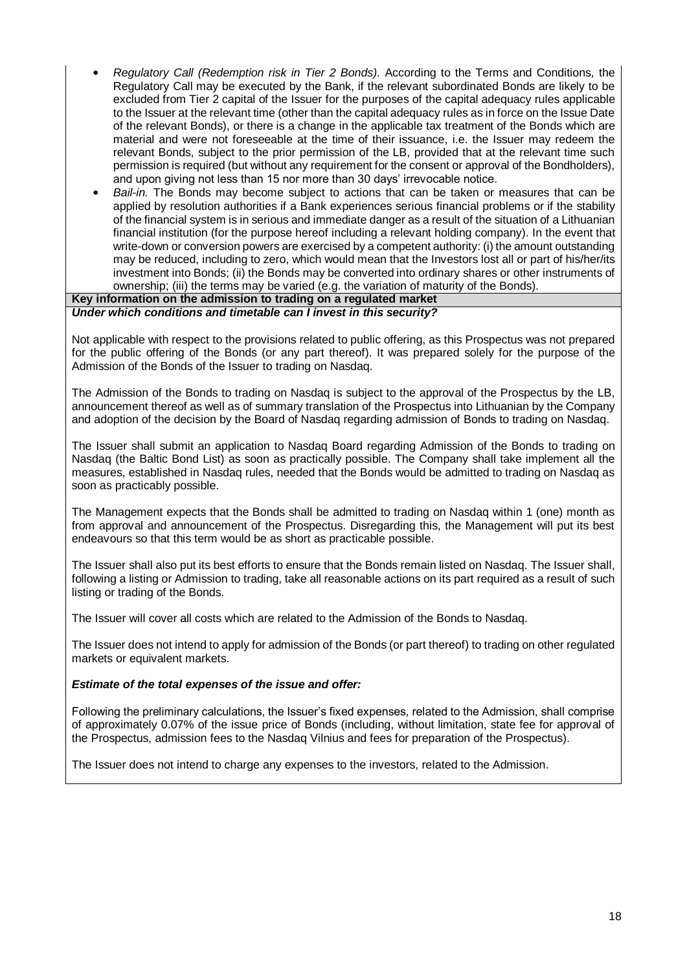- *Regulatory Call (Redemption risk in Tier 2 Bonds).* According to the Terms and Conditions, the Regulatory Call may be executed by the Bank, if the relevant subordinated Bonds are likely to be excluded from Tier 2 capital of the Issuer for the purposes of the capital adequacy rules applicable to the Issuer at the relevant time (other than the capital adequacy rules as in force on the Issue Date of the relevant Bonds), or there is a change in the applicable tax treatment of the Bonds which are material and were not foreseeable at the time of their issuance, i.e. the Issuer may redeem the relevant Bonds, subject to the prior permission of the LB, provided that at the relevant time such permission is required (but without any requirement for the consent or approval of the Bondholders), and upon giving not less than 15 nor more than 30 days' irrevocable notice.
- *Bail-in.* The Bonds may become subject to actions that can be taken or measures that can be applied by resolution authorities if a Bank experiences serious financial problems or if the stability of the financial system is in serious and immediate danger as a result of the situation of a Lithuanian financial institution (for the purpose hereof including a relevant holding company). In the event that write-down or conversion powers are exercised by a competent authority: (i) the amount outstanding may be reduced, including to zero, which would mean that the Investors lost all or part of his/her/its investment into Bonds; (ii) the Bonds may be converted into ordinary shares or other instruments of ownership; (iii) the terms may be varied (e.g. the variation of maturity of the Bonds).

#### **Key information on the admission to trading on a regulated market**

#### *Under which conditions and timetable can I invest in this security?*

Not applicable with respect to the provisions related to public offering, as this Prospectus was not prepared for the public offering of the Bonds (or any part thereof). It was prepared solely for the purpose of the Admission of the Bonds of the Issuer to trading on Nasdaq.

The Admission of the Bonds to trading on Nasdaq is subject to the approval of the Prospectus by the LB, announcement thereof as well as of summary translation of the Prospectus into Lithuanian by the Company and adoption of the decision by the Board of Nasdaq regarding admission of Bonds to trading on Nasdaq.

The Issuer shall submit an application to Nasdaq Board regarding Admission of the Bonds to trading on Nasdaq (the Baltic Bond List) as soon as practically possible. The Company shall take implement all the measures, established in Nasdaq rules, needed that the Bonds would be admitted to trading on Nasdaq as soon as practicably possible.

The Management expects that the Bonds shall be admitted to trading on Nasdaq within 1 (one) month as from approval and announcement of the Prospectus. Disregarding this, the Management will put its best endeavours so that this term would be as short as practicable possible.

The Issuer shall also put its best efforts to ensure that the Bonds remain listed on Nasdaq. The Issuer shall, following a listing or Admission to trading, take all reasonable actions on its part required as a result of such listing or trading of the Bonds.

The Issuer will cover all costs which are related to the Admission of the Bonds to Nasdaq.

The Issuer does not intend to apply for admission of the Bonds (or part thereof) to trading on other regulated markets or equivalent markets.

#### *Estimate of the total expenses of the issue and offer:*

Following the preliminary calculations, the Issuer's fixed expenses, related to the Admission, shall comprise of approximately 0.07% of the issue price of Bonds (including, without limitation, state fee for approval of the Prospectus, admission fees to the Nasdaq Vilnius and fees for preparation of the Prospectus).

The Issuer does not intend to charge any expenses to the investors, related to the Admission.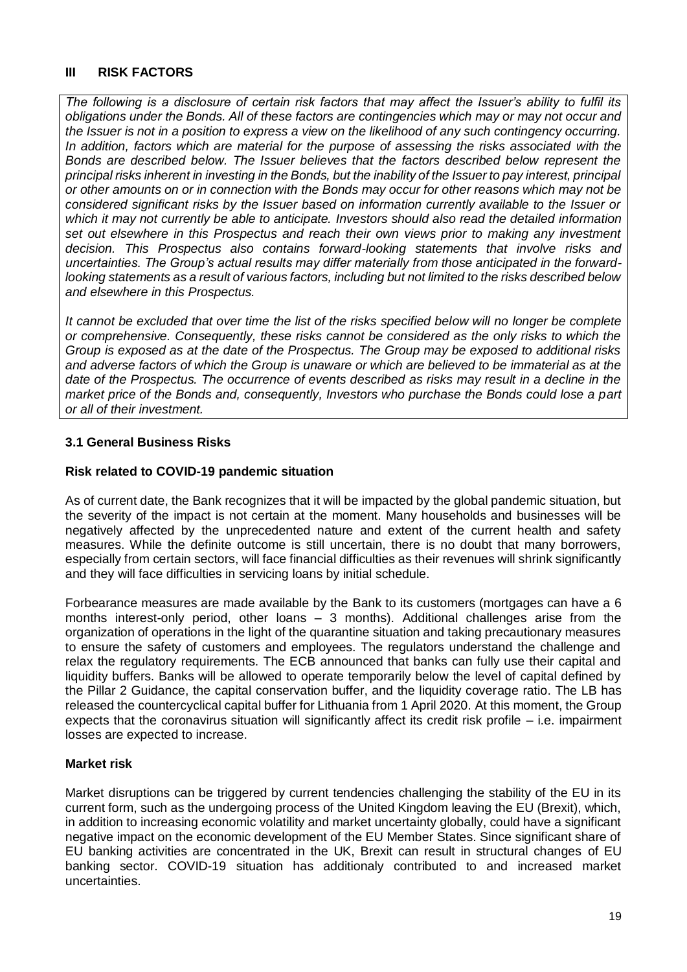## <span id="page-18-0"></span>**III RISK FACTORS**

*The following is a disclosure of certain risk factors that may affect the Issuer's ability to fulfil its obligations under the Bonds. All of these factors are contingencies which may or may not occur and the Issuer is not in a position to express a view on the likelihood of any such contingency occurring. In addition, factors which are material for the purpose of assessing the risks associated with the Bonds are described below. The Issuer believes that the factors described below represent the principal risks inherent in investing in the Bonds, but the inability of the Issuer to pay interest, principal or other amounts on or in connection with the Bonds may occur for other reasons which may not be considered significant risks by the Issuer based on information currently available to the Issuer or which it may not currently be able to anticipate. Investors should also read the detailed information set out elsewhere in this Prospectus and reach their own views prior to making any investment decision. This Prospectus also contains forward-looking statements that involve risks and uncertainties. The Group's actual results may differ materially from those anticipated in the forwardlooking statements as a result of various factors, including but not limited to the risks described below and elsewhere in this Prospectus.* 

*It cannot be excluded that over time the list of the risks specified below will no longer be complete or comprehensive. Consequently, these risks cannot be considered as the only risks to which the Group is exposed as at the date of the Prospectus. The Group may be exposed to additional risks and adverse factors of which the Group is unaware or which are believed to be immaterial as at the date of the Prospectus. The occurrence of events described as risks may result in a decline in the market price of the Bonds and, consequently, Investors who purchase the Bonds could lose a part or all of their investment.*

## <span id="page-18-1"></span>**3.1 General Business Risks**

### **Risk related to COVID-19 pandemic situation**

As of current date, the Bank recognizes that it will be impacted by the global pandemic situation, but the severity of the impact is not certain at the moment. Many households and businesses will be negatively affected by the unprecedented nature and extent of the current health and safety measures. While the definite outcome is still uncertain, there is no doubt that many borrowers, especially from certain sectors, will face financial difficulties as their revenues will shrink significantly and they will face difficulties in servicing loans by initial schedule.

Forbearance measures are made available by the Bank to its customers (mortgages can have a 6 months interest-only period, other loans – 3 months). Additional challenges arise from the organization of operations in the light of the quarantine situation and taking precautionary measures to ensure the safety of customers and employees. The regulators understand the challenge and relax the regulatory requirements. The ECB announced that banks can fully use their capital and liquidity buffers. Banks will be allowed to operate temporarily below the level of capital defined by the Pillar 2 Guidance, the capital conservation buffer, and the liquidity coverage ratio. The LB has released the countercyclical capital buffer for Lithuania from 1 April 2020. At this moment, the Group expects that the coronavirus situation will significantly affect its credit risk profile – i.e. impairment losses are expected to increase.

### **Market risk**

Market disruptions can be triggered by current tendencies challenging the stability of the EU in its current form, such as the undergoing process of the United Kingdom leaving the EU (Brexit), which, in addition to increasing economic volatility and market uncertainty globally, could have a significant negative impact on the economic development of the EU Member States. Since significant share of EU banking activities are concentrated in the UK, Brexit can result in structural changes of EU banking sector. COVID-19 situation has additionaly contributed to and increased market uncertainties.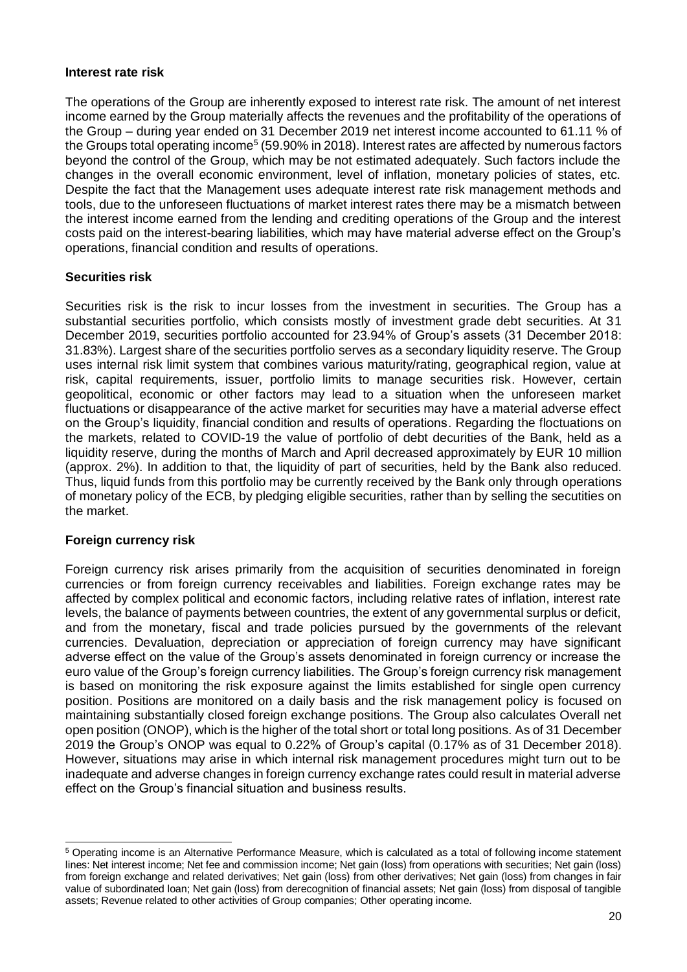#### **Interest rate risk**

The operations of the Group are inherently exposed to interest rate risk. The amount of net interest income earned by the Group materially affects the revenues and the profitability of the operations of the Group – during year ended on 31 December 2019 net interest income accounted to 61.11 % of the Groups total operating income<sup>5</sup> (59.90% in 2018). Interest rates are affected by numerous factors beyond the control of the Group, which may be not estimated adequately. Such factors include the changes in the overall economic environment, level of inflation, monetary policies of states, etc. Despite the fact that the Management uses adequate interest rate risk management methods and tools, due to the unforeseen fluctuations of market interest rates there may be a mismatch between the interest income earned from the lending and crediting operations of the Group and the interest costs paid on the interest-bearing liabilities, which may have material adverse effect on the Group's operations, financial condition and results of operations.

### **Securities risk**

Securities risk is the risk to incur losses from the investment in securities. The Group has a substantial securities portfolio, which consists mostly of investment grade debt securities. At 31 December 2019, securities portfolio accounted for 23.94% of Group's assets (31 December 2018: 31.83%). Largest share of the securities portfolio serves as a secondary liquidity reserve. The Group uses internal risk limit system that combines various maturity/rating, geographical region, value at risk, capital requirements, issuer, portfolio limits to manage securities risk. However, certain geopolitical, economic or other factors may lead to a situation when the unforeseen market fluctuations or disappearance of the active market for securities may have a material adverse effect on the Group's liquidity, financial condition and results of operations. Regarding the floctuations on the markets, related to COVID-19 the value of portfolio of debt decurities of the Bank, held as a liquidity reserve, during the months of March and April decreased approximately by EUR 10 million (approx. 2%). In addition to that, the liquidity of part of securities, held by the Bank also reduced. Thus, liquid funds from this portfolio may be currently received by the Bank only through operations of monetary policy of the ECB, by pledging eligible securities, rather than by selling the secutities on the market.

### **Foreign currency risk**

-

Foreign currency risk arises primarily from the acquisition of securities denominated in foreign currencies or from foreign currency receivables and liabilities. Foreign exchange rates may be affected by complex political and economic factors, including relative rates of inflation, interest rate levels, the balance of payments between countries, the extent of any governmental surplus or deficit, and from the monetary, fiscal and trade policies pursued by the governments of the relevant currencies. Devaluation, depreciation or appreciation of foreign currency may have significant adverse effect on the value of the Group's assets denominated in foreign currency or increase the euro value of the Group's foreign currency liabilities. The Group's foreign currency risk management is based on monitoring the risk exposure against the limits established for single open currency position. Positions are monitored on a daily basis and the risk management policy is focused on maintaining substantially closed foreign exchange positions. The Group also calculates Overall net open position (ONOP), which is the higher of the total short or total long positions. As of 31 December 2019 the Group's ONOP was equal to 0.22% of Group's capital (0.17% as of 31 December 2018). However, situations may arise in which internal risk management procedures might turn out to be inadequate and adverse changes in foreign currency exchange rates could result in material adverse effect on the Group's financial situation and business results.

<sup>&</sup>lt;sup>5</sup> Operating income is an Alternative Performance Measure, which is calculated as a total of following income statement lines: Net interest income; Net fee and commission income; Net gain (loss) from operations with securities; Net gain (loss) from foreign exchange and related derivatives; Net gain (loss) from other derivatives; Net gain (loss) from changes in fair value of subordinated loan; Net gain (loss) from derecognition of financial assets; Net gain (loss) from disposal of tangible assets; Revenue related to other activities of Group companies; Other operating income.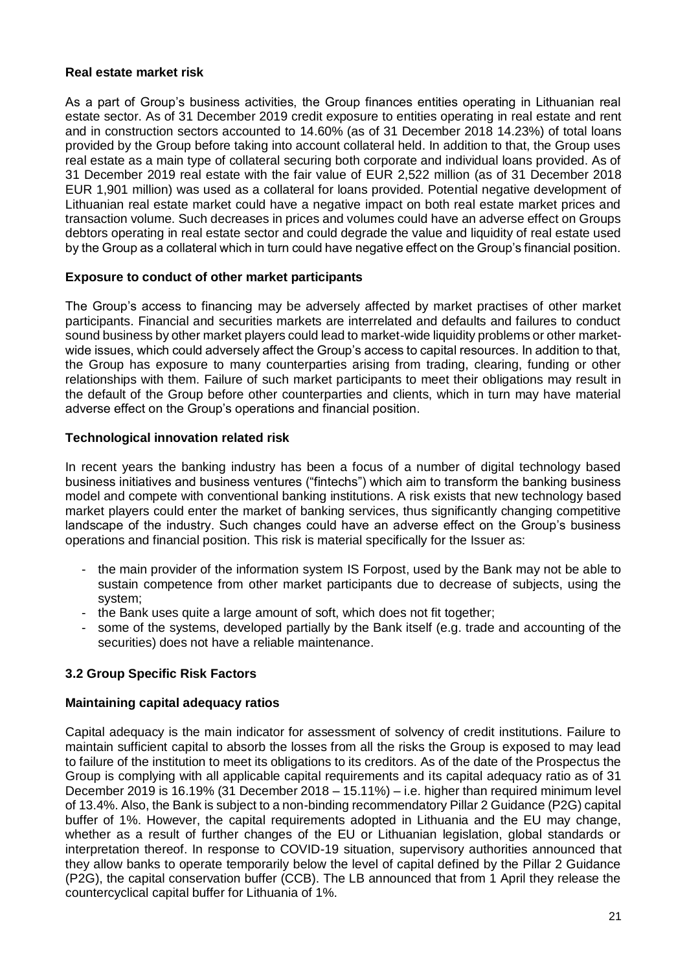## **Real estate market risk**

As a part of Group's business activities, the Group finances entities operating in Lithuanian real estate sector. As of 31 December 2019 credit exposure to entities operating in real estate and rent and in construction sectors accounted to 14.60% (as of 31 December 2018 14.23%) of total loans provided by the Group before taking into account collateral held. In addition to that, the Group uses real estate as a main type of collateral securing both corporate and individual loans provided. As of 31 December 2019 real estate with the fair value of EUR 2,522 million (as of 31 December 2018 EUR 1,901 million) was used as a collateral for loans provided. Potential negative development of Lithuanian real estate market could have a negative impact on both real estate market prices and transaction volume. Such decreases in prices and volumes could have an adverse effect on Groups debtors operating in real estate sector and could degrade the value and liquidity of real estate used by the Group as a collateral which in turn could have negative effect on the Group's financial position.

## **Exposure to conduct of other market participants**

The Group's access to financing may be adversely affected by market practises of other market participants. Financial and securities markets are interrelated and defaults and failures to conduct sound business by other market players could lead to market-wide liquidity problems or other marketwide issues, which could adversely affect the Group's access to capital resources. In addition to that, the Group has exposure to many counterparties arising from trading, clearing, funding or other relationships with them. Failure of such market participants to meet their obligations may result in the default of the Group before other counterparties and clients, which in turn may have material adverse effect on the Group's operations and financial position.

## **Technological innovation related risk**

In recent years the banking industry has been a focus of a number of digital technology based business initiatives and business ventures ("fintechs") which aim to transform the banking business model and compete with conventional banking institutions. A risk exists that new technology based market players could enter the market of banking services, thus significantly changing competitive landscape of the industry. Such changes could have an adverse effect on the Group's business operations and financial position. This risk is material specifically for the Issuer as:

- the main provider of the information system IS Forpost, used by the Bank may not be able to sustain competence from other market participants due to decrease of subjects, using the system;
- the Bank uses quite a large amount of soft, which does not fit together;
- some of the systems, developed partially by the Bank itself (e.g. trade and accounting of the securities) does not have a reliable maintenance.

# <span id="page-20-0"></span>**3.2 Group Specific Risk Factors**

# **Maintaining capital adequacy ratios**

Capital adequacy is the main indicator for assessment of solvency of credit institutions. Failure to maintain sufficient capital to absorb the losses from all the risks the Group is exposed to may lead to failure of the institution to meet its obligations to its creditors. As of the date of the Prospectus the Group is complying with all applicable capital requirements and its capital adequacy ratio as of 31 December 2019 is 16.19% (31 December 2018 – 15.11%) – i.e. higher than required minimum level of 13.4%. Also, the Bank is subject to a non-binding recommendatory Pillar 2 Guidance (P2G) capital buffer of 1%. However, the capital requirements adopted in Lithuania and the EU may change, whether as a result of further changes of the EU or Lithuanian legislation, global standards or interpretation thereof. In response to COVID-19 situation, supervisory authorities announced that they allow banks to operate temporarily below the level of capital defined by the Pillar 2 Guidance (P2G), the capital conservation buffer (CCB). The LB announced that from 1 April they release the countercyclical capital buffer for Lithuania of 1%.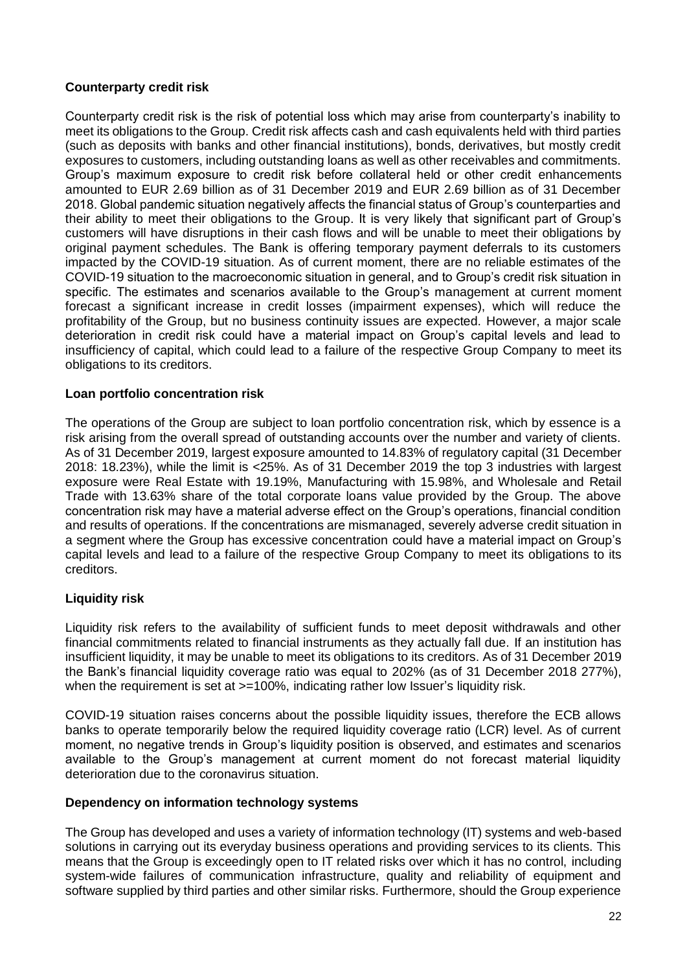## **Counterparty credit risk**

Counterparty credit risk is the risk of potential loss which may arise from counterparty's inability to meet its obligations to the Group. Credit risk affects cash and cash equivalents held with third parties (such as deposits with banks and other financial institutions), bonds, derivatives, but mostly credit exposures to customers, including outstanding loans as well as other receivables and commitments. Group's maximum exposure to credit risk before collateral held or other credit enhancements amounted to EUR 2.69 billion as of 31 December 2019 and EUR 2.69 billion as of 31 December 2018. Global pandemic situation negatively affects the financial status of Group's counterparties and their ability to meet their obligations to the Group. It is very likely that significant part of Group's customers will have disruptions in their cash flows and will be unable to meet their obligations by original payment schedules. The Bank is offering temporary payment deferrals to its customers impacted by the COVID-19 situation. As of current moment, there are no reliable estimates of the COVID-19 situation to the macroeconomic situation in general, and to Group's credit risk situation in specific. The estimates and scenarios available to the Group's management at current moment forecast a significant increase in credit losses (impairment expenses), which will reduce the profitability of the Group, but no business continuity issues are expected. However, a major scale deterioration in credit risk could have a material impact on Group's capital levels and lead to insufficiency of capital, which could lead to a failure of the respective Group Company to meet its obligations to its creditors.

## **Loan portfolio concentration risk**

The operations of the Group are subject to loan portfolio concentration risk, which by essence is a risk arising from the overall spread of outstanding accounts over the number and variety of clients. As of 31 December 2019, largest exposure amounted to 14.83% of regulatory capital (31 December 2018: 18.23%), while the limit is <25%. As of 31 December 2019 the top 3 industries with largest exposure were Real Estate with 19.19%, Manufacturing with 15.98%, and Wholesale and Retail Trade with 13.63% share of the total corporate loans value provided by the Group. The above concentration risk may have a material adverse effect on the Group's operations, financial condition and results of operations. If the concentrations are mismanaged, severely adverse credit situation in a segment where the Group has excessive concentration could have a material impact on Group's capital levels and lead to a failure of the respective Group Company to meet its obligations to its creditors.

# **Liquidity risk**

Liquidity risk refers to the availability of sufficient funds to meet deposit withdrawals and other financial commitments related to financial instruments as they actually fall due. If an institution has insufficient liquidity, it may be unable to meet its obligations to its creditors. As of 31 December 2019 the Bank's financial liquidity coverage ratio was equal to 202% (as of 31 December 2018 277%), when the requirement is set at  $>=100\%$ , indicating rather low Issuer's liquidity risk.

COVID-19 situation raises concerns about the possible liquidity issues, therefore the ECB allows banks to operate temporarily below the required liquidity coverage ratio (LCR) level. As of current moment, no negative trends in Group's liquidity position is observed, and estimates and scenarios available to the Group's management at current moment do not forecast material liquidity deterioration due to the coronavirus situation.

### **Dependency on information technology systems**

The Group has developed and uses a variety of information technology (IT) systems and web-based solutions in carrying out its everyday business operations and providing services to its clients. This means that the Group is exceedingly open to IT related risks over which it has no control, including system-wide failures of communication infrastructure, quality and reliability of equipment and software supplied by third parties and other similar risks. Furthermore, should the Group experience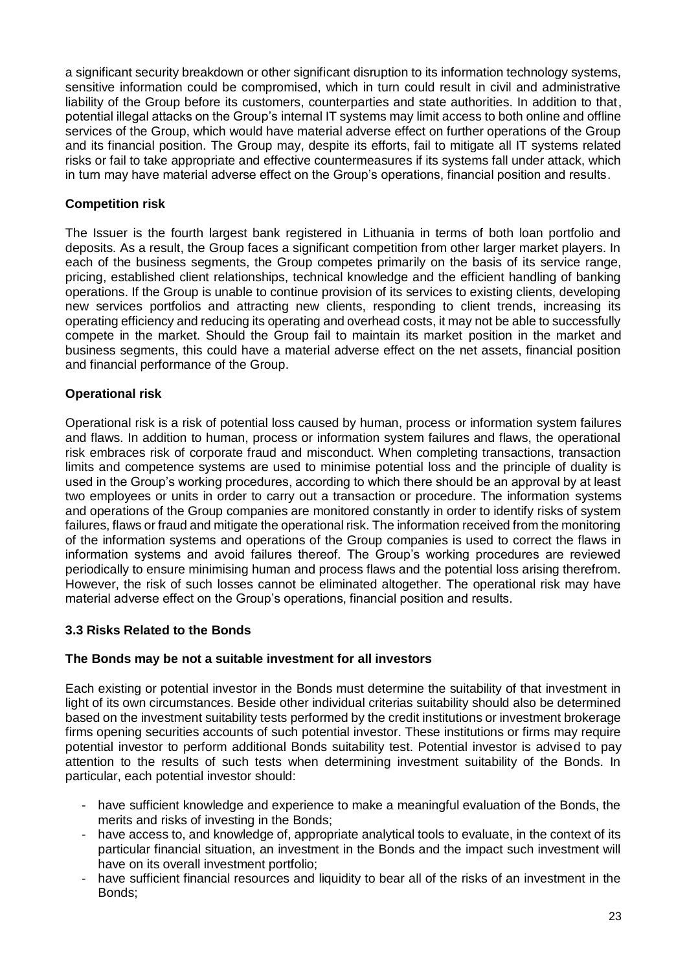a significant security breakdown or other significant disruption to its information technology systems, sensitive information could be compromised, which in turn could result in civil and administrative liability of the Group before its customers, counterparties and state authorities. In addition to that, potential illegal attacks on the Group's internal IT systems may limit access to both online and offline services of the Group, which would have material adverse effect on further operations of the Group and its financial position. The Group may, despite its efforts, fail to mitigate all IT systems related risks or fail to take appropriate and effective countermeasures if its systems fall under attack, which in turn may have material adverse effect on the Group's operations, financial position and results.

## **Competition risk**

The Issuer is the fourth largest bank registered in Lithuania in terms of both loan portfolio and deposits. As a result, the Group faces a significant competition from other larger market players. In each of the business segments, the Group competes primarily on the basis of its service range, pricing, established client relationships, technical knowledge and the efficient handling of banking operations. If the Group is unable to continue provision of its services to existing clients, developing new services portfolios and attracting new clients, responding to client trends, increasing its operating efficiency and reducing its operating and overhead costs, it may not be able to successfully compete in the market. Should the Group fail to maintain its market position in the market and business segments, this could have a material adverse effect on the net assets, financial position and financial performance of the Group.

## **Operational risk**

Operational risk is a risk of potential loss caused by human, process or information system failures and flaws. In addition to human, process or information system failures and flaws, the operational risk embraces risk of corporate fraud and misconduct. When completing transactions, transaction limits and competence systems are used to minimise potential loss and the principle of duality is used in the Group's working procedures, according to which there should be an approval by at least two employees or units in order to carry out a transaction or procedure. The information systems and operations of the Group companies are monitored constantly in order to identify risks of system failures, flaws or fraud and mitigate the operational risk. The information received from the monitoring of the information systems and operations of the Group companies is used to correct the flaws in information systems and avoid failures thereof. The Group's working procedures are reviewed periodically to ensure minimising human and process flaws and the potential loss arising therefrom. However, the risk of such losses cannot be eliminated altogether. The operational risk may have material adverse effect on the Group's operations, financial position and results.

### <span id="page-22-0"></span>**3.3 Risks Related to the Bonds**

### **The Bonds may be not a suitable investment for all investors**

Each existing or potential investor in the Bonds must determine the suitability of that investment in light of its own circumstances. Beside other individual criterias suitability should also be determined based on the investment suitability tests performed by the credit institutions or investment brokerage firms opening securities accounts of such potential investor. These institutions or firms may require potential investor to perform additional Bonds suitability test. Potential investor is advised to pay attention to the results of such tests when determining investment suitability of the Bonds. In particular, each potential investor should:

- have sufficient knowledge and experience to make a meaningful evaluation of the Bonds, the merits and risks of investing in the Bonds;
- have access to, and knowledge of, appropriate analytical tools to evaluate, in the context of its particular financial situation, an investment in the Bonds and the impact such investment will have on its overall investment portfolio;
- have sufficient financial resources and liquidity to bear all of the risks of an investment in the Bonds;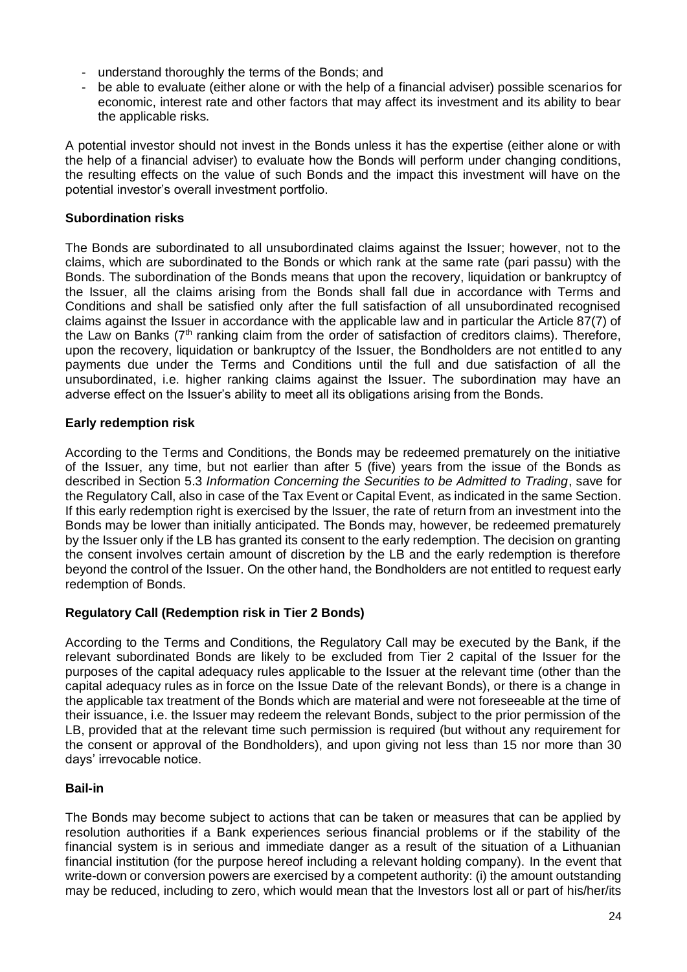- understand thoroughly the terms of the Bonds; and
- be able to evaluate (either alone or with the help of a financial adviser) possible scenarios for economic, interest rate and other factors that may affect its investment and its ability to bear the applicable risks.

A potential investor should not invest in the Bonds unless it has the expertise (either alone or with the help of a financial adviser) to evaluate how the Bonds will perform under changing conditions, the resulting effects on the value of such Bonds and the impact this investment will have on the potential investor's overall investment portfolio.

## **Subordination risks**

The Bonds are subordinated to all unsubordinated claims against the Issuer; however, not to the claims, which are subordinated to the Bonds or which rank at the same rate (pari passu) with the Bonds. The subordination of the Bonds means that upon the recovery, liquidation or bankruptcy of the Issuer, all the claims arising from the Bonds shall fall due in accordance with Terms and Conditions and shall be satisfied only after the full satisfaction of all unsubordinated recognised claims against the Issuer in accordance with the applicable law and in particular the Article 87(7) of the Law on Banks (7<sup>th</sup> ranking claim from the order of satisfaction of creditors claims). Therefore, upon the recovery, liquidation or bankruptcy of the Issuer, the Bondholders are not entitled to any payments due under the Terms and Conditions until the full and due satisfaction of all the unsubordinated, i.e. higher ranking claims against the Issuer. The subordination may have an adverse effect on the Issuer's ability to meet all its obligations arising from the Bonds.

# **Early redemption risk**

According to the Terms and Conditions, the Bonds may be redeemed prematurely on the initiative of the Issuer, any time, but not earlier than after 5 (five) years from the issue of the Bonds as described in Section 5.3 *Information Concerning the Securities to be Admitted to Trading*, save for the Regulatory Call, also in case of the Tax Event or Capital Event, as indicated in the same Section. If this early redemption right is exercised by the Issuer, the rate of return from an investment into the Bonds may be lower than initially anticipated. The Bonds may, however, be redeemed prematurely by the Issuer only if the LB has granted its consent to the early redemption. The decision on granting the consent involves certain amount of discretion by the LB and the early redemption is therefore beyond the control of the Issuer. On the other hand, the Bondholders are not entitled to request early redemption of Bonds.

# **Regulatory Call (Redemption risk in Tier 2 Bonds)**

According to the Terms and Conditions, the Regulatory Call may be executed by the Bank, if the relevant subordinated Bonds are likely to be excluded from Tier 2 capital of the Issuer for the purposes of the capital adequacy rules applicable to the Issuer at the relevant time (other than the capital adequacy rules as in force on the Issue Date of the relevant Bonds), or there is a change in the applicable tax treatment of the Bonds which are material and were not foreseeable at the time of their issuance, i.e. the Issuer may redeem the relevant Bonds, subject to the prior permission of the LB, provided that at the relevant time such permission is required (but without any requirement for the consent or approval of the Bondholders), and upon giving not less than 15 nor more than 30 days' irrevocable notice.

# **Bail-in**

The Bonds may become subject to actions that can be taken or measures that can be applied by resolution authorities if a Bank experiences serious financial problems or if the stability of the financial system is in serious and immediate danger as a result of the situation of a Lithuanian financial institution (for the purpose hereof including a relevant holding company). In the event that write-down or conversion powers are exercised by a competent authority: (i) the amount outstanding may be reduced, including to zero, which would mean that the Investors lost all or part of his/her/its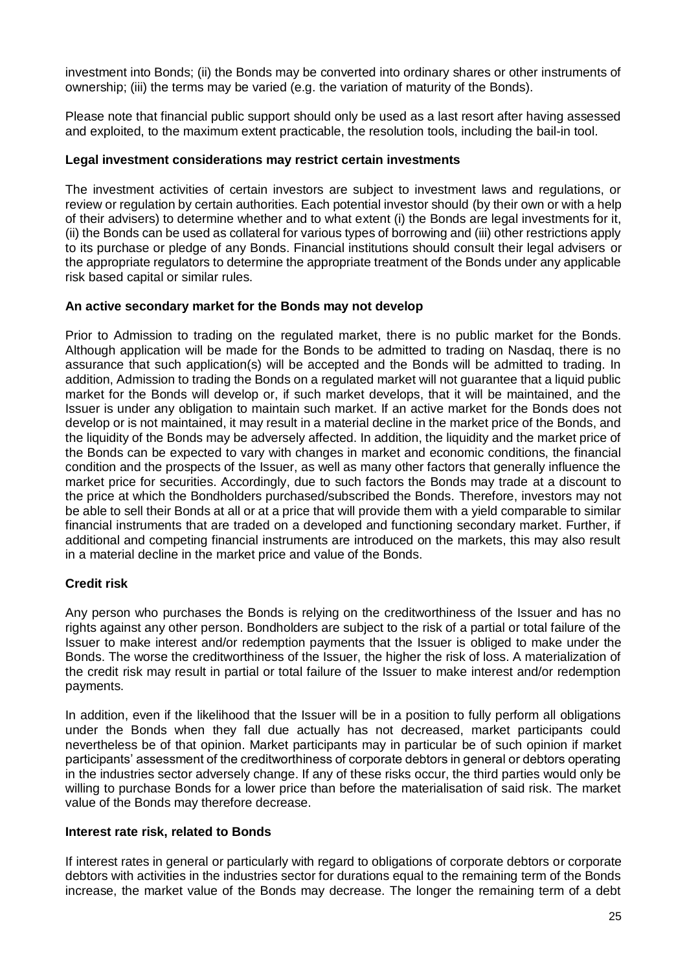investment into Bonds; (ii) the Bonds may be converted into ordinary shares or other instruments of ownership; (iii) the terms may be varied (e.g. the variation of maturity of the Bonds).

Please note that financial public support should only be used as a last resort after having assessed and exploited, to the maximum extent practicable, the resolution tools, including the bail-in tool.

## **Legal investment considerations may restrict certain investments**

The investment activities of certain investors are subject to investment laws and regulations, or review or regulation by certain authorities. Each potential investor should (by their own or with a help of their advisers) to determine whether and to what extent (i) the Bonds are legal investments for it, (ii) the Bonds can be used as collateral for various types of borrowing and (iii) other restrictions apply to its purchase or pledge of any Bonds. Financial institutions should consult their legal advisers or the appropriate regulators to determine the appropriate treatment of the Bonds under any applicable risk based capital or similar rules.

## **An active secondary market for the Bonds may not develop**

Prior to Admission to trading on the regulated market, there is no public market for the Bonds. Although application will be made for the Bonds to be admitted to trading on Nasdaq, there is no assurance that such application(s) will be accepted and the Bonds will be admitted to trading. In addition, Admission to trading the Bonds on a regulated market will not guarantee that a liquid public market for the Bonds will develop or, if such market develops, that it will be maintained, and the Issuer is under any obligation to maintain such market. If an active market for the Bonds does not develop or is not maintained, it may result in a material decline in the market price of the Bonds, and the liquidity of the Bonds may be adversely affected. In addition, the liquidity and the market price of the Bonds can be expected to vary with changes in market and economic conditions, the financial condition and the prospects of the Issuer, as well as many other factors that generally influence the market price for securities. Accordingly, due to such factors the Bonds may trade at a discount to the price at which the Bondholders purchased/subscribed the Bonds. Therefore, investors may not be able to sell their Bonds at all or at a price that will provide them with a yield comparable to similar financial instruments that are traded on a developed and functioning secondary market. Further, if additional and competing financial instruments are introduced on the markets, this may also result in a material decline in the market price and value of the Bonds.

### **Credit risk**

Any person who purchases the Bonds is relying on the creditworthiness of the Issuer and has no rights against any other person. Bondholders are subject to the risk of a partial or total failure of the Issuer to make interest and/or redemption payments that the Issuer is obliged to make under the Bonds. The worse the creditworthiness of the Issuer, the higher the risk of loss. A materialization of the credit risk may result in partial or total failure of the Issuer to make interest and/or redemption payments.

In addition, even if the likelihood that the Issuer will be in a position to fully perform all obligations under the Bonds when they fall due actually has not decreased, market participants could nevertheless be of that opinion. Market participants may in particular be of such opinion if market participants' assessment of the creditworthiness of corporate debtors in general or debtors operating in the industries sector adversely change. If any of these risks occur, the third parties would only be willing to purchase Bonds for a lower price than before the materialisation of said risk. The market value of the Bonds may therefore decrease.

### **Interest rate risk, related to Bonds**

If interest rates in general or particularly with regard to obligations of corporate debtors or corporate debtors with activities in the industries sector for durations equal to the remaining term of the Bonds increase, the market value of the Bonds may decrease. The longer the remaining term of a debt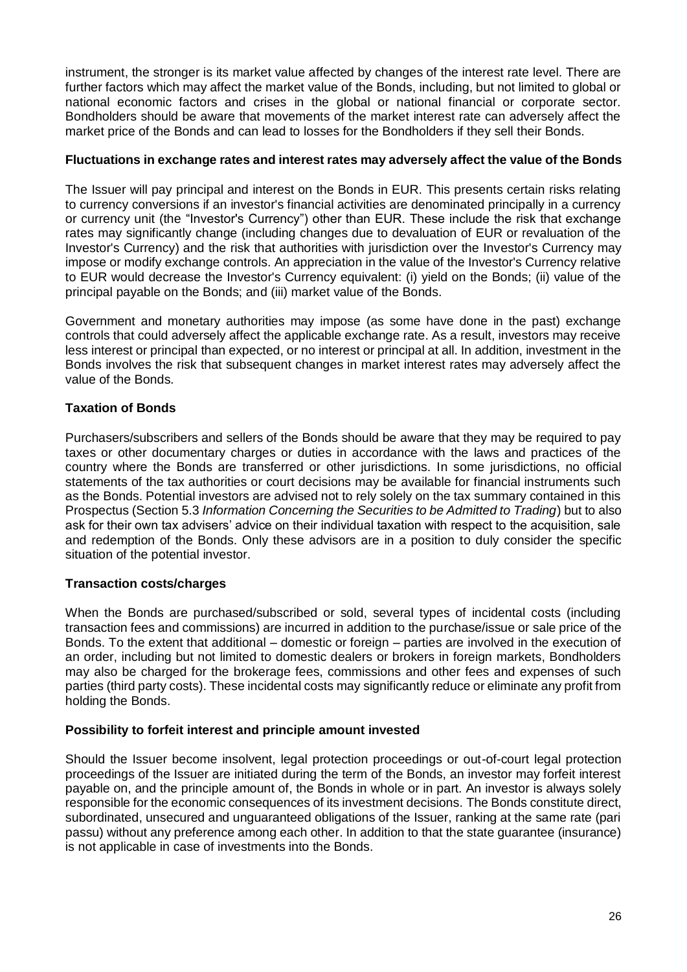instrument, the stronger is its market value affected by changes of the interest rate level. There are further factors which may affect the market value of the Bonds, including, but not limited to global or national economic factors and crises in the global or national financial or corporate sector. Bondholders should be aware that movements of the market interest rate can adversely affect the market price of the Bonds and can lead to losses for the Bondholders if they sell their Bonds.

## **Fluctuations in exchange rates and interest rates may adversely affect the value of the Bonds**

The Issuer will pay principal and interest on the Bonds in EUR. This presents certain risks relating to currency conversions if an investor's financial activities are denominated principally in a currency or currency unit (the "Investor's Currency") other than EUR. These include the risk that exchange rates may significantly change (including changes due to devaluation of EUR or revaluation of the Investor's Currency) and the risk that authorities with jurisdiction over the Investor's Currency may impose or modify exchange controls. An appreciation in the value of the Investor's Currency relative to EUR would decrease the Investor's Currency equivalent: (i) yield on the Bonds; (ii) value of the principal payable on the Bonds; and (iii) market value of the Bonds.

Government and monetary authorities may impose (as some have done in the past) exchange controls that could adversely affect the applicable exchange rate. As a result, investors may receive less interest or principal than expected, or no interest or principal at all. In addition, investment in the Bonds involves the risk that subsequent changes in market interest rates may adversely affect the value of the Bonds.

# **Taxation of Bonds**

Purchasers/subscribers and sellers of the Bonds should be aware that they may be required to pay taxes or other documentary charges or duties in accordance with the laws and practices of the country where the Bonds are transferred or other jurisdictions. In some jurisdictions, no official statements of the tax authorities or court decisions may be available for financial instruments such as the Bonds. Potential investors are advised not to rely solely on the tax summary contained in this Prospectus (Section 5.3 *Information Concerning the Securities to be Admitted to Trading*) but to also ask for their own tax advisers' advice on their individual taxation with respect to the acquisition, sale and redemption of the Bonds. Only these advisors are in a position to duly consider the specific situation of the potential investor.

# **Transaction costs/charges**

When the Bonds are purchased/subscribed or sold, several types of incidental costs (including transaction fees and commissions) are incurred in addition to the purchase/issue or sale price of the Bonds. To the extent that additional – domestic or foreign – parties are involved in the execution of an order, including but not limited to domestic dealers or brokers in foreign markets, Bondholders may also be charged for the brokerage fees, commissions and other fees and expenses of such parties (third party costs). These incidental costs may significantly reduce or eliminate any profit from holding the Bonds.

# **Possibility to forfeit interest and principle amount invested**

Should the Issuer become insolvent, legal protection proceedings or out-of-court legal protection proceedings of the Issuer are initiated during the term of the Bonds, an investor may forfeit interest payable on, and the principle amount of, the Bonds in whole or in part. An investor is always solely responsible for the economic consequences of its investment decisions. The Bonds constitute direct, subordinated, unsecured and unguaranteed obligations of the Issuer, ranking at the same rate (pari passu) without any preference among each other. In addition to that the state guarantee (insurance) is not applicable in case of investments into the Bonds.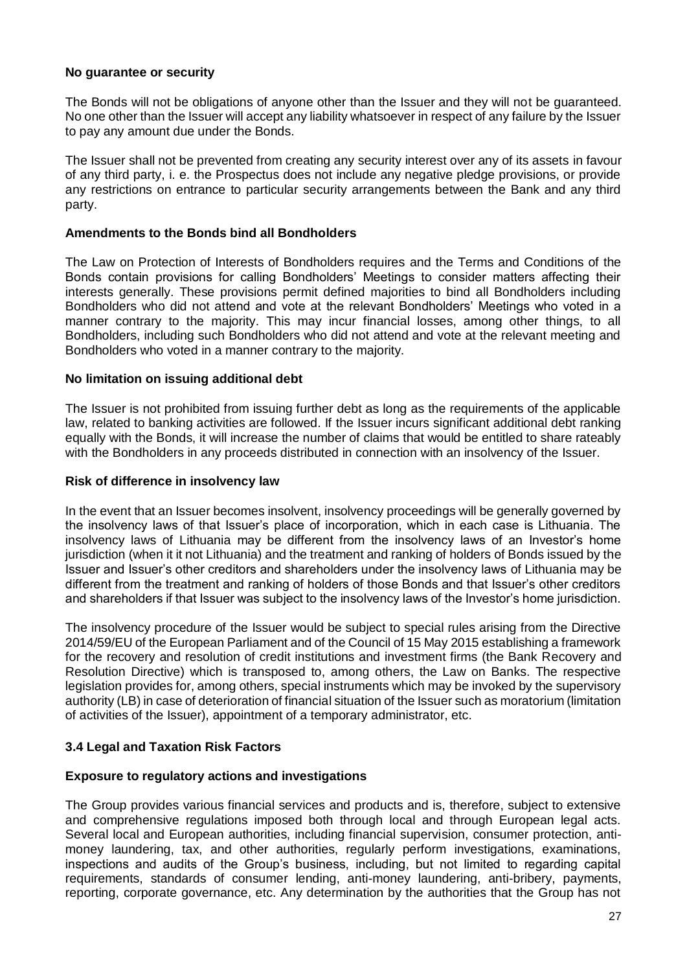### **No guarantee or security**

The Bonds will not be obligations of anyone other than the Issuer and they will not be guaranteed. No one other than the Issuer will accept any liability whatsoever in respect of any failure by the Issuer to pay any amount due under the Bonds.

The Issuer shall not be prevented from creating any security interest over any of its assets in favour of any third party, i. e. the Prospectus does not include any negative pledge provisions, or provide any restrictions on entrance to particular security arrangements between the Bank and any third party.

#### **Amendments to the Bonds bind all Bondholders**

The Law on Protection of Interests of Bondholders requires and the Terms and Conditions of the Bonds contain provisions for calling Bondholders' Meetings to consider matters affecting their interests generally. These provisions permit defined majorities to bind all Bondholders including Bondholders who did not attend and vote at the relevant Bondholders' Meetings who voted in a manner contrary to the majority. This may incur financial losses, among other things, to all Bondholders, including such Bondholders who did not attend and vote at the relevant meeting and Bondholders who voted in a manner contrary to the majority.

#### **No limitation on issuing additional debt**

The Issuer is not prohibited from issuing further debt as long as the requirements of the applicable law, related to banking activities are followed. If the Issuer incurs significant additional debt ranking equally with the Bonds, it will increase the number of claims that would be entitled to share rateably with the Bondholders in any proceeds distributed in connection with an insolvency of the Issuer.

#### **Risk of difference in insolvency law**

In the event that an Issuer becomes insolvent, insolvency proceedings will be generally governed by the insolvency laws of that Issuer's place of incorporation, which in each case is Lithuania. The insolvency laws of Lithuania may be different from the insolvency laws of an Investor's home jurisdiction (when it it not Lithuania) and the treatment and ranking of holders of Bonds issued by the Issuer and Issuer's other creditors and shareholders under the insolvency laws of Lithuania may be different from the treatment and ranking of holders of those Bonds and that Issuer's other creditors and shareholders if that Issuer was subject to the insolvency laws of the Investor's home jurisdiction.

The insolvency procedure of the Issuer would be subject to special rules arising from the Directive 2014/59/EU of the European Parliament and of the Council of 15 May 2015 establishing a framework for the recovery and resolution of credit institutions and investment firms (the Bank Recovery and Resolution Directive) which is transposed to, among others, the Law on Banks. The respective legislation provides for, among others, special instruments which may be invoked by the supervisory authority (LB) in case of deterioration of financial situation of the Issuer such as moratorium (limitation of activities of the Issuer), appointment of a temporary administrator, etc.

### <span id="page-26-0"></span>**3.4 Legal and Taxation Risk Factors**

### **Exposure to regulatory actions and investigations**

The Group provides various financial services and products and is, therefore, subject to extensive and comprehensive regulations imposed both through local and through European legal acts. Several local and European authorities, including financial supervision, consumer protection, antimoney laundering, tax, and other authorities, regularly perform investigations, examinations, inspections and audits of the Group's business, including, but not limited to regarding capital requirements, standards of consumer lending, anti-money laundering, anti-bribery, payments, reporting, corporate governance, etc. Any determination by the authorities that the Group has not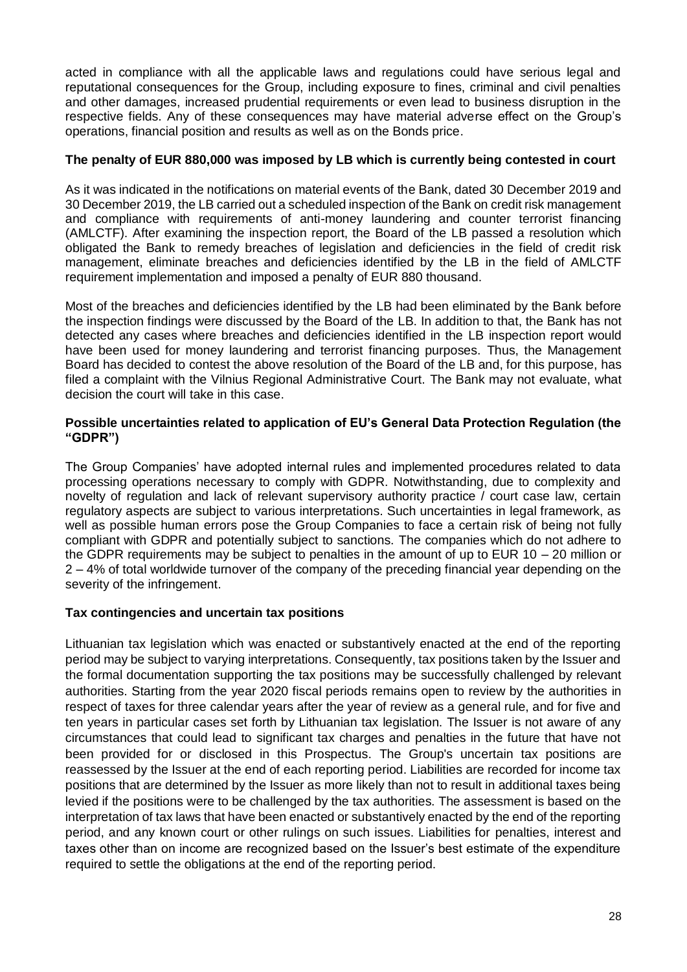acted in compliance with all the applicable laws and regulations could have serious legal and reputational consequences for the Group, including exposure to fines, criminal and civil penalties and other damages, increased prudential requirements or even lead to business disruption in the respective fields. Any of these consequences may have material adverse effect on the Group's operations, financial position and results as well as on the Bonds price.

## **The penalty of EUR 880,000 was imposed by LB which is currently being contested in court**

As it was indicated in the notifications on material events of the Bank, dated 30 December 2019 and 30 December 2019, the LB carried out a scheduled inspection of the Bank on credit risk management and compliance with requirements of anti-money laundering and counter terrorist financing (AMLCTF). After examining the inspection report, the Board of the LB passed a resolution which obligated the Bank to remedy breaches of legislation and deficiencies in the field of credit risk management, eliminate breaches and deficiencies identified by the LB in the field of AMLCTF requirement implementation and imposed a penalty of EUR 880 thousand.

Most of the breaches and deficiencies identified by the LB had been eliminated by the Bank before the inspection findings were discussed by the Board of the LB. In addition to that, the Bank has not detected any cases where breaches and deficiencies identified in the LB inspection report would have been used for money laundering and terrorist financing purposes. Thus, the Management Board has decided to contest the above resolution of the Board of the LB and, for this purpose, has filed a complaint with the Vilnius Regional Administrative Court. The Bank may not evaluate, what decision the court will take in this case.

#### **Possible uncertainties related to application of EU's General Data Protection Regulation (the "GDPR")**

The Group Companies' have adopted internal rules and implemented procedures related to data processing operations necessary to comply with GDPR. Notwithstanding, due to complexity and novelty of regulation and lack of relevant supervisory authority practice / court case law, certain regulatory aspects are subject to various interpretations. Such uncertainties in legal framework, as well as possible human errors pose the Group Companies to face a certain risk of being not fully compliant with GDPR and potentially subject to sanctions. The companies which do not adhere to the GDPR requirements may be subject to penalties in the amount of up to EUR 10 – 20 million or 2 – 4% of total worldwide turnover of the company of the preceding financial year depending on the severity of the infringement.

### **Tax contingencies and uncertain tax positions**

Lithuanian tax legislation which was enacted or substantively enacted at the end of the reporting period may be subject to varying interpretations. Consequently, tax positions taken by the Issuer and the formal documentation supporting the tax positions may be successfully challenged by relevant authorities. Starting from the year 2020 fiscal periods remains open to review by the authorities in respect of taxes for three calendar years after the year of review as a general rule, and for five and ten years in particular cases set forth by Lithuanian tax legislation. The Issuer is not aware of any circumstances that could lead to significant tax charges and penalties in the future that have not been provided for or disclosed in this Prospectus. The Group's uncertain tax positions are reassessed by the Issuer at the end of each reporting period. Liabilities are recorded for income tax positions that are determined by the Issuer as more likely than not to result in additional taxes being levied if the positions were to be challenged by the tax authorities. The assessment is based on the interpretation of tax laws that have been enacted or substantively enacted by the end of the reporting period, and any known court or other rulings on such issues. Liabilities for penalties, interest and taxes other than on income are recognized based on the Issuer's best estimate of the expenditure required to settle the obligations at the end of the reporting period.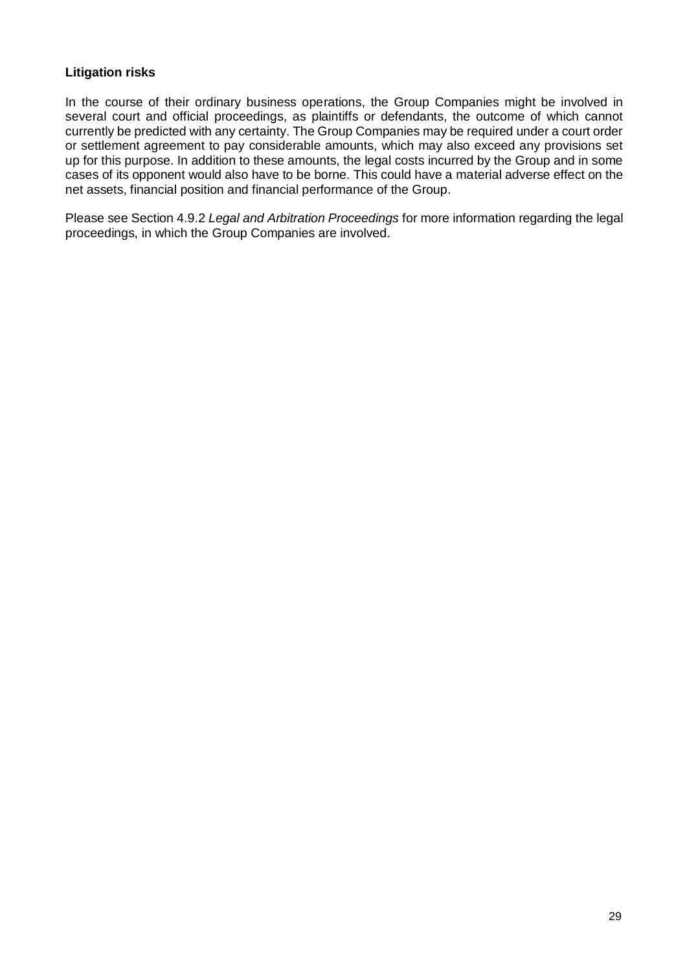# **Litigation risks**

In the course of their ordinary business operations, the Group Companies might be involved in several court and official proceedings, as plaintiffs or defendants, the outcome of which cannot currently be predicted with any certainty. The Group Companies may be required under a court order or settlement agreement to pay considerable amounts, which may also exceed any provisions set up for this purpose. In addition to these amounts, the legal costs incurred by the Group and in some cases of its opponent would also have to be borne. This could have a material adverse effect on the net assets, financial position and financial performance of the Group.

Please see Section 4.9.2 *Legal and Arbitration Proceedings* for more information regarding the legal proceedings, in which the Group Companies are involved.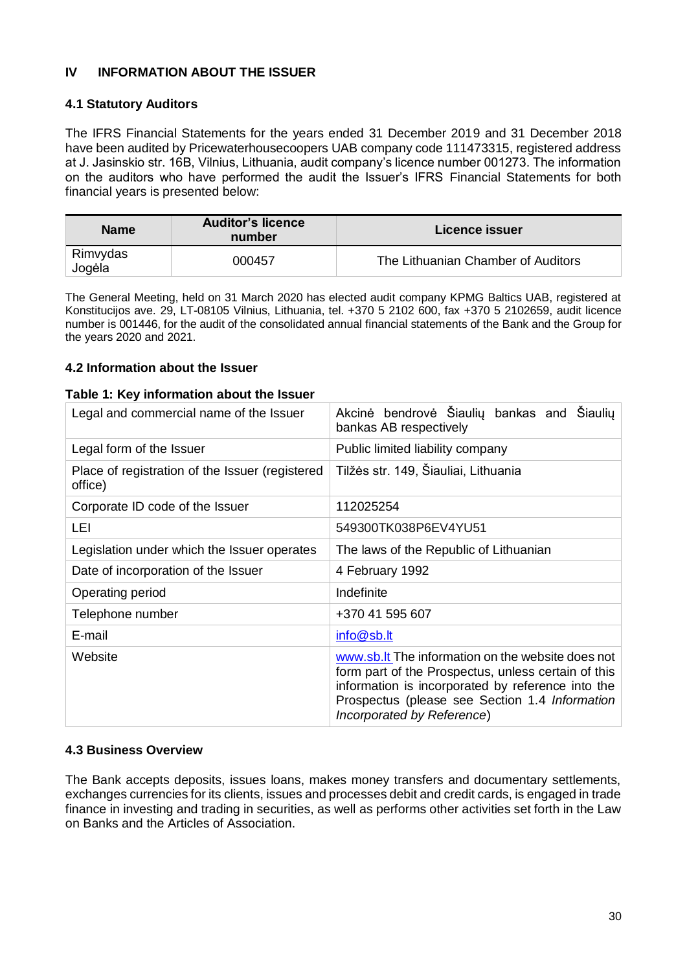# <span id="page-29-0"></span>**IV INFORMATION ABOUT THE ISSUER**

### <span id="page-29-1"></span>**4.1 Statutory Auditors**

The IFRS Financial Statements for the years ended 31 December 2019 and 31 December 2018 have been audited by Pricewaterhousecoopers UAB company code 111473315, registered address at J. Jasinskio str. 16B, Vilnius, Lithuania, audit company's licence number 001273. The information on the auditors who have performed the audit the Issuer's IFRS Financial Statements for both financial years is presented below:

| <b>Name</b>        | <b>Auditor's licence</b><br>number | Licence issuer                     |
|--------------------|------------------------------------|------------------------------------|
| Rimvydas<br>Jogėla | 000457                             | The Lithuanian Chamber of Auditors |

The General Meeting, held on 31 March 2020 has elected audit company KPMG Baltics UAB, registered at Konstitucijos ave. 29, LT-08105 Vilnius, Lithuania, tel. +370 5 2102 600, fax +370 5 2102659, audit licence number is 001446, for the audit of the consolidated annual financial statements of the Bank and the Group for the years 2020 and 2021.

#### <span id="page-29-2"></span>**4.2 Information about the Issuer**

#### **Table 1: Key information about the Issuer**

| Legal and commercial name of the Issuer                    | Akcinė bendrovė Šiaulių bankas and Šiaulių<br>bankas AB respectively                                                                                                                                                                          |
|------------------------------------------------------------|-----------------------------------------------------------------------------------------------------------------------------------------------------------------------------------------------------------------------------------------------|
| Legal form of the Issuer                                   | Public limited liability company                                                                                                                                                                                                              |
| Place of registration of the Issuer (registered<br>office) | Tilžės str. 149, Šiauliai, Lithuania                                                                                                                                                                                                          |
| Corporate ID code of the Issuer                            | 112025254                                                                                                                                                                                                                                     |
| LEI                                                        | 549300TK038P6EV4YU51                                                                                                                                                                                                                          |
| Legislation under which the Issuer operates                | The laws of the Republic of Lithuanian                                                                                                                                                                                                        |
| Date of incorporation of the Issuer                        | 4 February 1992                                                                                                                                                                                                                               |
| Operating period                                           | Indefinite                                                                                                                                                                                                                                    |
| Telephone number                                           | +370 41 595 607                                                                                                                                                                                                                               |
| E-mail                                                     | info@sb.lt                                                                                                                                                                                                                                    |
| Website                                                    | www.sb.lt The information on the website does not<br>form part of the Prospectus, unless certain of this<br>information is incorporated by reference into the<br>Prospectus (please see Section 1.4 Information<br>Incorporated by Reference) |

### <span id="page-29-3"></span>**4.3 Business Overview**

The Bank accepts deposits, issues loans, makes money transfers and documentary settlements, exchanges currencies for its clients, issues and processes debit and credit cards, is engaged in trade finance in investing and trading in securities, as well as performs other activities set forth in the Law on Banks and the Articles of Association.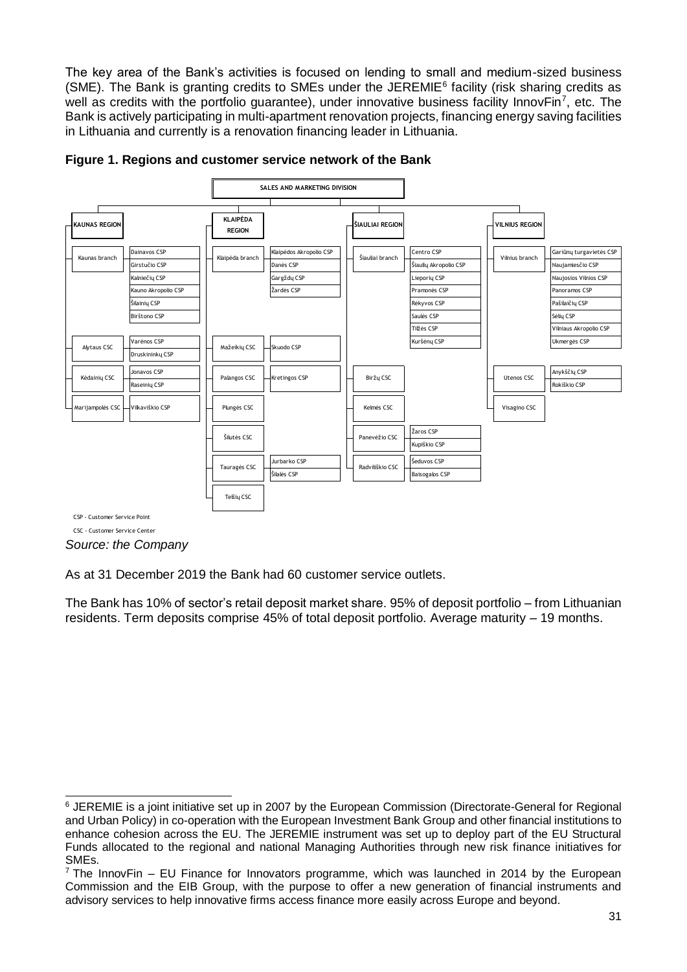The key area of the Bank's activities is focused on lending to small and medium-sized business (SME). The Bank is granting credits to SMEs under the JEREMIE<sup>6</sup> facility (risk sharing credits as well as credits with the portfolio guarantee), under innovative business facility InnovFin<sup>7</sup>, etc. The Bank is actively participating in multi-apartment renovation projects, financing energy saving facilities in Lithuania and currently is a renovation financing leader in Lithuania.



#### **Figure 1. Regions and customer service network of the Bank**

CSC - Customer Service Center

*Source: the Company*

As at 31 December 2019 the Bank had 60 customer service outlets.

The Bank has 10% of sector's retail deposit market share. 95% of deposit portfolio – from Lithuanian residents. Term deposits comprise 45% of total deposit portfolio. Average maturity – 19 months.

<sup>-</sup><sup>6</sup> JEREMIE is a joint initiative set up in 2007 by the European Commission (Directorate-General for Regional and Urban Policy) in co-operation with the European Investment Bank Group and other financial institutions to enhance cohesion across the EU. The JEREMIE instrument was set up to deploy part of the EU Structural Funds allocated to the regional and national Managing Authorities through new risk finance initiatives for SMEs.

 $7$  The InnovFin – EU Finance for Innovators programme, which was launched in 2014 by the European Commission and the EIB Group, with the purpose to offer a new generation of financial instruments and advisory services to help innovative firms access finance more easily across Europe and beyond.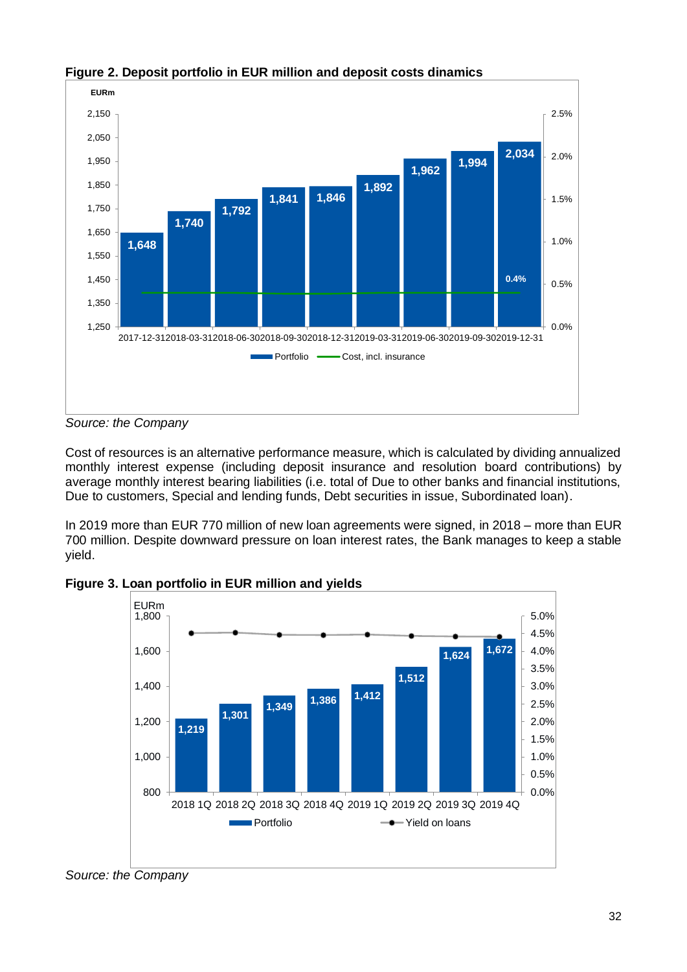

**Figure 2. Deposit portfolio in EUR million and deposit costs dinamics**

*Source: the Company*

Cost of resources is an alternative performance measure, which is calculated by dividing annualized monthly interest expense (including deposit insurance and resolution board contributions) by average monthly interest bearing liabilities (i.e. total of Due to other banks and financial institutions, Due to customers, Special and lending funds, Debt securities in issue, Subordinated loan).

In 2019 more than EUR 770 million of new loan agreements were signed, in 2018 – more than EUR 700 million. Despite downward pressure on loan interest rates, the Bank manages to keep a stable yield.



**Figure 3. Loan portfolio in EUR million and yields**

*Source: the Company*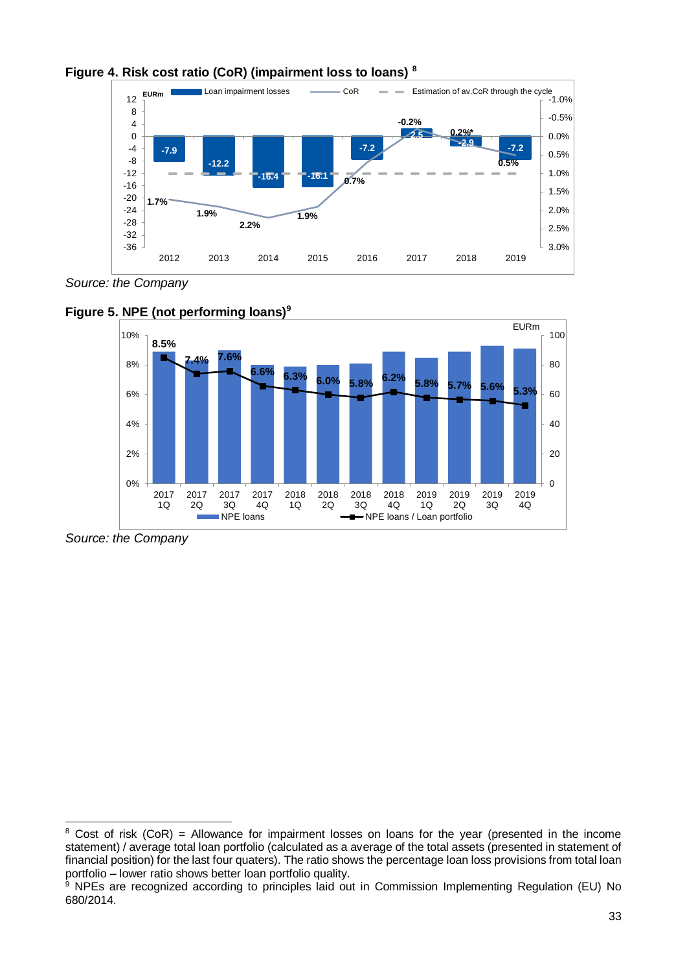



*Source: the Company*



**Figure 5. NPE (not performing loans)<sup>9</sup>**

*Source: the Company*

 $\overline{a}$ 

 $8$  Cost of risk (CoR) = Allowance for impairment losses on loans for the year (presented in the income statement) / average total loan portfolio (calculated as a average of the total assets (presented in statement of financial position) for the last four quaters). The ratio shows the percentage loan loss provisions from total loan portfolio – lower ratio shows better loan portfolio quality.

<sup>&</sup>lt;sup>9</sup> NPEs are recognized according to principles laid out in Commission Implementing Regulation (EU) No 680/2014.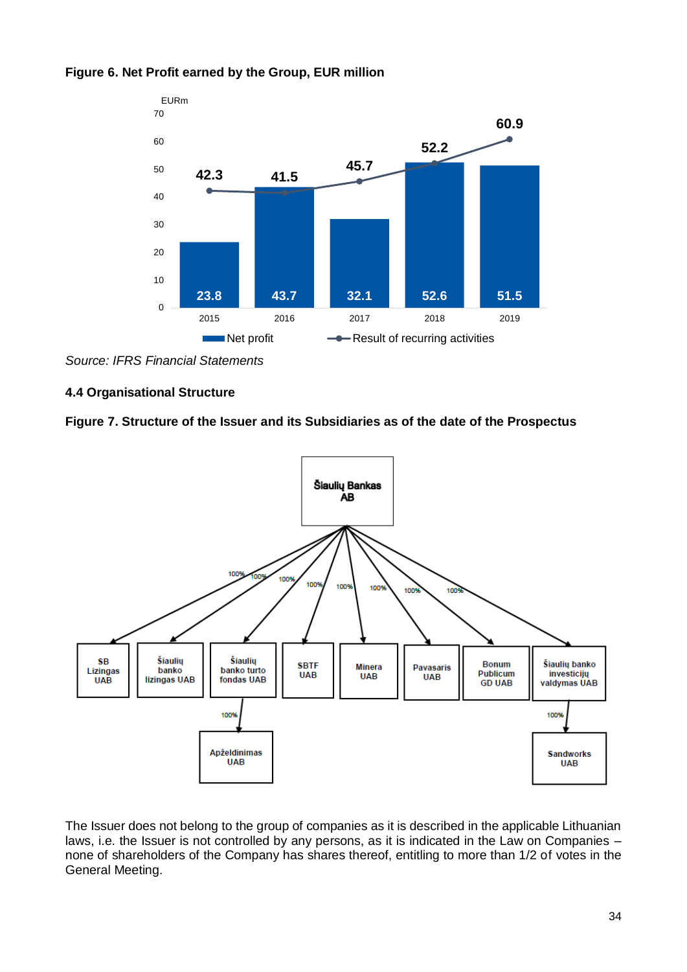

#### **Figure 6. Net Profit earned by the Group, EUR million**

### <span id="page-33-0"></span>**4.4 Organisational Structure**





The Issuer does not belong to the group of companies as it is described in the applicable Lithuanian laws, i.e. the Issuer is not controlled by any persons, as it is indicated in the Law on Companies – none of shareholders of the Company has shares thereof, entitling to more than 1/2 of votes in the General Meeting.

*Source: IFRS Financial Statements*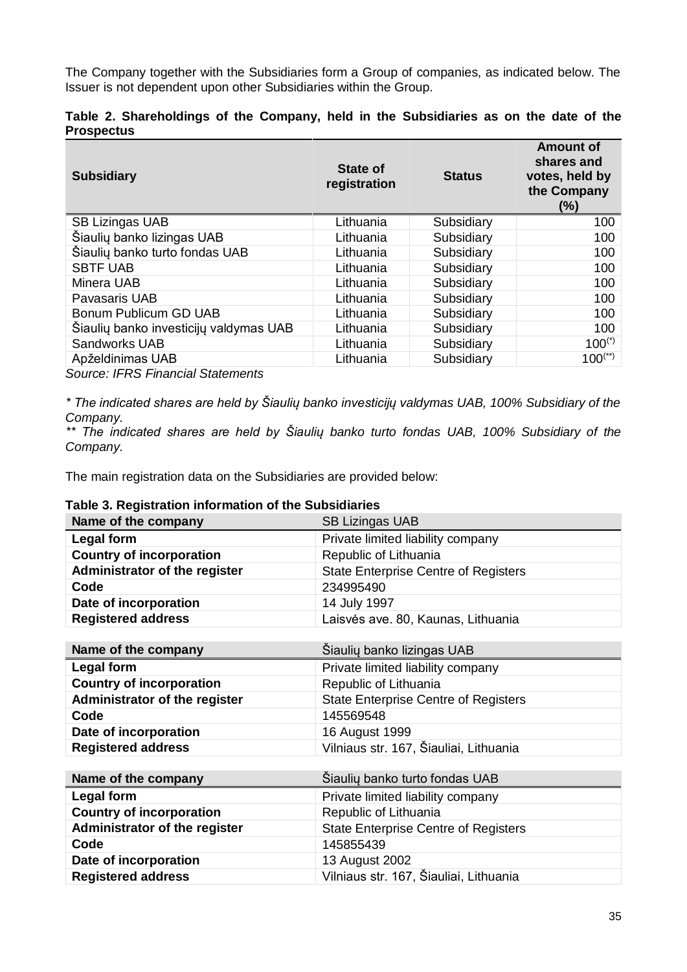The Company together with the Subsidiaries form a Group of companies, as indicated below. The Issuer is not dependent upon other Subsidiaries within the Group.

|                   | Table 2. Shareholdings of the Company, held in the Subsidiaries as on the date of the |  |  |  |  |  |  |
|-------------------|---------------------------------------------------------------------------------------|--|--|--|--|--|--|
| <b>Prospectus</b> |                                                                                       |  |  |  |  |  |  |

| <b>Subsidiary</b>                      | <b>State of</b><br>registration | <b>Status</b> | <b>Amount of</b><br>shares and<br>votes, held by<br>the Company<br>$(\%)$ |
|----------------------------------------|---------------------------------|---------------|---------------------------------------------------------------------------|
| <b>SB Lizingas UAB</b>                 | Lithuania                       | Subsidiary    | 100                                                                       |
| Šiaulių banko lizingas UAB             | Lithuania                       | Subsidiary    | 100                                                                       |
| Šiaulių banko turto fondas UAB         | Lithuania                       | Subsidiary    | 100                                                                       |
| <b>SBTF UAB</b>                        | Lithuania                       | Subsidiary    | 100                                                                       |
| Minera UAB                             | Lithuania                       | Subsidiary    | 100                                                                       |
| Pavasaris UAB                          | Lithuania                       | Subsidiary    | 100                                                                       |
| Bonum Publicum GD UAB                  | Lithuania                       | Subsidiary    | 100                                                                       |
| Šiaulių banko investicijų valdymas UAB | Lithuania                       | Subsidiary    | 100                                                                       |
| Sandworks UAB                          | Lithuania                       | Subsidiary    | $100^{(*)}$                                                               |
| Apželdinimas UAB                       | Lithuania                       | Subsidiary    | $100^{(*)}$                                                               |
|                                        |                                 |               |                                                                           |

*Source: IFRS Financial Statements*

*\* The indicated shares are held by Šiaulių banko investicijų valdymas UAB, 100% Subsidiary of the Company.*

*\*\* The indicated shares are held by Šiaulių banko turto fondas UAB, 100% Subsidiary of the Company.*

The main registration data on the Subsidiaries are provided below:

# **Table 3. Registration information of the Subsidiaries**

| $\sim$ , which are also the contract of the contract $\sim$ . The contract $\sim$ |                                             |  |
|-----------------------------------------------------------------------------------|---------------------------------------------|--|
| Name of the company                                                               | <b>SB Lizingas UAB</b>                      |  |
| Legal form                                                                        | Private limited liability company           |  |
| <b>Country of incorporation</b>                                                   | Republic of Lithuania                       |  |
| Administrator of the register                                                     | <b>State Enterprise Centre of Registers</b> |  |
| Code                                                                              | 234995490                                   |  |
| Date of incorporation                                                             | 14 July 1997                                |  |
| <b>Registered address</b>                                                         | Laisvės ave. 80, Kaunas, Lithuania          |  |
|                                                                                   |                                             |  |

| Name of the company             | Šiaulių banko lizingas UAB                  |
|---------------------------------|---------------------------------------------|
| Legal form                      | Private limited liability company           |
| <b>Country of incorporation</b> | Republic of Lithuania                       |
| Administrator of the register   | <b>State Enterprise Centre of Registers</b> |
| Code                            | 145569548                                   |
| Date of incorporation           | 16 August 1999                              |
| <b>Registered address</b>       | Vilniaus str. 167, Šiauliai, Lithuania      |

| Name of the company             | Šiaulių banko turto fondas UAB              |
|---------------------------------|---------------------------------------------|
| Legal form                      | Private limited liability company           |
| <b>Country of incorporation</b> | Republic of Lithuania                       |
| Administrator of the register   | <b>State Enterprise Centre of Registers</b> |
| Code                            | 145855439                                   |
| Date of incorporation           | 13 August 2002                              |
| <b>Registered address</b>       | Vilniaus str. 167, Šiauliai, Lithuania      |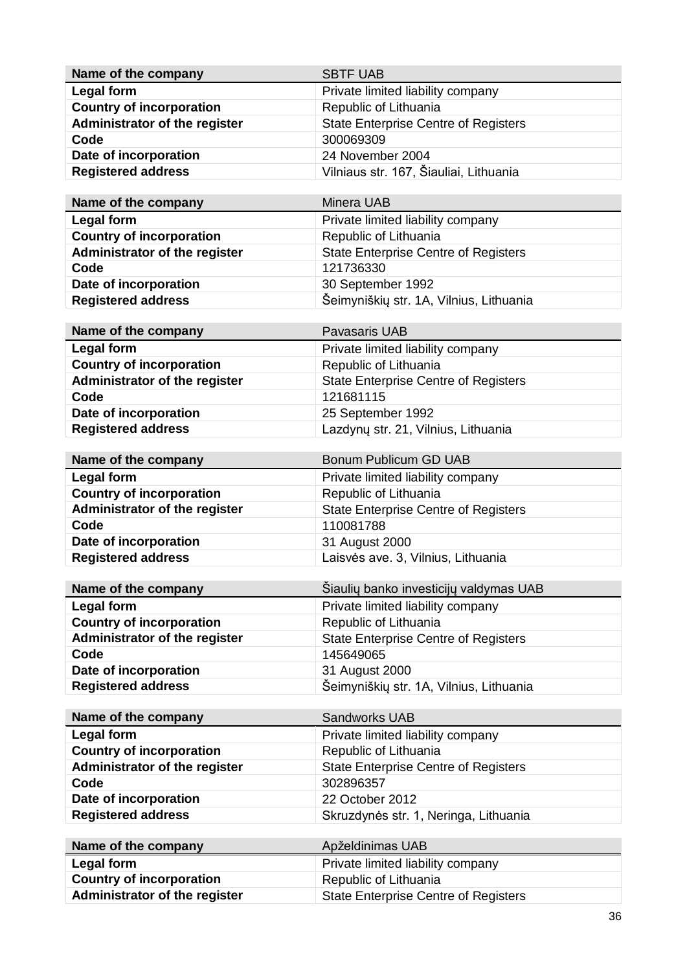| Name of the company             | <b>SBTF UAB</b>                             |
|---------------------------------|---------------------------------------------|
| Legal form                      | Private limited liability company           |
| <b>Country of incorporation</b> | Republic of Lithuania                       |
| Administrator of the register   | <b>State Enterprise Centre of Registers</b> |
| Code                            | 300069309                                   |
| Date of incorporation           | 24 November 2004                            |
| <b>Registered address</b>       | Vilniaus str. 167, Šiauliai, Lithuania      |

| Name of the company             | Minera UAB                                  |
|---------------------------------|---------------------------------------------|
| Legal form                      | Private limited liability company           |
| <b>Country of incorporation</b> | Republic of Lithuania                       |
| Administrator of the register   | <b>State Enterprise Centre of Registers</b> |
| Code                            | 121736330                                   |
| Date of incorporation           | 30 September 1992                           |
| <b>Registered address</b>       | Šeimyniškių str. 1A, Vilnius, Lithuania     |

| Name of the company             | Pavasaris UAB                               |
|---------------------------------|---------------------------------------------|
| Legal form                      | Private limited liability company           |
| <b>Country of incorporation</b> | Republic of Lithuania                       |
| Administrator of the register   | <b>State Enterprise Centre of Registers</b> |
| Code                            | 121681115                                   |
| Date of incorporation           | 25 September 1992                           |
| <b>Registered address</b>       | Lazdynų str. 21, Vilnius, Lithuania         |

| Name of the company             | Bonum Publicum GD UAB                       |
|---------------------------------|---------------------------------------------|
| Legal form                      | Private limited liability company           |
| <b>Country of incorporation</b> | Republic of Lithuania                       |
| Administrator of the register   | <b>State Enterprise Centre of Registers</b> |
| Code                            | 110081788                                   |
| Date of incorporation           | 31 August 2000                              |
| <b>Registered address</b>       | Laisvės ave. 3, Vilnius, Lithuania          |

| Name of the company             | Šiaulių banko investicijų valdymas UAB      |
|---------------------------------|---------------------------------------------|
| Legal form                      | Private limited liability company           |
| <b>Country of incorporation</b> | Republic of Lithuania                       |
| Administrator of the register   | <b>State Enterprise Centre of Registers</b> |
| Code                            | 145649065                                   |
| Date of incorporation           | 31 August 2000                              |
| <b>Registered address</b>       | Šeimyniškių str. 1A, Vilnius, Lithuania     |

| Name of the company             | <b>Sandworks UAB</b>                        |
|---------------------------------|---------------------------------------------|
| Legal form                      | Private limited liability company           |
| <b>Country of incorporation</b> | Republic of Lithuania                       |
| Administrator of the register   | <b>State Enterprise Centre of Registers</b> |
| Code                            | 302896357                                   |
| Date of incorporation           | 22 October 2012                             |
| <b>Registered address</b>       | Skruzdynės str. 1, Neringa, Lithuania       |
|                                 |                                             |
| Name of the company             | Anželdinimas LIAR                           |

| AUZUUIIIIIIIAS UAD                   |
|--------------------------------------|
| Private limited liability company    |
| Republic of Lithuania                |
| State Enterprise Centre of Registers |
|                                      |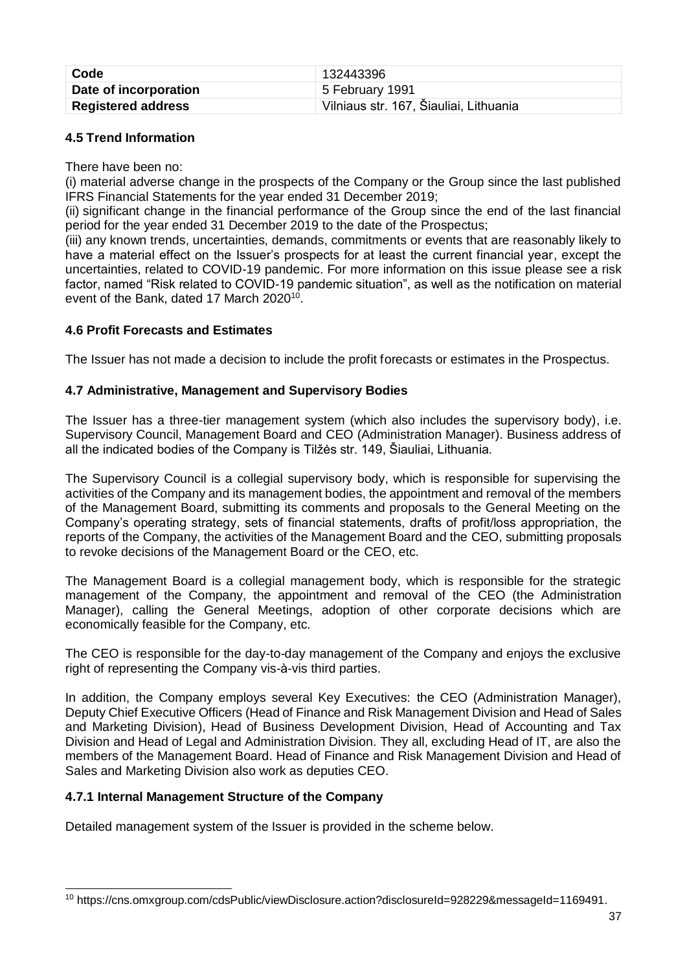| Code                      | 132443396                              |
|---------------------------|----------------------------------------|
| Date of incorporation     | 5 February 1991                        |
| <b>Registered address</b> | Vilniaus str. 167, Šiauliai, Lithuania |

# <span id="page-36-0"></span>**4.5 Trend Information**

There have been no:

(i) material adverse change in the prospects of the Company or the Group since the last published IFRS Financial Statements for the year ended 31 December 2019;

(ii) significant change in the financial performance of the Group since the end of the last financial period for the year ended 31 December 2019 to the date of the Prospectus;

(iii) any known trends, uncertainties, demands, commitments or events that are reasonably likely to have a material effect on the Issuer's prospects for at least the current financial year, except the uncertainties, related to COVID-19 pandemic. For more information on this issue please see a risk factor, named "Risk related to COVID-19 pandemic situation", as well as the notification on material event of the Bank, dated 17 March 2020<sup>10</sup>.

### <span id="page-36-1"></span>**4.6 Profit Forecasts and Estimates**

The Issuer has not made a decision to include the profit forecasts or estimates in the Prospectus.

### <span id="page-36-2"></span>**4.7 Administrative, Management and Supervisory Bodies**

The Issuer has a three-tier management system (which also includes the supervisory body), i.e. Supervisory Council, Management Board and CEO (Administration Manager). Business address of all the indicated bodies of the Company is Tilžės str. 149, Šiauliai, Lithuania.

The Supervisory Council is a collegial supervisory body, which is responsible for supervising the activities of the Company and its management bodies, the appointment and removal of the members of the Management Board, submitting its comments and proposals to the General Meeting on the Company's operating strategy, sets of financial statements, drafts of profit/loss appropriation, the reports of the Company, the activities of the Management Board and the CEO, submitting proposals to revoke decisions of the Management Board or the CEO, etc.

The Management Board is a collegial management body, which is responsible for the strategic management of the Company, the appointment and removal of the CEO (the Administration Manager), calling the General Meetings, adoption of other corporate decisions which are economically feasible for the Company, etc.

The CEO is responsible for the day-to-day management of the Company and enjoys the exclusive right of representing the Company vis-à-vis third parties.

In addition, the Company employs several Key Executives: the CEO (Administration Manager), Deputy Chief Executive Officers (Head of Finance and Risk Management Division and Head of Sales and Marketing Division), Head of Business Development Division, Head of Accounting and Tax Division and Head of Legal and Administration Division. They all, excluding Head of IT, are also the members of the Management Board. Head of Finance and Risk Management Division and Head of Sales and Marketing Division also work as deputies CEO.

### <span id="page-36-3"></span>**4.7.1 Internal Management Structure of the Company**

-

Detailed management system of the Issuer is provided in the scheme below.

<sup>&</sup>lt;sup>10</sup> https://cns.omxgroup.com/cdsPublic/viewDisclosure.action?disclosureId=928229&messageId=1169491.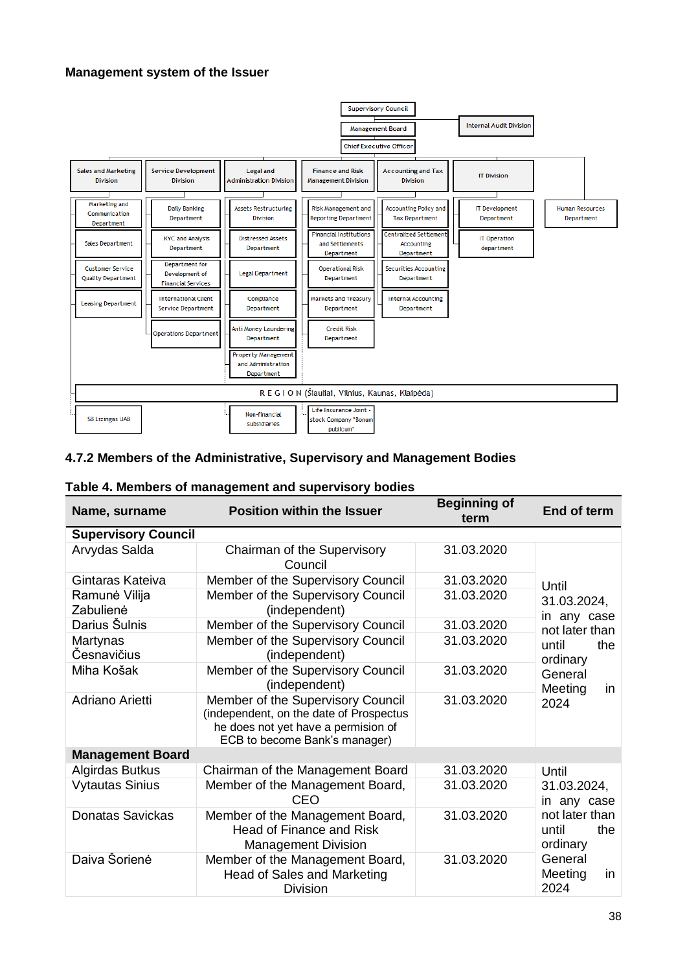#### **Management system of the Issuer**



#### <span id="page-37-0"></span>**4.7.2 Members of the Administrative, Supervisory and Management Bodies**

|  | Table 4. Members of management and supervisory bodies |  |
|--|-------------------------------------------------------|--|
|--|-------------------------------------------------------|--|

| Name, surname              | <b>Position within the Issuer</b>                                                                                                                    | <b>Beginning of</b><br>term | End of term                                |  |
|----------------------------|------------------------------------------------------------------------------------------------------------------------------------------------------|-----------------------------|--------------------------------------------|--|
| <b>Supervisory Council</b> |                                                                                                                                                      |                             |                                            |  |
| Arvydas Salda              | Chairman of the Supervisory<br>Council                                                                                                               | 31.03.2020                  |                                            |  |
| Gintaras Kateiva           | Member of the Supervisory Council                                                                                                                    | 31.03.2020                  | Until                                      |  |
| Ramunė Vilija<br>Zabulienė | Member of the Supervisory Council<br>(independent)                                                                                                   | 31.03.2020                  | 31.03.2024,<br>in any case                 |  |
| Darius Šulnis              | Member of the Supervisory Council                                                                                                                    | 31.03.2020                  | not later than                             |  |
| Martynas<br>Česnavičius    | Member of the Supervisory Council<br>(independent)                                                                                                   | 31.03.2020                  | the<br>until<br>ordinary                   |  |
| Miha Košak                 | Member of the Supervisory Council<br>(independent)                                                                                                   | 31.03.2020                  | General<br>Meeting<br>in                   |  |
| Adriano Arietti            | Member of the Supervisory Council<br>(independent, on the date of Prospectus<br>he does not yet have a permision of<br>ECB to become Bank's manager) | 31.03.2020                  | 2024                                       |  |
| <b>Management Board</b>    |                                                                                                                                                      |                             |                                            |  |
| Algirdas Butkus            | Chairman of the Management Board                                                                                                                     | 31.03.2020                  | Until                                      |  |
| <b>Vytautas Sinius</b>     | Member of the Management Board,<br>CEO                                                                                                               | 31.03.2020                  | 31.03.2024,<br>in any case                 |  |
| Donatas Savickas           | Member of the Management Board,<br><b>Head of Finance and Risk</b><br><b>Management Division</b>                                                     | 31.03.2020                  | not later than<br>the<br>until<br>ordinary |  |
| Daiva Šorienė              | Member of the Management Board,<br><b>Head of Sales and Marketing</b><br><b>Division</b>                                                             | 31.03.2020                  | General<br>Meeting<br>in<br>2024           |  |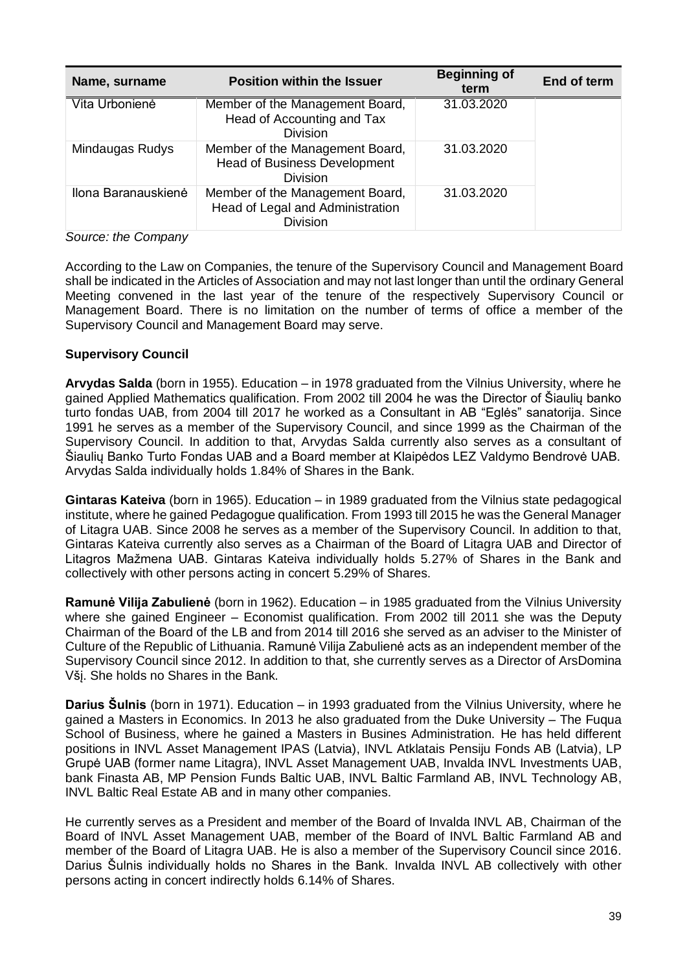| Name, surname       | <b>Position within the Issuer</b>                                                         | <b>Beginning of</b><br>term | End of term |
|---------------------|-------------------------------------------------------------------------------------------|-----------------------------|-------------|
| Vita Urbonienė      | Member of the Management Board,<br>Head of Accounting and Tax<br><b>Division</b>          | 31.03.2020                  |             |
| Mindaugas Rudys     | Member of the Management Board,<br><b>Head of Business Development</b><br><b>Division</b> | 31.03.2020                  |             |
| Ilona Baranauskienė | Member of the Management Board,<br>Head of Legal and Administration<br><b>Division</b>    | 31.03.2020                  |             |

#### *Source: the Company*

According to the Law on Companies, the tenure of the Supervisory Council and Management Board shall be indicated in the Articles of Association and may not last longer than until the ordinary General Meeting convened in the last year of the tenure of the respectively Supervisory Council or Management Board. There is no limitation on the number of terms of office a member of the Supervisory Council and Management Board may serve.

#### **Supervisory Council**

**Arvydas Salda** (born in 1955). Education – in 1978 graduated from the Vilnius University, where he gained Applied Mathematics qualification. From 2002 till 2004 he was the Director of Šiaulių banko turto fondas UAB, from 2004 till 2017 he worked as a Consultant in AB "Eglės" sanatorija. Since 1991 he serves as a member of the Supervisory Council, and since 1999 as the Chairman of the Supervisory Council. In addition to that, Arvydas Salda currently also serves as a consultant of Šiaulių Banko Turto Fondas UAB and a Board member at Klaipėdos LEZ Valdymo Bendrovė UAB. Arvydas Salda individually holds 1.84% of Shares in the Bank.

**Gintaras Kateiva** (born in 1965). Education – in 1989 graduated from the Vilnius state pedagogical institute, where he gained Pedagogue qualification. From 1993 till 2015 he was the General Manager of Litagra UAB. Since 2008 he serves as a member of the Supervisory Council. In addition to that, Gintaras Kateiva currently also serves as a Chairman of the Board of Litagra UAB and Director of Litagros Mažmena UAB. Gintaras Kateiva individually holds 5.27% of Shares in the Bank and collectively with other persons acting in concert 5.29% of Shares.

**Ramunė Vilija Zabulienė** (born in 1962). Education – in 1985 graduated from the Vilnius University where she gained Engineer – Economist qualification. From 2002 till 2011 she was the Deputy Chairman of the Board of the LB and from 2014 till 2016 she served as an adviser to the Minister of Culture of the Republic of Lithuania. Ramunė Vilija Zabulienė acts as an independent member of the Supervisory Council since 2012. In addition to that, she currently serves as a Director of ArsDomina Všį. She holds no Shares in the Bank.

**Darius Šulnis** (born in 1971). Education – in 1993 graduated from the Vilnius University, where he gained a Masters in Economics. In 2013 he also graduated from the Duke University – The Fuqua School of Business, where he gained a Masters in Busines Administration. He has held different positions in INVL Asset Management IPAS (Latvia), INVL Atklatais Pensiju Fonds AB (Latvia), LP Grupė UAB (former name Litagra), INVL Asset Management UAB, Invalda INVL Investments UAB, bank Finasta AB, MP Pension Funds Baltic UAB, INVL Baltic Farmland AB, INVL Technology AB, INVL Baltic Real Estate AB and in many other companies.

He currently serves as a President and member of the Board of Invalda INVL AB, Chairman of the Board of INVL Asset Management UAB, member of the Board of INVL Baltic Farmland AB and member of the Board of Litagra UAB. He is also a member of the Supervisory Council since 2016. Darius Šulnis individually holds no Shares in the Bank. Invalda INVL AB collectively with other persons acting in concert indirectly holds 6.14% of Shares.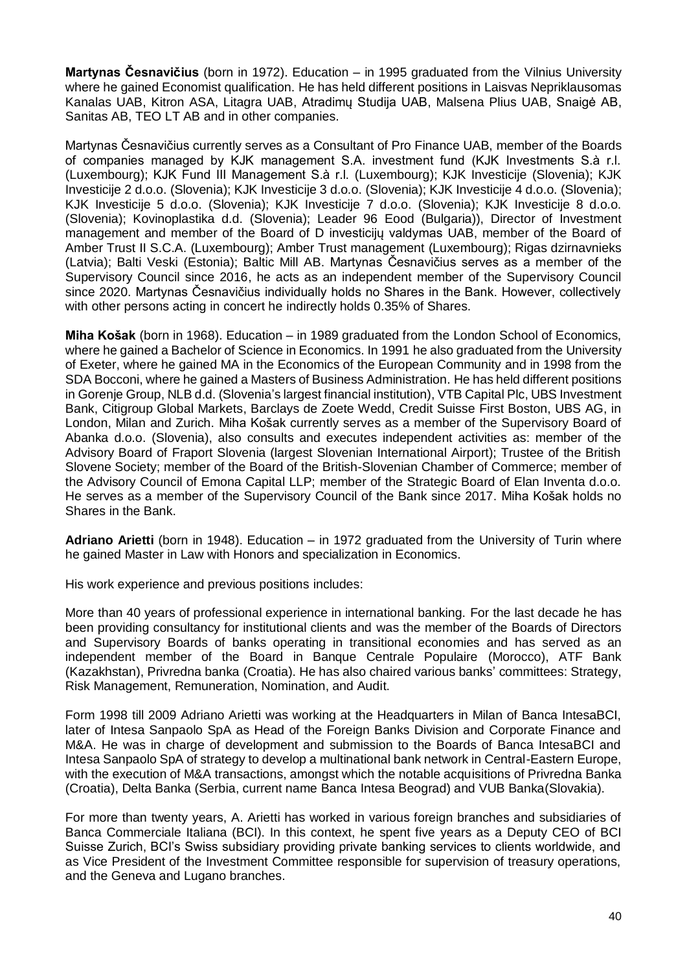**Martynas Česnavičius** (born in 1972). Education – in 1995 graduated from the Vilnius University where he gained Economist qualification. He has held different positions in Laisvas Nepriklausomas Kanalas UAB, Kitron ASA, Litagra UAB, Atradimų Studija UAB, Malsena Plius UAB, Snaigė AB, Sanitas AB, TEO LT AB and in other companies.

Martynas Česnavičius currently serves as a Consultant of Pro Finance UAB, member of the Boards of companies managed by KJK management S.A. investment fund (KJK Investments S.à r.l. (Luxembourg); KJK Fund III Management S.à r.l. (Luxembourg); KJK Investicije (Slovenia); KJK Investicije 2 d.o.o. (Slovenia); KJK Investicije 3 d.o.o. (Slovenia); KJK Investicije 4 d.o.o. (Slovenia); KJK Investicije 5 d.o.o. (Slovenia); KJK Investicije 7 d.o.o. (Slovenia); KJK Investicije 8 d.o.o. (Slovenia); Kovinoplastika d.d. (Slovenia); Leader 96 Eood (Bulgaria)), Director of Investment management and member of the Board of D investicijų valdymas UAB, member of the Board of Amber Trust II S.C.A. (Luxembourg); Amber Trust management (Luxembourg); Rigas dzirnavnieks (Latvia); Balti Veski (Estonia); Baltic Mill AB. Martynas Česnavičius serves as a member of the Supervisory Council since 2016, he acts as an independent member of the Supervisory Council since 2020. Martynas Česnavičius individually holds no Shares in the Bank. However, collectively with other persons acting in concert he indirectly holds 0.35% of Shares.

**Miha Košak** (born in 1968). Education – in 1989 graduated from the London School of Economics, where he gained a Bachelor of Science in Economics. In 1991 he also graduated from the University of Exeter, where he gained MA in the Economics of the European Community and in 1998 from the SDA Bocconi, where he gained a Masters of Business Administration. He has held different positions in Gorenje Group, NLB d.d. (Slovenia's largest financial institution), VTB Capital Plc, UBS Investment Bank, Citigroup Global Markets, Barclays de Zoete Wedd, Credit Suisse First Boston, UBS AG, in London, Milan and Zurich. Miha Košak currently serves as a member of the Supervisory Board of Abanka d.o.o. (Slovenia), also consults and executes independent activities as: member of the Advisory Board of Fraport Slovenia (largest Slovenian International Airport); Trustee of the British Slovene Society; member of the Board of the British-Slovenian Chamber of Commerce; member of the Advisory Council of Emona Capital LLP; member of the Strategic Board of Elan Inventa d.o.o. He serves as a member of the Supervisory Council of the Bank since 2017. Miha Košak holds no Shares in the Bank.

**Adriano Arietti** (born in 1948). Education – in 1972 graduated from the University of Turin where he gained Master in Law with Honors and specialization in Economics.

His work experience and previous positions includes:

More than 40 years of professional experience in international banking. For the last decade he has been providing consultancy for institutional clients and was the member of the Boards of Directors and Supervisory Boards of banks operating in transitional economies and has served as an independent member of the Board in Banque Centrale Populaire (Morocco), ATF Bank (Kazakhstan), Privredna banka (Croatia). He has also chaired various banks' committees: Strategy, Risk Management, Remuneration, Nomination, and Audit.

Form 1998 till 2009 Adriano Arietti was working at the Headquarters in Milan of Banca IntesaBCI, later of Intesa Sanpaolo SpA as Head of the Foreign Banks Division and Corporate Finance and M&A. He was in charge of development and submission to the Boards of Banca IntesaBCI and Intesa Sanpaolo SpA of strategy to develop a multinational bank network in Central-Eastern Europe, with the execution of M&A transactions, amongst which the notable acquisitions of Privredna Banka (Croatia), Delta Banka (Serbia, current name Banca Intesa Beograd) and VUB Banka(Slovakia).

For more than twenty years, A. Arietti has worked in various foreign branches and subsidiaries of Banca Commerciale Italiana (BCI). In this context, he spent five years as a Deputy CEO of BCI Suisse Zurich, BCI's Swiss subsidiary providing private banking services to clients worldwide, and as Vice President of the Investment Committee responsible for supervision of treasury operations, and the Geneva and Lugano branches.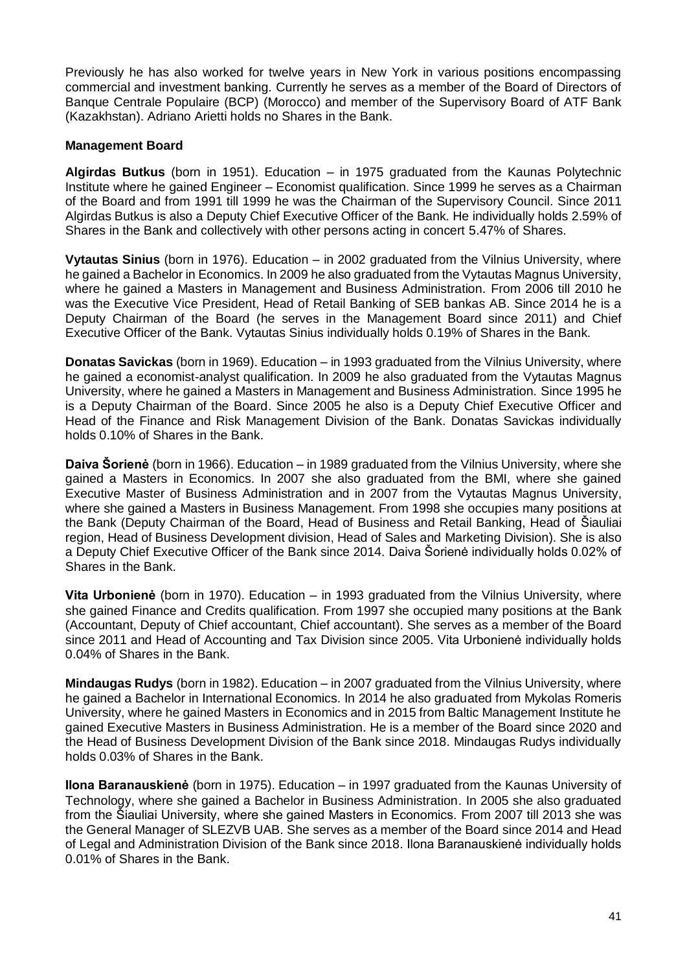Previously he has also worked for twelve years in New York in various positions encompassing commercial and investment banking. Currently he serves as a member of the Board of Directors of Banque Centrale Populaire (BCP) (Morocco) and member of the Supervisory Board of ATF Bank (Kazakhstan). Adriano Arietti holds no Shares in the Bank.

## **Management Board**

**Algirdas Butkus** (born in 1951). Education – in 1975 graduated from the Kaunas Polytechnic Institute where he gained Engineer – Economist qualification. Since 1999 he serves as a Chairman of the Board and from 1991 till 1999 he was the Chairman of the Supervisory Council. Since 2011 Algirdas Butkus is also a Deputy Chief Executive Officer of the Bank. He individually holds 2.59% of Shares in the Bank and collectively with other persons acting in concert 5.47% of Shares.

**Vytautas Sinius** (born in 1976). Education – in 2002 graduated from the Vilnius University, where he gained a Bachelor in Economics. In 2009 he also graduated from the Vytautas Magnus University, where he gained a Masters in Management and Business Administration. From 2006 till 2010 he was the Executive Vice President, Head of Retail Banking of SEB bankas AB. Since 2014 he is a Deputy Chairman of the Board (he serves in the Management Board since 2011) and Chief Executive Officer of the Bank. Vytautas Sinius individually holds 0.19% of Shares in the Bank.

**Donatas Savickas** (born in 1969). Education – in 1993 graduated from the Vilnius University, where he gained a economist-analyst qualification. In 2009 he also graduated from the Vytautas Magnus University, where he gained a Masters in Management and Business Administration. Since 1995 he is a Deputy Chairman of the Board. Since 2005 he also is a Deputy Chief Executive Officer and Head of the Finance and Risk Management Division of the Bank. Donatas Savickas individually holds 0.10% of Shares in the Bank.

**Daiva Šorienė** (born in 1966). Education – in 1989 graduated from the Vilnius University, where she gained a Masters in Economics. In 2007 she also graduated from the BMI, where she gained Executive Master of Business Administration and in 2007 from the Vytautas Magnus University, where she gained a Masters in Business Management. From 1998 she occupies many positions at the Bank (Deputy Chairman of the Board, Head of Business and Retail Banking, Head of Šiauliai region, Head of Business Development division, Head of Sales and Marketing Division). She is also a Deputy Chief Executive Officer of the Bank since 2014. Daiva Šorienė individually holds 0.02% of Shares in the Bank.

**Vita Urbonienė** (born in 1970). Education – in 1993 graduated from the Vilnius University, where she gained Finance and Credits qualification. From 1997 she occupied many positions at the Bank (Accountant, Deputy of Chief accountant, Chief accountant). She serves as a member of the Board since 2011 and Head of Accounting and Tax Division since 2005. Vita Urbonienė individually holds 0.04% of Shares in the Bank.

**Mindaugas Rudys** (born in 1982). Education – in 2007 graduated from the Vilnius University, where he gained a Bachelor in International Economics. In 2014 he also graduated from Mykolas Romeris University, where he gained Masters in Economics and in 2015 from Baltic Management Institute he gained Executive Masters in Business Administration. He is a member of the Board since 2020 and the Head of Business Development Division of the Bank since 2018. Mindaugas Rudys individually holds 0.03% of Shares in the Bank.

**Ilona Baranauskienė** (born in 1975). Education – in 1997 graduated from the Kaunas University of Technology, where she gained a Bachelor in Business Administration. In 2005 she also graduated from the Šiauliai University, where she gained Masters in Economics. From 2007 till 2013 she was the General Manager of SLEZVB UAB. She serves as a member of the Board since 2014 and Head of Legal and Administration Division of the Bank since 2018. Ilona Baranauskienė individually holds 0.01% of Shares in the Bank.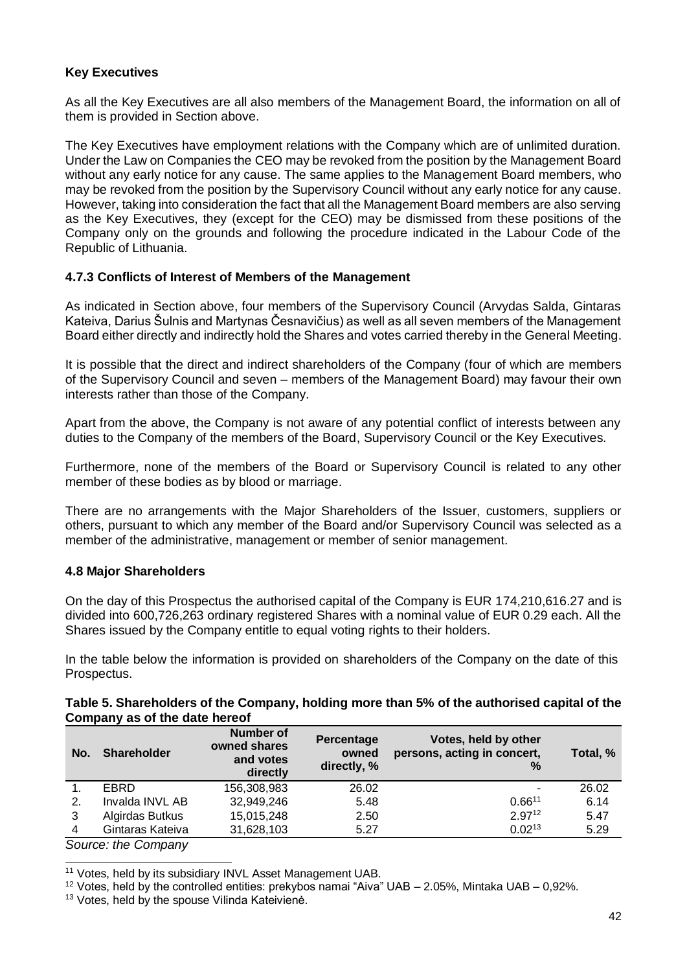# **Key Executives**

As all the Key Executives are all also members of the Management Board, the information on all of them is provided in Section above.

The Key Executives have employment relations with the Company which are of unlimited duration. Under the Law on Companies the CEO may be revoked from the position by the Management Board without any early notice for any cause. The same applies to the Management Board members, who may be revoked from the position by the Supervisory Council without any early notice for any cause. However, taking into consideration the fact that all the Management Board members are also serving as the Key Executives, they (except for the CEO) may be dismissed from these positions of the Company only on the grounds and following the procedure indicated in the Labour Code of the Republic of Lithuania.

### <span id="page-41-0"></span>**4.7.3 Conflicts of Interest of Members of the Management**

As indicated in Section above, four members of the Supervisory Council (Arvydas Salda, Gintaras Kateiva, Darius Šulnis and Martynas Česnavičius) as well as all seven members of the Management Board either directly and indirectly hold the Shares and votes carried thereby in the General Meeting.

It is possible that the direct and indirect shareholders of the Company (four of which are members of the Supervisory Council and seven – members of the Management Board) may favour their own interests rather than those of the Company.

Apart from the above, the Company is not aware of any potential conflict of interests between any duties to the Company of the members of the Board, Supervisory Council or the Key Executives.

Furthermore, none of the members of the Board or Supervisory Council is related to any other member of these bodies as by blood or marriage.

There are no arrangements with the Major Shareholders of the Issuer, customers, suppliers or others, pursuant to which any member of the Board and/or Supervisory Council was selected as a member of the administrative, management or member of senior management.

### <span id="page-41-1"></span>**4.8 Major Shareholders**

On the day of this Prospectus the authorised capital of the Company is EUR 174,210,616.27 and is divided into 600,726,263 ordinary registered Shares with a nominal value of EUR 0.29 each. All the Shares issued by the Company entitle to equal voting rights to their holders.

In the table below the information is provided on shareholders of the Company on the date of this Prospectus.

#### **Table 5. Shareholders of the Company, holding more than 5% of the authorised capital of the Company as of the date hereof**

| No.    | <b>Shareholder</b> | <b>Number of</b><br>owned shares<br>and votes<br>directly | Percentage<br>owned<br>directly, % | Votes, held by other<br>persons, acting in concert,<br>% | Total, % |
|--------|--------------------|-----------------------------------------------------------|------------------------------------|----------------------------------------------------------|----------|
|        | <b>EBRD</b>        | 156,308,983                                               | 26.02                              | ۰                                                        | 26.02    |
| 2.     | Invalda INVL AB    | 32,949,246                                                | 5.48                               | $0.66^{11}$                                              | 6.14     |
| 3      | Algirdas Butkus    | 15,015,248                                                | 2.50                               | $2.97^{12}$                                              | 5.47     |
| 4      | Gintaras Kateiva   | 31,628,103                                                | 5.27                               | $0.02^{13}$                                              | 5.29     |
| $\sim$ | $\cdot$ $\sim$     |                                                           |                                    |                                                          |          |

*Source: the Company*

-

<sup>11</sup> Votes, held by its subsidiary INVL Asset Management UAB.

<sup>12</sup> Votes, held by the controlled entities: prekybos namai "Aiva" UAB – 2.05%, Mintaka UAB – 0,92%.

<sup>13</sup> Votes, held by the spouse Vilinda Kateivienė.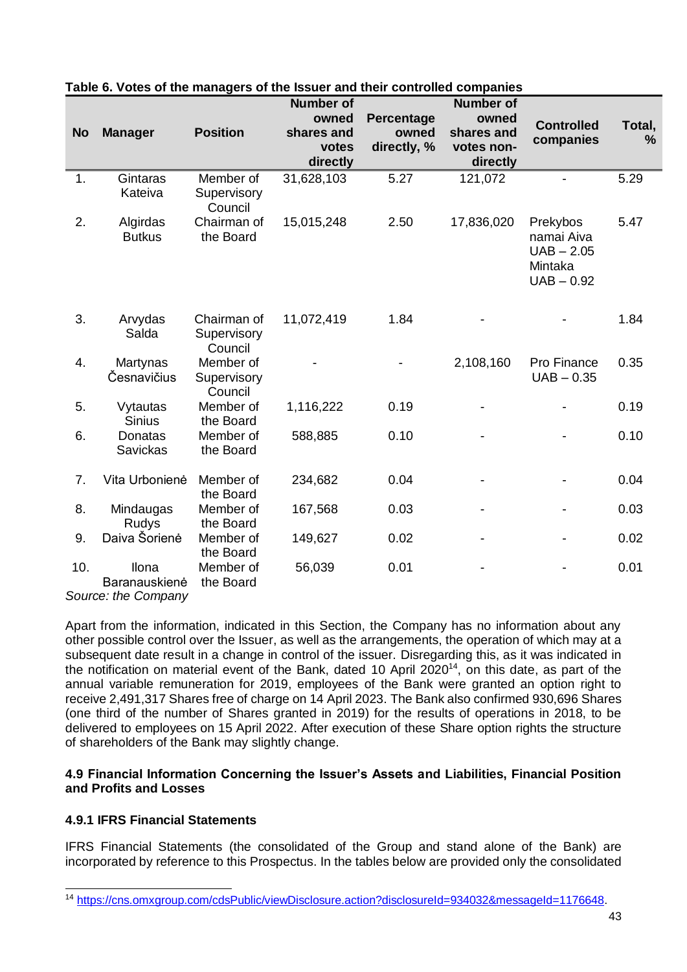|           |                               |                                       | the looder and their controlled con-    |                     |                                         |                                                                   |             |
|-----------|-------------------------------|---------------------------------------|-----------------------------------------|---------------------|-----------------------------------------|-------------------------------------------------------------------|-------------|
| <b>No</b> | <b>Manager</b>                | <b>Position</b>                       | <b>Number of</b><br>owned<br>shares and | Percentage<br>owned | <b>Number of</b><br>owned<br>shares and | <b>Controlled</b><br>companies                                    | Total,<br>% |
|           |                               |                                       | votes<br>directly                       | directly, %         | votes non-<br>directly                  |                                                                   |             |
| 1.        | Gintaras<br>Kateiva           | Member of<br>Supervisory<br>Council   | 31,628,103                              | 5.27                | 121,072                                 |                                                                   | 5.29        |
| 2.        | Algirdas<br><b>Butkus</b>     | Chairman of<br>the Board              | 15,015,248                              | 2.50                | 17,836,020                              | Prekybos<br>namai Aiva<br>$UAB - 2.05$<br>Mintaka<br>$UAB - 0.92$ | 5.47        |
| 3.        | Arvydas<br>Salda              | Chairman of<br>Supervisory<br>Council | 11,072,419                              | 1.84                |                                         |                                                                   | 1.84        |
| 4.        | Martynas<br>Česnavičius       | Member of<br>Supervisory<br>Council   |                                         |                     | 2,108,160                               | Pro Finance<br>$UAB - 0.35$                                       | 0.35        |
| 5.        | Vytautas<br><b>Sinius</b>     | Member of<br>the Board                | 1,116,222                               | 0.19                |                                         |                                                                   | 0.19        |
| 6.        | Donatas<br>Savickas           | Member of<br>the Board                | 588,885                                 | 0.10                |                                         |                                                                   | 0.10        |
| 7.        | Vita Urbonienė                | Member of<br>the Board                | 234,682                                 | 0.04                |                                         |                                                                   | 0.04        |
| 8.        | Mindaugas<br>Rudys            | Member of<br>the Board                | 167,568                                 | 0.03                |                                         |                                                                   | 0.03        |
| 9.        | Daiva Šorienė                 | Member of<br>the Board                | 149,627                                 | 0.02                |                                         |                                                                   | 0.02        |
| 10.       | <b>Ilona</b><br>Baranauskienė | Member of<br>the Board                | 56,039                                  | 0.01                |                                         |                                                                   | 0.01        |

# **Table 6. Votes of the managers of the Issuer and their controlled companies**

*Source: the Company*

Apart from the information, indicated in this Section, the Company has no information about any other possible control over the Issuer, as well as the arrangements, the operation of which may at a subsequent date result in a change in control of the issuer. Disregarding this, as it was indicated in the notification on material event of the Bank, dated 10 April 2020<sup>14</sup>, on this date, as part of the annual variable remuneration for 2019, employees of the Bank were granted an option right to receive 2,491,317 Shares free of charge on 14 April 2023. The Bank also confirmed 930,696 Shares (one third of the number of Shares granted in 2019) for the results of operations in 2018, to be delivered to employees on 15 April 2022. After execution of these Share option rights the structure of shareholders of the Bank may slightly change.

### <span id="page-42-0"></span>**4.9 Financial Information Concerning the Issuer's Assets and Liabilities, Financial Position and Profits and Losses**

# <span id="page-42-1"></span>**4.9.1 IFRS Financial Statements**

-

IFRS Financial Statements (the consolidated of the Group and stand alone of the Bank) are incorporated by reference to this Prospectus. In the tables below are provided only the consolidated

<sup>14</sup> [https://cns.omxgroup.com/cdsPublic/viewDisclosure.action?disclosureId=934032&messageId=1176648.](https://cns.omxgroup.com/cdsPublic/viewDisclosure.action?disclosureId=934032&messageId=1176648)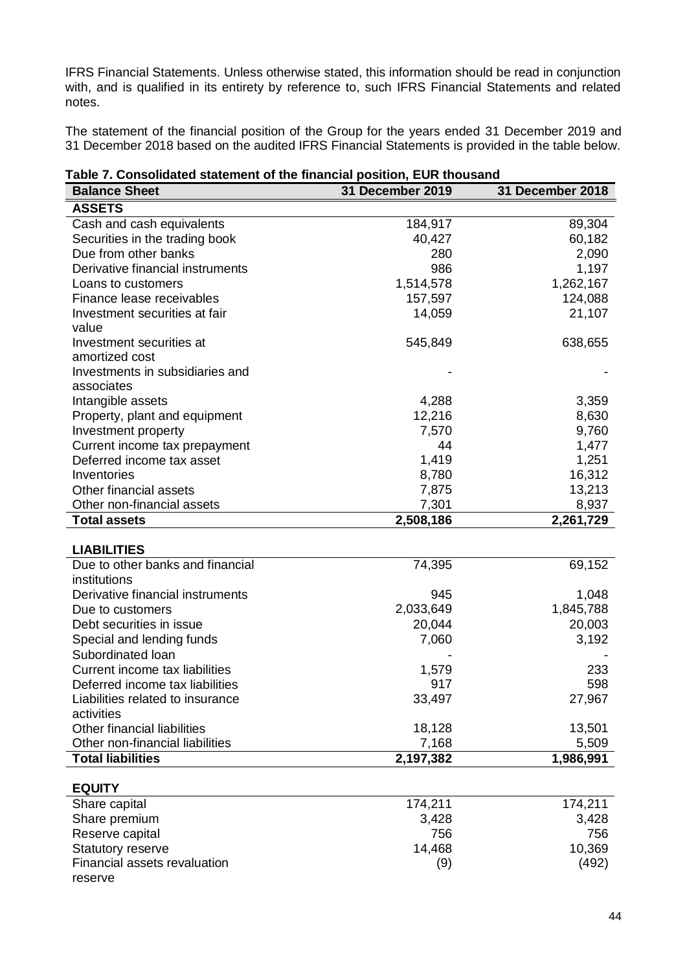IFRS Financial Statements. Unless otherwise stated, this information should be read in conjunction with, and is qualified in its entirety by reference to, such IFRS Financial Statements and related notes.

The statement of the financial position of the Group for the years ended 31 December 2019 and 31 December 2018 based on the audited IFRS Financial Statements is provided in the table below.

| Table 7. Consolidated statement of the financial position, EUR thousand |  |  |
|-------------------------------------------------------------------------|--|--|
|                                                                         |  |  |

| <b>Balance Sheet</b>               | <b>31 December 2019</b> | <b>31 December 2018</b> |
|------------------------------------|-------------------------|-------------------------|
| <b>ASSETS</b>                      |                         |                         |
| Cash and cash equivalents          | 184,917                 | 89,304                  |
| Securities in the trading book     | 40,427                  | 60,182                  |
| Due from other banks               | 280                     | 2,090                   |
| Derivative financial instruments   | 986                     | 1,197                   |
| Loans to customers                 | 1,514,578               | 1,262,167               |
| Finance lease receivables          | 157,597                 | 124,088                 |
| Investment securities at fair      | 14,059                  | 21,107                  |
| value                              |                         |                         |
| Investment securities at           | 545,849                 | 638,655                 |
| amortized cost                     |                         |                         |
| Investments in subsidiaries and    |                         |                         |
| associates                         |                         |                         |
| Intangible assets                  | 4,288                   | 3,359                   |
| Property, plant and equipment      | 12,216                  | 8,630                   |
| Investment property                | 7,570                   | 9,760                   |
| Current income tax prepayment      | 44                      | 1,477                   |
| Deferred income tax asset          | 1,419                   | 1,251                   |
| Inventories                        | 8,780                   | 16,312                  |
| Other financial assets             | 7,875                   | 13,213                  |
| Other non-financial assets         | 7,301                   | 8,937                   |
| <b>Total assets</b>                | 2,508,186               | 2,261,729               |
|                                    |                         |                         |
| <b>LIABILITIES</b>                 |                         |                         |
| Due to other banks and financial   | 74,395                  | 69,152                  |
| institutions                       |                         |                         |
| Derivative financial instruments   | 945                     | 1,048                   |
| Due to customers                   | 2,033,649               | 1,845,788               |
| Debt securities in issue           | 20,044                  | 20,003                  |
| Special and lending funds          | 7,060                   | 3,192                   |
| Subordinated loan                  |                         |                         |
| Current income tax liabilities     | 1,579                   | 233                     |
| Deferred income tax liabilities    | 917                     | 598                     |
| Liabilities related to insurance   | 33,497                  | 27,967                  |
| activities                         |                         |                         |
| <b>Other financial liabilities</b> | 18,128                  | 13,501                  |
| Other non-financial liabilities    | 7,168                   | 5,509                   |
| <b>Total liabilities</b>           | 2,197,382               | 1,986,991               |
| <b>EQUITY</b>                      |                         |                         |
| Share capital                      | 174,211                 | 174,211                 |
| Share premium                      | 3,428                   | 3,428                   |
|                                    |                         |                         |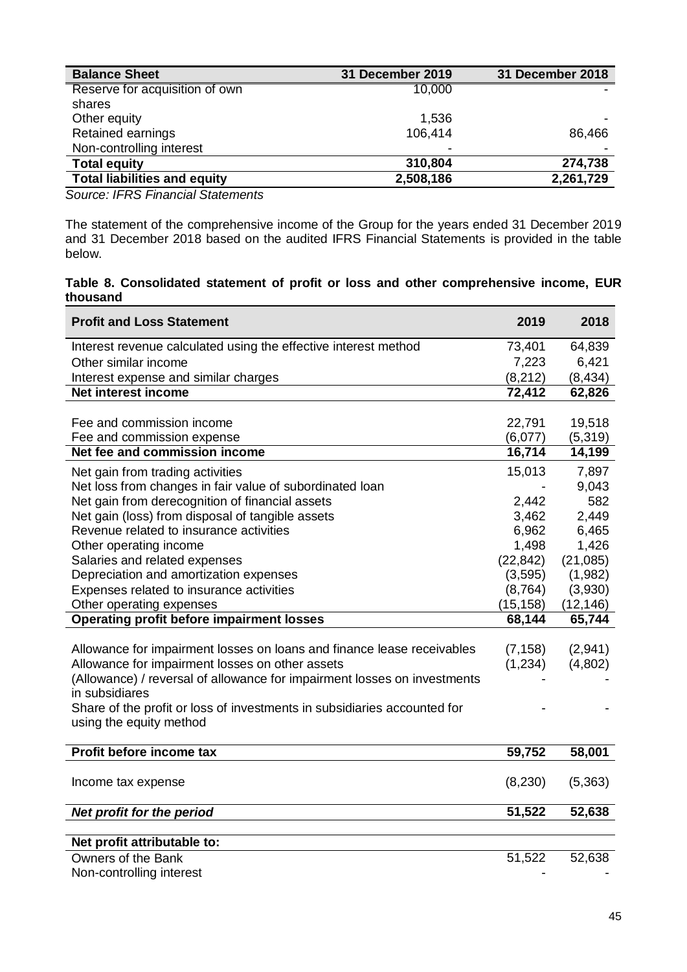| <b>Balance Sheet</b>                | <b>31 December 2019</b> | <b>31 December 2018</b> |
|-------------------------------------|-------------------------|-------------------------|
| Reserve for acquisition of own      | 10,000                  |                         |
| shares                              |                         |                         |
| Other equity                        | 1,536                   |                         |
| Retained earnings                   | 106,414                 | 86,466                  |
| Non-controlling interest            | ۰                       |                         |
| <b>Total equity</b>                 | 310,804                 | 274,738                 |
| <b>Total liabilities and equity</b> | 2,508,186               | 2,261,729               |

*Source: IFRS Financial Statements*

The statement of the comprehensive income of the Group for the years ended 31 December 2019 and 31 December 2018 based on the audited IFRS Financial Statements is provided in the table below.

#### **Table 8. Consolidated statement of profit or loss and other comprehensive income, EUR thousand**

| <b>Profit and Loss Statement</b>                                                           | 2019      | 2018      |
|--------------------------------------------------------------------------------------------|-----------|-----------|
| Interest revenue calculated using the effective interest method                            | 73,401    | 64,839    |
| Other similar income                                                                       | 7,223     | 6,421     |
| Interest expense and similar charges                                                       | (8, 212)  | (8, 434)  |
| Net interest income                                                                        | 72,412    | 62,826    |
|                                                                                            |           |           |
| Fee and commission income                                                                  | 22,791    | 19,518    |
| Fee and commission expense                                                                 | (6,077)   | (5, 319)  |
| Net fee and commission income                                                              | 16,714    | 14,199    |
| Net gain from trading activities                                                           | 15,013    | 7,897     |
| Net loss from changes in fair value of subordinated loan                                   |           | 9,043     |
| Net gain from derecognition of financial assets                                            | 2,442     | 582       |
| Net gain (loss) from disposal of tangible assets                                           | 3,462     | 2,449     |
| Revenue related to insurance activities                                                    | 6,962     | 6,465     |
| Other operating income                                                                     | 1,498     | 1,426     |
| Salaries and related expenses                                                              | (22, 842) | (21,085)  |
| Depreciation and amortization expenses                                                     | (3, 595)  | (1,982)   |
| Expenses related to insurance activities                                                   | (8, 764)  | (3,930)   |
| Other operating expenses                                                                   | (15, 158) | (12, 146) |
| <b>Operating profit before impairment losses</b>                                           | 68,144    | 65,744    |
|                                                                                            |           |           |
| Allowance for impairment losses on loans and finance lease receivables                     | (7, 158)  | (2,941)   |
| Allowance for impairment losses on other assets                                            | (1,234)   | (4,802)   |
| (Allowance) / reversal of allowance for impairment losses on investments<br>in subsidiares |           |           |
| Share of the profit or loss of investments in subsidiaries accounted for                   |           |           |
| using the equity method                                                                    |           |           |
|                                                                                            |           |           |
| Profit before income tax                                                                   | 59,752    | 58,001    |
|                                                                                            |           |           |
| Income tax expense                                                                         | (8,230)   | (5,363)   |
| Net profit for the period                                                                  | 51,522    | 52,638    |
|                                                                                            |           |           |
| Net profit attributable to:                                                                |           |           |
| Owners of the Bank                                                                         | 51,522    | 52,638    |
| Non-controlling interest                                                                   |           |           |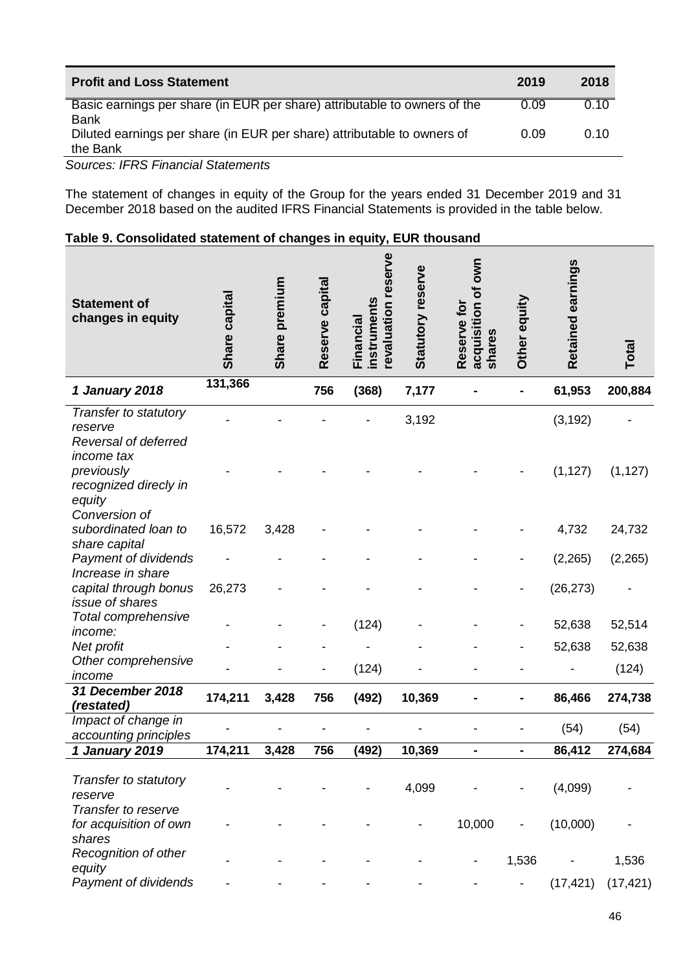| <b>Profit and Loss Statement</b>                                                         | 2019 | 2018 |
|------------------------------------------------------------------------------------------|------|------|
| Basic earnings per share (in EUR per share) attributable to owners of the<br><b>Bank</b> | 0.09 | 0.10 |
| Diluted earnings per share (in EUR per share) attributable to owners of<br>the Bank      | 0.09 | 0.10 |

*Sources: IFRS Financial Statements*

The statement of changes in equity of the Group for the years ended 31 December 2019 and 31 December 2018 based on the audited IFRS Financial Statements is provided in the table below.

# **Table 9. Consolidated statement of changes in equity, EUR thousand**

| <b>Statement of</b><br>changes in equity                               | Share capital | premium<br>Share | Reserve capital | revaluation reserve<br>instruments<br>Financial | Statutory reserve | own<br>ð<br>Reserve for<br>acquisition<br>shares | Other equity | Retained earnings | Total     |
|------------------------------------------------------------------------|---------------|------------------|-----------------|-------------------------------------------------|-------------------|--------------------------------------------------|--------------|-------------------|-----------|
| 1 January 2018                                                         | 131,366       |                  | 756             | (368)                                           | 7,177             |                                                  |              | 61,953            | 200,884   |
| Transfer to statutory<br>reserve<br>Reversal of deferred<br>income tax |               |                  |                 |                                                 | 3,192             |                                                  |              | (3, 192)          |           |
| previously<br>recognized direcly in<br>equity                          |               |                  |                 |                                                 |                   |                                                  |              | (1, 127)          | (1, 127)  |
| Conversion of<br>subordinated loan to<br>share capital                 | 16,572        | 3,428            |                 |                                                 |                   |                                                  |              | 4,732             | 24,732    |
| Payment of dividends<br>Increase in share                              |               |                  |                 |                                                 |                   |                                                  |              | (2, 265)          | (2,265)   |
| capital through bonus<br><i>issue of shares</i>                        | 26,273        |                  |                 |                                                 |                   |                                                  |              | (26, 273)         |           |
| Total comprehensive<br><i>income:</i>                                  |               |                  |                 | (124)                                           |                   |                                                  |              | 52,638            | 52,514    |
| Net profit                                                             |               |                  |                 |                                                 |                   |                                                  |              | 52,638            | 52,638    |
| Other comprehensive<br>income                                          |               |                  |                 | (124)                                           |                   |                                                  |              |                   | (124)     |
| 31 December 2018<br>(restated)                                         | 174,211       | 3,428            | 756             | (492)                                           | 10,369            |                                                  |              | 86,466            | 274,738   |
| Impact of change in<br>accounting principles                           |               |                  |                 |                                                 |                   |                                                  |              | (54)              | (54)      |
| 1 January 2019                                                         | 174,211       | 3,428            | 756             | (492)                                           | 10,369            | $\blacksquare$                                   | ۰            | 86,412            | 274,684   |
| Transfer to statutory<br>reserve                                       |               |                  |                 |                                                 | 4,099             |                                                  |              | (4,099)           |           |
| Transfer to reserve<br>for acquisition of own<br>shares                |               |                  |                 |                                                 |                   | 10,000                                           |              | (10,000)          |           |
| Recognition of other<br>equity                                         |               |                  |                 |                                                 |                   | $\blacksquare$                                   | 1,536        |                   | 1,536     |
| Payment of dividends                                                   |               |                  |                 |                                                 |                   |                                                  |              | (17, 421)         | (17, 421) |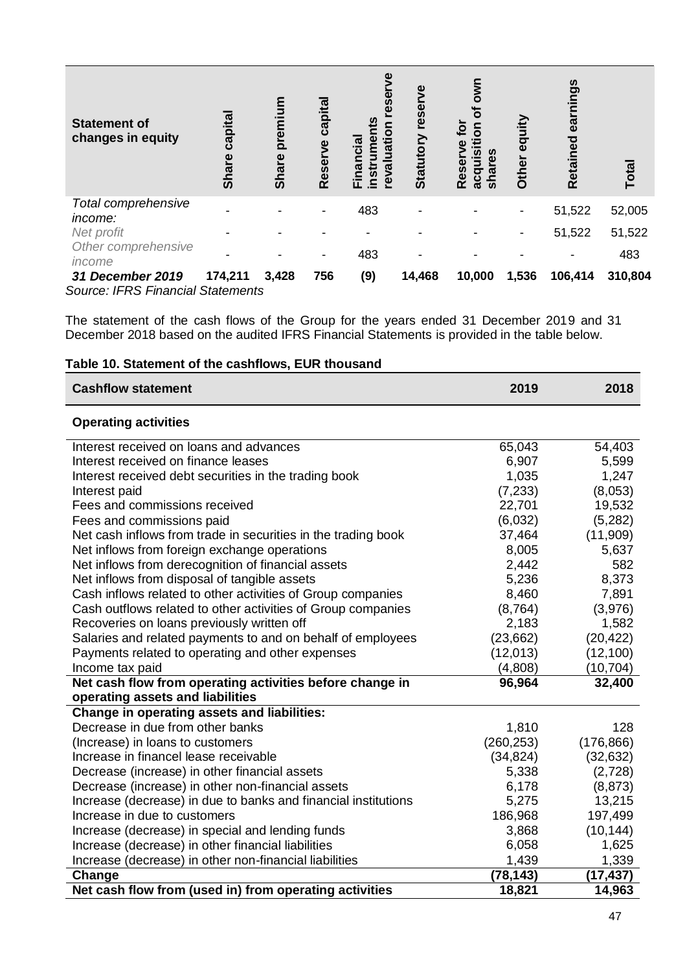| <b>Statement of</b><br>changes in equity                     | capital<br><b>Share</b> | premium<br><b>Share</b> | capital<br>poz<br>Reser | Ŵ<br>uatio<br><u>ದೆ</u><br>ଞ୍ଚ<br>instr<br>စ္ | rese<br>Statutory | डू<br>ठ<br>៑<br>ٯ<br>O<br>ω<br>icquisi<br>ທ<br>share<br>Reser<br>$\bar{a}$ | equity<br>Other | earnings<br>Retained | <b>Total</b> |
|--------------------------------------------------------------|-------------------------|-------------------------|-------------------------|-----------------------------------------------|-------------------|----------------------------------------------------------------------------|-----------------|----------------------|--------------|
| Total comprehensive<br><i>income:</i>                        |                         |                         |                         | 483                                           |                   |                                                                            |                 | 51,522               | 52,005       |
| Net profit                                                   |                         |                         |                         |                                               |                   |                                                                            |                 | 51,522               | 51,522       |
| Other comprehensive<br>income                                |                         |                         |                         | 483                                           |                   |                                                                            |                 |                      | 483          |
| 31 December 2019<br><b>Source: IFRS Financial Statements</b> | 174,211                 | 3,428                   | 756                     | (9)                                           | 14,468            | 10,000                                                                     | 1,536           | 106,414              | 310,804      |

The statement of the cash flows of the Group for the years ended 31 December 2019 and 31 December 2018 based on the audited IFRS Financial Statements is provided in the table below.

|  |  | Table 10. Statement of the cashflows, EUR thousand |  |
|--|--|----------------------------------------------------|--|
|  |  |                                                    |  |
|  |  |                                                    |  |

| <b>Cashflow statement</b>                                      | 2019       | 2018       |
|----------------------------------------------------------------|------------|------------|
| <b>Operating activities</b>                                    |            |            |
| Interest received on loans and advances                        | 65,043     | 54,403     |
| Interest received on finance leases                            | 6,907      | 5,599      |
| Interest received debt securities in the trading book          | 1,035      | 1,247      |
| Interest paid                                                  | (7, 233)   | (8,053)    |
| Fees and commissions received                                  | 22,701     | 19,532     |
| Fees and commissions paid                                      | (6,032)    | (5,282)    |
| Net cash inflows from trade in securities in the trading book  | 37,464     | (11,909)   |
| Net inflows from foreign exchange operations                   | 8,005      | 5,637      |
| Net inflows from derecognition of financial assets             | 2,442      | 582        |
| Net inflows from disposal of tangible assets                   | 5,236      | 8,373      |
| Cash inflows related to other activities of Group companies    | 8,460      | 7,891      |
| Cash outflows related to other activities of Group companies   | (8, 764)   | (3,976)    |
| Recoveries on loans previously written off                     | 2,183      | 1,582      |
| Salaries and related payments to and on behalf of employees    | (23,662)   | (20, 422)  |
| Payments related to operating and other expenses               | (12, 013)  | (12, 100)  |
| Income tax paid                                                | (4,808)    | (10, 704)  |
| Net cash flow from operating activities before change in       | 96,964     | 32,400     |
| operating assets and liabilities                               |            |            |
| Change in operating assets and liabilities:                    |            |            |
| Decrease in due from other banks                               | 1,810      | 128        |
| (Increase) in loans to customers                               | (260, 253) | (176, 866) |
| Increase in financel lease receivable                          | (34, 824)  | (32, 632)  |
| Decrease (increase) in other financial assets                  | 5,338      | (2,728)    |
| Decrease (increase) in other non-financial assets              | 6,178      | (8, 873)   |
| Increase (decrease) in due to banks and financial institutions | 5,275      | 13,215     |
| Increase in due to customers                                   | 186,968    | 197,499    |
| Increase (decrease) in special and lending funds               | 3,868      | (10, 144)  |
| Increase (decrease) in other financial liabilities             | 6,058      | 1,625      |
| Increase (decrease) in other non-financial liabilities         | 1,439      | 1,339      |
| Change                                                         | (78, 143)  | (17, 437)  |
| Net cash flow from (used in) from operating activities         | 18,821     | 14,963     |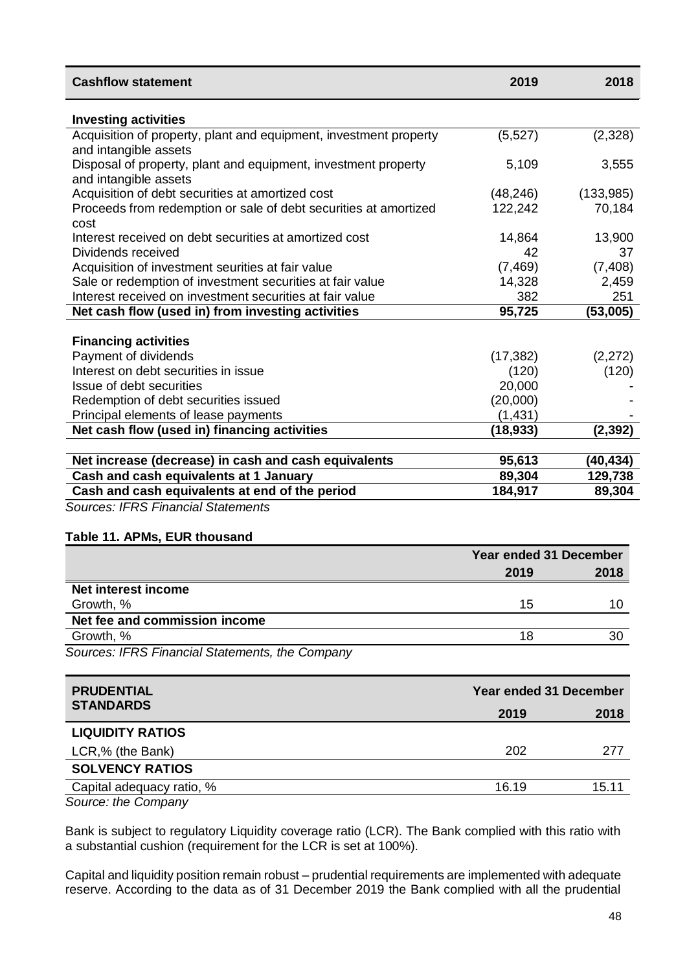| <b>Investing activities</b><br>Acquisition of property, plant and equipment, investment property<br>(5, 527)<br>(2, 328)<br>and intangible assets<br>Disposal of property, plant and equipment, investment property<br>5,109<br>3,555<br>and intangible assets<br>Acquisition of debt securities at amortized cost<br>(133,985)<br>(48, 246)<br>Proceeds from redemption or sale of debt securities at amortized<br>122,242<br>70,184<br>cost<br>Interest received on debt securities at amortized cost<br>14,864<br>13,900<br>42<br>37<br>Dividends received<br>(7, 408)<br>Acquisition of investment seurities at fair value<br>(7, 469)<br>Sale or redemption of investment securities at fair value<br>14,328<br>2,459<br>Interest received on investment securities at fair value<br>382<br>251<br>Net cash flow (used in) from investing activities<br>95,725<br>(53,005)<br><b>Financing activities</b><br>Payment of dividends<br>(17, 382)<br>(2,272)<br>Interest on debt securities in issue<br>(120)<br>(120)<br>Issue of debt securities<br>20,000<br>(20,000)<br>Redemption of debt securities issued<br>Principal elements of lease payments<br>(1, 431) | <b>Cashflow statement</b> | 2019 | 2018 |
|------------------------------------------------------------------------------------------------------------------------------------------------------------------------------------------------------------------------------------------------------------------------------------------------------------------------------------------------------------------------------------------------------------------------------------------------------------------------------------------------------------------------------------------------------------------------------------------------------------------------------------------------------------------------------------------------------------------------------------------------------------------------------------------------------------------------------------------------------------------------------------------------------------------------------------------------------------------------------------------------------------------------------------------------------------------------------------------------------------------------------------------------------------------------|---------------------------|------|------|
|                                                                                                                                                                                                                                                                                                                                                                                                                                                                                                                                                                                                                                                                                                                                                                                                                                                                                                                                                                                                                                                                                                                                                                        |                           |      |      |
|                                                                                                                                                                                                                                                                                                                                                                                                                                                                                                                                                                                                                                                                                                                                                                                                                                                                                                                                                                                                                                                                                                                                                                        |                           |      |      |
|                                                                                                                                                                                                                                                                                                                                                                                                                                                                                                                                                                                                                                                                                                                                                                                                                                                                                                                                                                                                                                                                                                                                                                        |                           |      |      |
|                                                                                                                                                                                                                                                                                                                                                                                                                                                                                                                                                                                                                                                                                                                                                                                                                                                                                                                                                                                                                                                                                                                                                                        |                           |      |      |
|                                                                                                                                                                                                                                                                                                                                                                                                                                                                                                                                                                                                                                                                                                                                                                                                                                                                                                                                                                                                                                                                                                                                                                        |                           |      |      |
|                                                                                                                                                                                                                                                                                                                                                                                                                                                                                                                                                                                                                                                                                                                                                                                                                                                                                                                                                                                                                                                                                                                                                                        |                           |      |      |
|                                                                                                                                                                                                                                                                                                                                                                                                                                                                                                                                                                                                                                                                                                                                                                                                                                                                                                                                                                                                                                                                                                                                                                        |                           |      |      |
|                                                                                                                                                                                                                                                                                                                                                                                                                                                                                                                                                                                                                                                                                                                                                                                                                                                                                                                                                                                                                                                                                                                                                                        |                           |      |      |
|                                                                                                                                                                                                                                                                                                                                                                                                                                                                                                                                                                                                                                                                                                                                                                                                                                                                                                                                                                                                                                                                                                                                                                        |                           |      |      |
|                                                                                                                                                                                                                                                                                                                                                                                                                                                                                                                                                                                                                                                                                                                                                                                                                                                                                                                                                                                                                                                                                                                                                                        |                           |      |      |
|                                                                                                                                                                                                                                                                                                                                                                                                                                                                                                                                                                                                                                                                                                                                                                                                                                                                                                                                                                                                                                                                                                                                                                        |                           |      |      |
|                                                                                                                                                                                                                                                                                                                                                                                                                                                                                                                                                                                                                                                                                                                                                                                                                                                                                                                                                                                                                                                                                                                                                                        |                           |      |      |
|                                                                                                                                                                                                                                                                                                                                                                                                                                                                                                                                                                                                                                                                                                                                                                                                                                                                                                                                                                                                                                                                                                                                                                        |                           |      |      |
|                                                                                                                                                                                                                                                                                                                                                                                                                                                                                                                                                                                                                                                                                                                                                                                                                                                                                                                                                                                                                                                                                                                                                                        |                           |      |      |
|                                                                                                                                                                                                                                                                                                                                                                                                                                                                                                                                                                                                                                                                                                                                                                                                                                                                                                                                                                                                                                                                                                                                                                        |                           |      |      |
|                                                                                                                                                                                                                                                                                                                                                                                                                                                                                                                                                                                                                                                                                                                                                                                                                                                                                                                                                                                                                                                                                                                                                                        |                           |      |      |
|                                                                                                                                                                                                                                                                                                                                                                                                                                                                                                                                                                                                                                                                                                                                                                                                                                                                                                                                                                                                                                                                                                                                                                        |                           |      |      |
|                                                                                                                                                                                                                                                                                                                                                                                                                                                                                                                                                                                                                                                                                                                                                                                                                                                                                                                                                                                                                                                                                                                                                                        |                           |      |      |
|                                                                                                                                                                                                                                                                                                                                                                                                                                                                                                                                                                                                                                                                                                                                                                                                                                                                                                                                                                                                                                                                                                                                                                        |                           |      |      |
| Net cash flow (used in) financing activities<br>(18, 933)<br>(2, 392)                                                                                                                                                                                                                                                                                                                                                                                                                                                                                                                                                                                                                                                                                                                                                                                                                                                                                                                                                                                                                                                                                                  |                           |      |      |
|                                                                                                                                                                                                                                                                                                                                                                                                                                                                                                                                                                                                                                                                                                                                                                                                                                                                                                                                                                                                                                                                                                                                                                        |                           |      |      |
| 95,613<br>(40,434)<br>Net increase (decrease) in cash and cash equivalents                                                                                                                                                                                                                                                                                                                                                                                                                                                                                                                                                                                                                                                                                                                                                                                                                                                                                                                                                                                                                                                                                             |                           |      |      |
| Cash and cash equivalents at 1 January<br>89,304<br>129,738                                                                                                                                                                                                                                                                                                                                                                                                                                                                                                                                                                                                                                                                                                                                                                                                                                                                                                                                                                                                                                                                                                            |                           |      |      |
| Cash and cash equivalents at end of the period<br>184,917<br>89,304                                                                                                                                                                                                                                                                                                                                                                                                                                                                                                                                                                                                                                                                                                                                                                                                                                                                                                                                                                                                                                                                                                    |                           |      |      |

*Sources: IFRS Financial Statements*

#### **Table 11. APMs, EUR thousand**

|                                                 |      | Year ended 31 December |  |
|-------------------------------------------------|------|------------------------|--|
|                                                 | 2019 | 2018                   |  |
| Net interest income                             |      |                        |  |
| Growth, %                                       | 15   |                        |  |
| Net fee and commission income                   |      |                        |  |
| Growth, %                                       |      | 30                     |  |
| Courage: IEDO Financial Ototomonto, the Company |      |                        |  |

*Sources: IFRS Financial Statements, the Company*

| <b>PRUDENTIAL</b>         |       | <b>Year ended 31 December</b> |
|---------------------------|-------|-------------------------------|
| <b>STANDARDS</b>          | 2019  | 2018                          |
| <b>LIQUIDITY RATIOS</b>   |       |                               |
| LCR,% (the Bank)          | 202   | 277                           |
| <b>SOLVENCY RATIOS</b>    |       |                               |
| Capital adequacy ratio, % | 16.19 | 15.11                         |
| Source: the Company       |       |                               |

Bank is subject to regulatory Liquidity coverage ratio (LCR). The Bank complied with this ratio with a substantial cushion (requirement for the LCR is set at 100%).

Capital and liquidity position remain robust – prudential requirements are implemented with adequate reserve. According to the data as of 31 December 2019 the Bank complied with all the prudential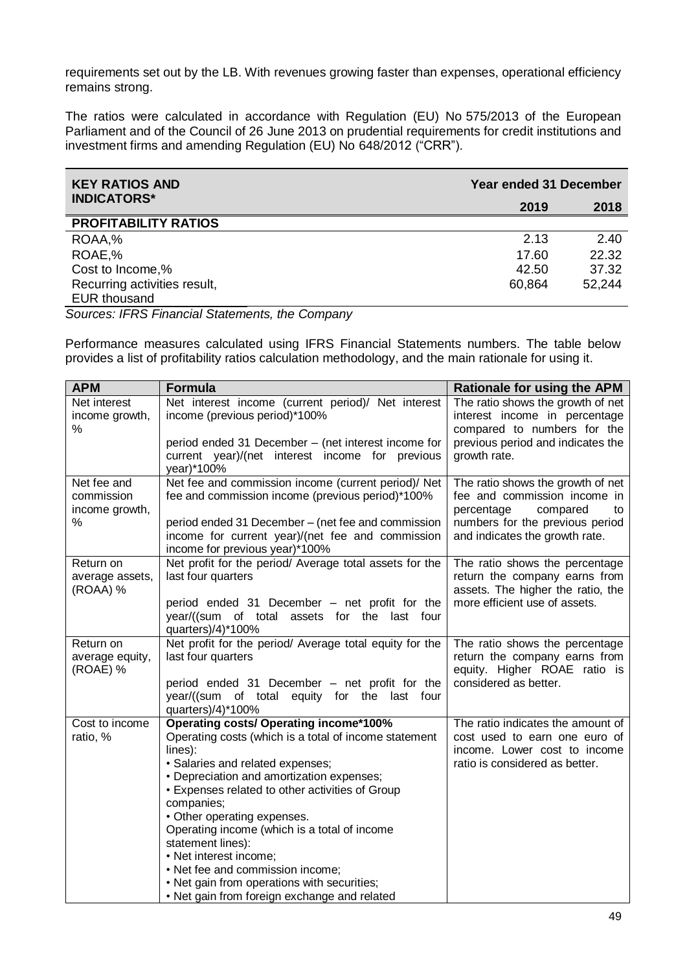requirements set out by the LB. With revenues growing faster than expenses, operational efficiency remains strong.

The ratios were calculated in accordance with Regulation (EU) No 575/2013 of the European Parliament and of the Council of 26 June 2013 on prudential requirements for credit institutions and investment firms and amending Regulation (EU) No 648/2012 ("CRR").

| <b>KEY RATIOS AND</b>        | <b>Year ended 31 December</b> |        |
|------------------------------|-------------------------------|--------|
| <b>INDICATORS*</b>           | 2019                          | 2018   |
| <b>PROFITABILITY RATIOS</b>  |                               |        |
| ROAA,%                       | 2.13                          | 2.40   |
| ROAE,%                       | 17.60                         | 22.32  |
| Cost to Income,%             | 42.50                         | 37.32  |
| Recurring activities result, | 60,864                        | 52.244 |
| <b>EUR thousand</b>          |                               |        |

*Sources: IFRS Financial Statements, the Company*

Performance measures calculated using IFRS Financial Statements numbers. The table below provides a list of profitability ratios calculation methodology, and the main rationale for using it.

| <b>APM</b>                                  | <b>Formula</b>                                                                                                                                                                                                                                                                                                                                                                                                                                                                                                                       | <b>Rationale for using the APM</b>                                                                                                   |
|---------------------------------------------|--------------------------------------------------------------------------------------------------------------------------------------------------------------------------------------------------------------------------------------------------------------------------------------------------------------------------------------------------------------------------------------------------------------------------------------------------------------------------------------------------------------------------------------|--------------------------------------------------------------------------------------------------------------------------------------|
| Net interest<br>income growth,<br>%         | Net interest income (current period)/ Net interest<br>income (previous period)*100%                                                                                                                                                                                                                                                                                                                                                                                                                                                  | The ratio shows the growth of net<br>interest income in percentage<br>compared to numbers for the                                    |
|                                             | period ended 31 December - (net interest income for<br>current year)/(net interest income for previous<br>year)*100%                                                                                                                                                                                                                                                                                                                                                                                                                 | previous period and indicates the<br>growth rate.                                                                                    |
| Net fee and<br>commission<br>income growth, | Net fee and commission income (current period)/ Net<br>fee and commission income (previous period)*100%                                                                                                                                                                                                                                                                                                                                                                                                                              | The ratio shows the growth of net<br>fee and commission income in<br>percentage<br>compared<br>to                                    |
| %                                           | period ended 31 December - (net fee and commission<br>income for current year)/(net fee and commission<br>income for previous year)*100%                                                                                                                                                                                                                                                                                                                                                                                             | numbers for the previous period<br>and indicates the growth rate.                                                                    |
| Return on<br>average assets,<br>(ROAA) %    | Net profit for the period/ Average total assets for the<br>last four quarters                                                                                                                                                                                                                                                                                                                                                                                                                                                        | The ratio shows the percentage<br>return the company earns from<br>assets. The higher the ratio, the                                 |
|                                             | period ended 31 December - net profit for the<br>year/((sum of total<br>assets for the last four<br>quarters)/4)*100%                                                                                                                                                                                                                                                                                                                                                                                                                | more efficient use of assets.                                                                                                        |
| Return on<br>average equity,<br>(ROAE) %    | Net profit for the period/ Average total equity for the<br>last four quarters                                                                                                                                                                                                                                                                                                                                                                                                                                                        | The ratio shows the percentage<br>return the company earns from<br>equity. Higher ROAE ratio is                                      |
|                                             | period ended 31 December – net profit for the<br>year/((sum of total equity for the last four<br>quarters)/4)*100%                                                                                                                                                                                                                                                                                                                                                                                                                   | considered as better.                                                                                                                |
| Cost to income<br>ratio, %                  | <b>Operating costs/ Operating income*100%</b><br>Operating costs (which is a total of income statement<br>lines):<br>· Salaries and related expenses;<br>• Depreciation and amortization expenses;<br>• Expenses related to other activities of Group<br>companies;<br>• Other operating expenses.<br>Operating income (which is a total of income<br>statement lines):<br>• Net interest income;<br>• Net fee and commission income;<br>• Net gain from operations with securities;<br>• Net gain from foreign exchange and related | The ratio indicates the amount of<br>cost used to earn one euro of<br>income. Lower cost to income<br>ratio is considered as better. |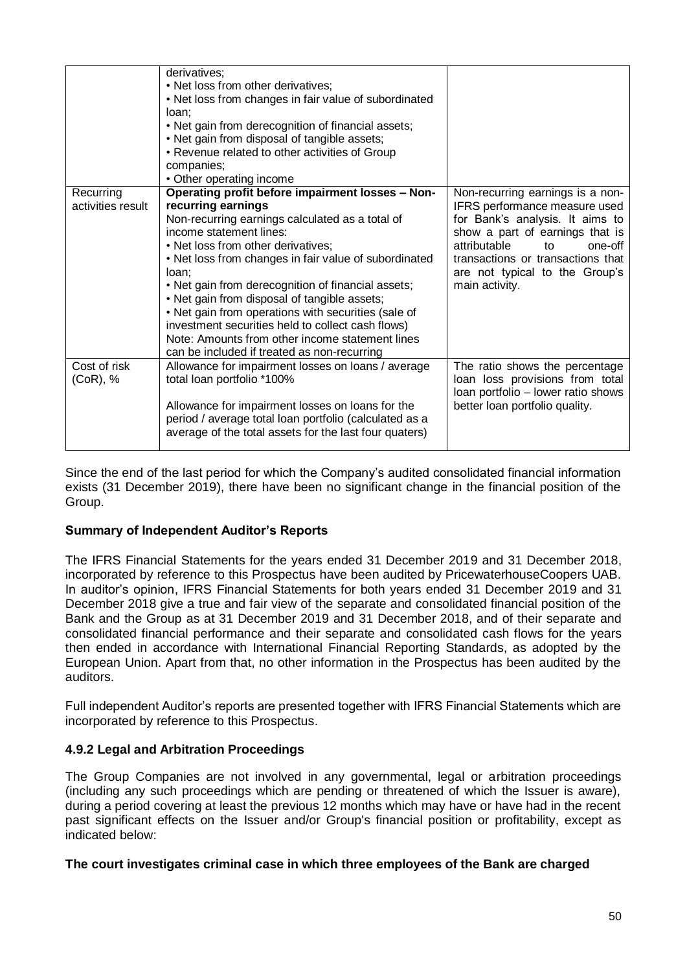| Recurring         | derivatives;<br>• Net loss from other derivatives;<br>• Net loss from changes in fair value of subordinated<br>loan;<br>• Net gain from derecognition of financial assets;<br>• Net gain from disposal of tangible assets;<br>• Revenue related to other activities of Group<br>companies;<br>• Other operating income<br>Operating profit before impairment losses - Non- | Non-recurring earnings is a non-                                      |
|-------------------|----------------------------------------------------------------------------------------------------------------------------------------------------------------------------------------------------------------------------------------------------------------------------------------------------------------------------------------------------------------------------|-----------------------------------------------------------------------|
| activities result | recurring earnings                                                                                                                                                                                                                                                                                                                                                         | IFRS performance measure used                                         |
|                   | Non-recurring earnings calculated as a total of                                                                                                                                                                                                                                                                                                                            | for Bank's analysis. It aims to                                       |
|                   | income statement lines:                                                                                                                                                                                                                                                                                                                                                    | show a part of earnings that is                                       |
|                   | • Net loss from other derivatives;                                                                                                                                                                                                                                                                                                                                         | attributable<br>one-off<br>to                                         |
|                   | • Net loss from changes in fair value of subordinated<br>loan:                                                                                                                                                                                                                                                                                                             | transactions or transactions that<br>are not typical to the Group's   |
|                   | • Net gain from derecognition of financial assets;                                                                                                                                                                                                                                                                                                                         | main activity.                                                        |
|                   | • Net gain from disposal of tangible assets;                                                                                                                                                                                                                                                                                                                               |                                                                       |
|                   | • Net gain from operations with securities (sale of                                                                                                                                                                                                                                                                                                                        |                                                                       |
|                   | investment securities held to collect cash flows)                                                                                                                                                                                                                                                                                                                          |                                                                       |
|                   | Note: Amounts from other income statement lines                                                                                                                                                                                                                                                                                                                            |                                                                       |
|                   | can be included if treated as non-recurring                                                                                                                                                                                                                                                                                                                                |                                                                       |
| Cost of risk      | Allowance for impairment losses on loans / average                                                                                                                                                                                                                                                                                                                         | The ratio shows the percentage                                        |
| $(CoR)$ , %       | total loan portfolio *100%                                                                                                                                                                                                                                                                                                                                                 | loan loss provisions from total<br>Ioan portfolio - lower ratio shows |
|                   | Allowance for impairment losses on loans for the                                                                                                                                                                                                                                                                                                                           | better loan portfolio quality.                                        |
|                   | period / average total loan portfolio (calculated as a                                                                                                                                                                                                                                                                                                                     |                                                                       |
|                   | average of the total assets for the last four quaters)                                                                                                                                                                                                                                                                                                                     |                                                                       |
|                   |                                                                                                                                                                                                                                                                                                                                                                            |                                                                       |

Since the end of the last period for which the Company's audited consolidated financial information exists (31 December 2019), there have been no significant change in the financial position of the Group.

# **Summary of Independent Auditor's Reports**

The IFRS Financial Statements for the years ended 31 December 2019 and 31 December 2018, incorporated by reference to this Prospectus have been audited by PricewaterhouseCoopers UAB. In auditor's opinion, IFRS Financial Statements for both years ended 31 December 2019 and 31 December 2018 give a true and fair view of the separate and consolidated financial position of the Bank and the Group as at 31 December 2019 and 31 December 2018, and of their separate and consolidated financial performance and their separate and consolidated cash flows for the years then ended in accordance with International Financial Reporting Standards, as adopted by the European Union. Apart from that, no other information in the Prospectus has been audited by the auditors.

Full independent Auditor's reports are presented together with IFRS Financial Statements which are incorporated by reference to this Prospectus.

# <span id="page-49-0"></span>**4.9.2 Legal and Arbitration Proceedings**

The Group Companies are not involved in any governmental, legal or arbitration proceedings (including any such proceedings which are pending or threatened of which the Issuer is aware), during a period covering at least the previous 12 months which may have or have had in the recent past significant effects on the Issuer and/or Group's financial position or profitability, except as indicated below:

### **The court investigates criminal case in which three employees of the Bank are charged**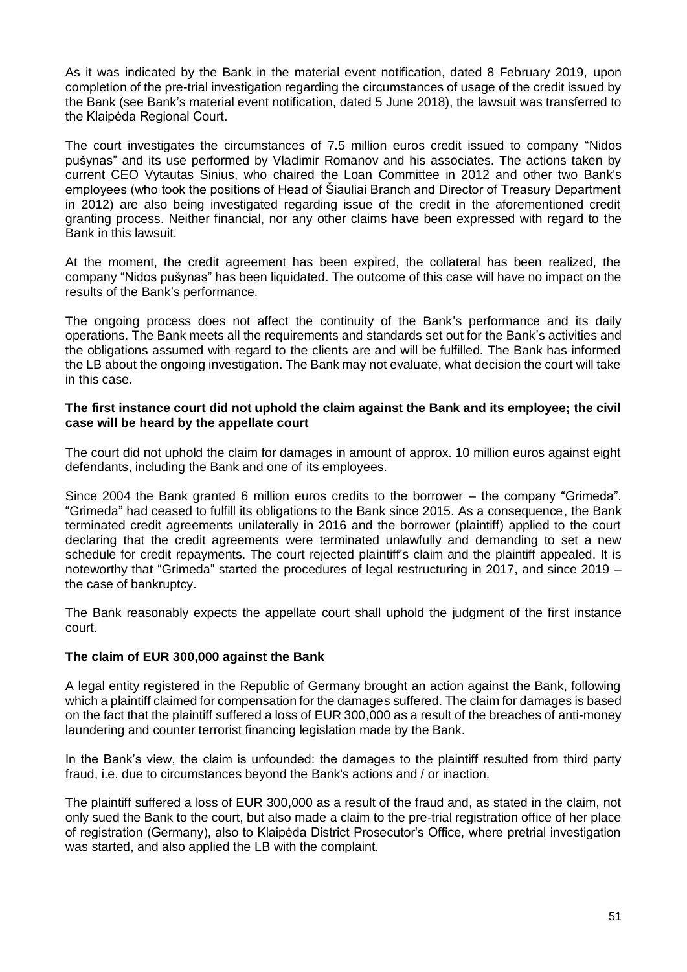As it was indicated by the Bank in the material event notification, dated 8 February 2019, upon completion of the pre-trial investigation regarding the circumstances of usage of the credit issued by the Bank (see Bank's material event notification, dated 5 June 2018), the lawsuit was transferred to the Klaipėda Regional Court.

The court investigates the circumstances of 7.5 million euros credit issued to company "Nidos pušynas" and its use performed by Vladimir Romanov and his associates. The actions taken by current CEO Vytautas Sinius, who chaired the Loan Committee in 2012 and other two Bank's employees (who took the positions of Head of Šiauliai Branch and Director of Treasury Department in 2012) are also being investigated regarding issue of the credit in the aforementioned credit granting process. Neither financial, nor any other claims have been expressed with regard to the Bank in this lawsuit.

At the moment, the credit agreement has been expired, the collateral has been realized, the company "Nidos pušynas" has been liquidated. The outcome of this case will have no impact on the results of the Bank's performance.

The ongoing process does not affect the continuity of the Bank's performance and its daily operations. The Bank meets all the requirements and standards set out for the Bank's activities and the obligations assumed with regard to the clients are and will be fulfilled. The Bank has informed the LB about the ongoing investigation. The Bank may not evaluate, what decision the court will take in this case.

### **The first instance court did not uphold the claim against the Bank and its employee; the civil case will be heard by the appellate court**

The court did not uphold the claim for damages in amount of approx. 10 million euros against eight defendants, including the Bank and one of its employees.

Since 2004 the Bank granted 6 million euros credits to the borrower – the company "Grimeda". "Grimeda" had ceased to fulfill its obligations to the Bank since 2015. As a consequence, the Bank terminated credit agreements unilaterally in 2016 and the borrower (plaintiff) applied to the court declaring that the credit agreements were terminated unlawfully and demanding to set a new schedule for credit repayments. The court rejected plaintiff's claim and the plaintiff appealed. It is noteworthy that "Grimeda" started the procedures of legal restructuring in 2017, and since 2019 – the case of bankruptcy.

The Bank reasonably expects the appellate court shall uphold the judgment of the first instance court.

### **The claim of EUR 300,000 against the Bank**

A legal entity registered in the Republic of Germany brought an action against the Bank, following which a plaintiff claimed for compensation for the damages suffered. The claim for damages is based on the fact that the plaintiff suffered a loss of EUR 300,000 as a result of the breaches of anti-money laundering and counter terrorist financing legislation made by the Bank.

In the Bank's view, the claim is unfounded: the damages to the plaintiff resulted from third party fraud, i.e. due to circumstances beyond the Bank's actions and / or inaction.

The plaintiff suffered a loss of EUR 300,000 as a result of the fraud and, as stated in the claim, not only sued the Bank to the court, but also made a claim to the pre-trial registration office of her place of registration (Germany), also to Klaipėda District Prosecutor's Office, where pretrial investigation was started, and also applied the LB with the complaint.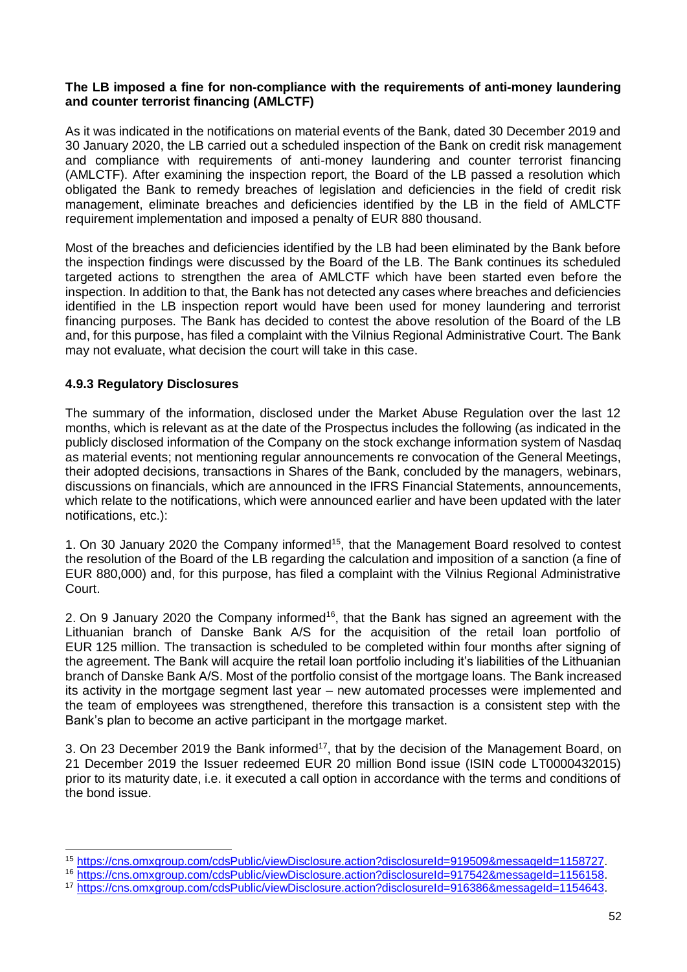#### **The LB imposed a fine for non-compliance with the requirements of anti-money laundering and counter terrorist financing (AMLCTF)**

As it was indicated in the notifications on material events of the Bank, dated 30 December 2019 and 30 January 2020, the LB carried out a scheduled inspection of the Bank on credit risk management and compliance with requirements of anti-money laundering and counter terrorist financing (AMLCTF). After examining the inspection report, the Board of the LB passed a resolution which obligated the Bank to remedy breaches of legislation and deficiencies in the field of credit risk management, eliminate breaches and deficiencies identified by the LB in the field of AMLCTF requirement implementation and imposed a penalty of EUR 880 thousand.

Most of the breaches and deficiencies identified by the LB had been eliminated by the Bank before the inspection findings were discussed by the Board of the LB. The Bank continues its scheduled targeted actions to strengthen the area of AMLCTF which have been started even before the inspection. In addition to that, the Bank has not detected any cases where breaches and deficiencies identified in the LB inspection report would have been used for money laundering and terrorist financing purposes. The Bank has decided to contest the above resolution of the Board of the LB and, for this purpose, has filed a complaint with the Vilnius Regional Administrative Court. The Bank may not evaluate, what decision the court will take in this case.

## <span id="page-51-0"></span>**4.9.3 Regulatory Disclosures**

-

The summary of the information, disclosed under the Market Abuse Regulation over the last 12 months, which is relevant as at the date of the Prospectus includes the following (as indicated in the publicly disclosed information of the Company on the stock exchange information system of Nasdaq as material events; not mentioning regular announcements re convocation of the General Meetings, their adopted decisions, transactions in Shares of the Bank, concluded by the managers, webinars, discussions on financials, which are announced in the IFRS Financial Statements, announcements, which relate to the notifications, which were announced earlier and have been updated with the later notifications, etc.):

1. On 30 January 2020 the Company informed<sup>15</sup>, that the Management Board resolved to contest the resolution of the Board of the LB regarding the calculation and imposition of a sanction (a fine of EUR 880,000) and, for this purpose, has filed a complaint with the Vilnius Regional Administrative Court.

2. On 9 January 2020 the Company informed<sup>16</sup>, that the Bank has signed an agreement with the Lithuanian branch of Danske Bank A/S for the acquisition of the retail loan portfolio of EUR 125 million. The transaction is scheduled to be completed within four months after signing of the agreement. The Bank will acquire the retail loan portfolio including it's liabilities of the Lithuanian branch of Danske Bank A/S. Most of the portfolio consist of the mortgage loans. The Bank increased its activity in the mortgage segment last year – new automated processes were implemented and the team of employees was strengthened, therefore this transaction is a consistent step with the Bank's plan to become an active participant in the mortgage market.

3. On 23 December 2019 the Bank informed<sup>17</sup>, that by the decision of the Management Board, on 21 December 2019 the Issuer redeemed EUR 20 million Bond issue (ISIN code LT0000432015) prior to its maturity date, i.e. it executed a call option in accordance with the terms and conditions of the bond issue.

<sup>15</sup> [https://cns.omxgroup.com/cdsPublic/viewDisclosure.action?disclosureId=919509&messageId=1158727.](https://cns.omxgroup.com/cdsPublic/viewDisclosure.action?disclosureId=919509&messageId=1158727)

<sup>16</sup> [https://cns.omxgroup.com/cdsPublic/viewDisclosure.action?disclosureId=917542&messageId=1156158.](https://cns.omxgroup.com/cdsPublic/viewDisclosure.action?disclosureId=917542&messageId=1156158)

<sup>17</sup> [https://cns.omxgroup.com/cdsPublic/viewDisclosure.action?disclosureId=916386&messageId=1154643.](https://cns.omxgroup.com/cdsPublic/viewDisclosure.action?disclosureId=916386&messageId=1154643)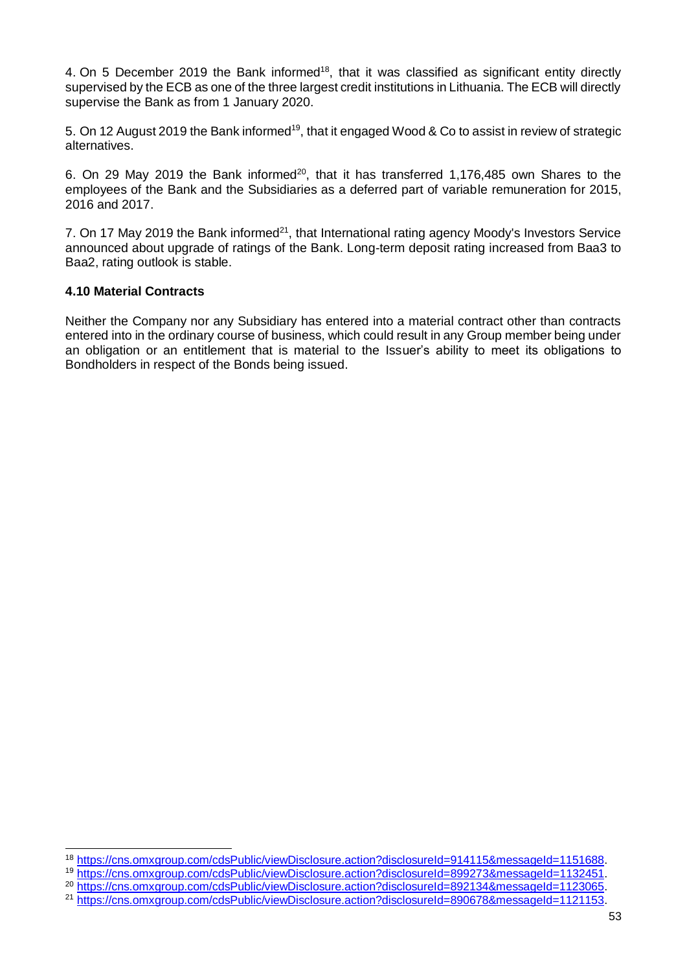4. On 5 December 2019 the Bank informed<sup>18</sup>, that it was classified as significant entity directly supervised by the ECB as one of the three largest credit institutions in Lithuania. The ECB will directly supervise the Bank as from 1 January 2020.

5. On 12 August 2019 the Bank informed<sup>19</sup>, that it engaged Wood & Co to assist in review of strategic alternatives.

6. On 29 May 2019 the Bank informed<sup>20</sup>, that it has transferred 1,176,485 own Shares to the employees of the Bank and the Subsidiaries as a deferred part of variable remuneration for 2015, 2016 and 2017.

7. On 17 May 2019 the Bank informed<sup>21</sup>, that International rating agency Moody's Investors Service announced about upgrade of ratings of the Bank. Long-term deposit rating increased from Baa3 to Baa2, rating outlook is stable.

### <span id="page-52-0"></span>**4.10 Material Contracts**

-

Neither the Company nor any Subsidiary has entered into a material contract other than contracts entered into in the ordinary course of business, which could result in any Group member being under an obligation or an entitlement that is material to the Issuer's ability to meet its obligations to Bondholders in respect of the Bonds being issued.

<sup>18</sup> [https://cns.omxgroup.com/cdsPublic/viewDisclosure.action?disclosureId=914115&messageId=1151688.](https://cns.omxgroup.com/cdsPublic/viewDisclosure.action?disclosureId=914115&messageId=1151688)

<sup>19</sup> [https://cns.omxgroup.com/cdsPublic/viewDisclosure.action?disclosureId=899273&messageId=1132451.](https://cns.omxgroup.com/cdsPublic/viewDisclosure.action?disclosureId=899273&messageId=1132451)

<sup>&</sup>lt;sup>20</sup> [https://cns.omxgroup.com/cdsPublic/viewDisclosure.action?disclosureId=892134&messageId=1123065.](https://cns.omxgroup.com/cdsPublic/viewDisclosure.action?disclosureId=892134&messageId=1123065)

<sup>&</sup>lt;sup>21</sup> [https://cns.omxgroup.com/cdsPublic/viewDisclosure.action?disclosureId=890678&messageId=1121153.](https://cns.omxgroup.com/cdsPublic/viewDisclosure.action?disclosureId=890678&messageId=1121153)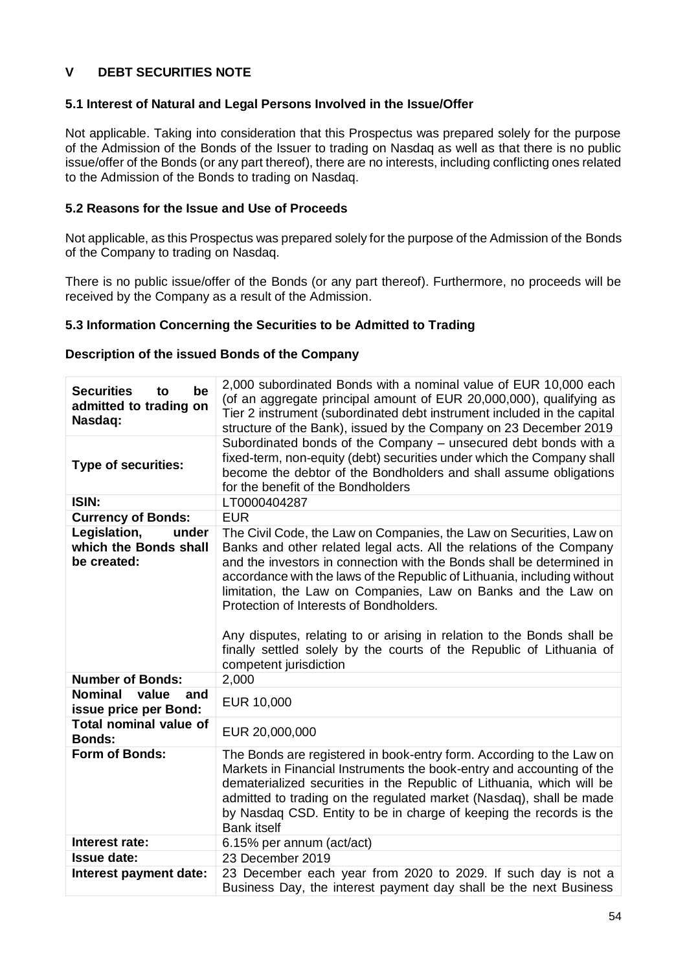# <span id="page-53-0"></span>**V DEBT SECURITIES NOTE**

## <span id="page-53-1"></span>**5.1 Interest of Natural and Legal Persons Involved in the Issue/Offer**

Not applicable. Taking into consideration that this Prospectus was prepared solely for the purpose of the Admission of the Bonds of the Issuer to trading on Nasdaq as well as that there is no public issue/offer of the Bonds (or any part thereof), there are no interests, including conflicting ones related to the Admission of the Bonds to trading on Nasdaq.

## <span id="page-53-2"></span>**5.2 Reasons for the Issue and Use of Proceeds**

Not applicable, as this Prospectus was prepared solely for the purpose of the Admission of the Bonds of the Company to trading on Nasdaq.

There is no public issue/offer of the Bonds (or any part thereof). Furthermore, no proceeds will be received by the Company as a result of the Admission.

### <span id="page-53-3"></span>**5.3 Information Concerning the Securities to be Admitted to Trading**

### **Description of the issued Bonds of the Company**

| <b>Securities</b><br>be<br>to<br>admitted to trading on<br>Nasdag: | 2,000 subordinated Bonds with a nominal value of EUR 10,000 each<br>(of an aggregate principal amount of EUR 20,000,000), qualifying as<br>Tier 2 instrument (subordinated debt instrument included in the capital<br>structure of the Bank), issued by the Company on 23 December 2019                                                                                                                                                                                                                                                                                                  |
|--------------------------------------------------------------------|------------------------------------------------------------------------------------------------------------------------------------------------------------------------------------------------------------------------------------------------------------------------------------------------------------------------------------------------------------------------------------------------------------------------------------------------------------------------------------------------------------------------------------------------------------------------------------------|
| <b>Type of securities:</b>                                         | Subordinated bonds of the Company - unsecured debt bonds with a<br>fixed-term, non-equity (debt) securities under which the Company shall<br>become the debtor of the Bondholders and shall assume obligations<br>for the benefit of the Bondholders                                                                                                                                                                                                                                                                                                                                     |
| <b>ISIN:</b>                                                       | LT0000404287                                                                                                                                                                                                                                                                                                                                                                                                                                                                                                                                                                             |
| <b>Currency of Bonds:</b>                                          | <b>EUR</b>                                                                                                                                                                                                                                                                                                                                                                                                                                                                                                                                                                               |
| Legislation,<br>under<br>which the Bonds shall<br>be created:      | The Civil Code, the Law on Companies, the Law on Securities, Law on<br>Banks and other related legal acts. All the relations of the Company<br>and the investors in connection with the Bonds shall be determined in<br>accordance with the laws of the Republic of Lithuania, including without<br>limitation, the Law on Companies, Law on Banks and the Law on<br>Protection of Interests of Bondholders.<br>Any disputes, relating to or arising in relation to the Bonds shall be<br>finally settled solely by the courts of the Republic of Lithuania of<br>competent jurisdiction |
| <b>Number of Bonds:</b>                                            | 2,000                                                                                                                                                                                                                                                                                                                                                                                                                                                                                                                                                                                    |
| <b>Nominal</b><br>value<br>and<br>issue price per Bond:            | EUR 10,000                                                                                                                                                                                                                                                                                                                                                                                                                                                                                                                                                                               |
| <b>Total nominal value of</b><br><b>Bonds:</b>                     | EUR 20,000,000                                                                                                                                                                                                                                                                                                                                                                                                                                                                                                                                                                           |
| Form of Bonds:                                                     | The Bonds are registered in book-entry form. According to the Law on<br>Markets in Financial Instruments the book-entry and accounting of the<br>dematerialized securities in the Republic of Lithuania, which will be<br>admitted to trading on the regulated market (Nasdaq), shall be made<br>by Nasdaq CSD. Entity to be in charge of keeping the records is the<br><b>Bank</b> itself                                                                                                                                                                                               |
| Interest rate:                                                     | 6.15% per annum (act/act)                                                                                                                                                                                                                                                                                                                                                                                                                                                                                                                                                                |
| <b>Issue date:</b>                                                 | 23 December 2019                                                                                                                                                                                                                                                                                                                                                                                                                                                                                                                                                                         |
| Interest payment date:                                             | 23 December each year from 2020 to 2029. If such day is not a<br>Business Day, the interest payment day shall be the next Business                                                                                                                                                                                                                                                                                                                                                                                                                                                       |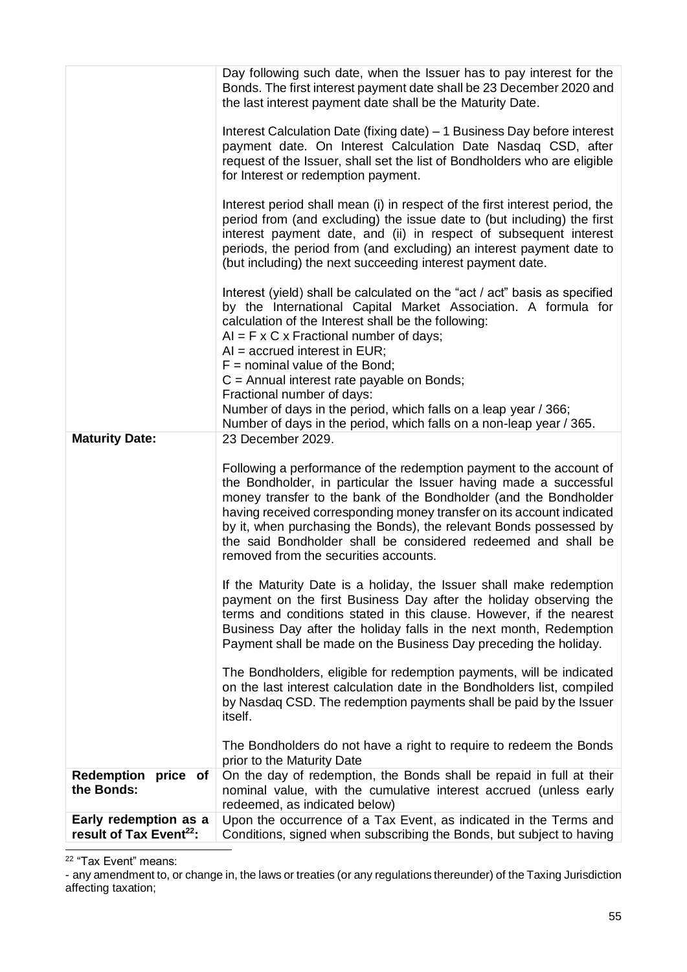|                                                              | Day following such date, when the Issuer has to pay interest for the<br>Bonds. The first interest payment date shall be 23 December 2020 and<br>the last interest payment date shall be the Maturity Date.<br>Interest Calculation Date (fixing date) – 1 Business Day before interest<br>payment date. On Interest Calculation Date Nasdaq CSD, after<br>request of the Issuer, shall set the list of Bondholders who are eligible<br>for Interest or redemption payment.<br>Interest period shall mean (i) in respect of the first interest period, the<br>period from (and excluding) the issue date to (but including) the first<br>interest payment date, and (ii) in respect of subsequent interest<br>periods, the period from (and excluding) an interest payment date to<br>(but including) the next succeeding interest payment date.<br>Interest (yield) shall be calculated on the "act / act" basis as specified<br>by the International Capital Market Association. A formula for<br>calculation of the Interest shall be the following:<br>$AI = F \times C \times Fractional number of days;$<br>$AI = accrued interest in EUR;$<br>$F =$ nominal value of the Bond;<br>$C =$ Annual interest rate payable on Bonds;<br>Fractional number of days:<br>Number of days in the period, which falls on a leap year / 366;<br>Number of days in the period, which falls on a non-leap year / 365. |
|--------------------------------------------------------------|--------------------------------------------------------------------------------------------------------------------------------------------------------------------------------------------------------------------------------------------------------------------------------------------------------------------------------------------------------------------------------------------------------------------------------------------------------------------------------------------------------------------------------------------------------------------------------------------------------------------------------------------------------------------------------------------------------------------------------------------------------------------------------------------------------------------------------------------------------------------------------------------------------------------------------------------------------------------------------------------------------------------------------------------------------------------------------------------------------------------------------------------------------------------------------------------------------------------------------------------------------------------------------------------------------------------------------------------------------------------------------------------------------------|
| <b>Maturity Date:</b>                                        | 23 December 2029.                                                                                                                                                                                                                                                                                                                                                                                                                                                                                                                                                                                                                                                                                                                                                                                                                                                                                                                                                                                                                                                                                                                                                                                                                                                                                                                                                                                            |
|                                                              | Following a performance of the redemption payment to the account of<br>the Bondholder, in particular the Issuer having made a successful<br>money transfer to the bank of the Bondholder (and the Bondholder<br>having received corresponding money transfer on its account indicated<br>by it, when purchasing the Bonds), the relevant Bonds possessed by<br>the said Bondholder shall be considered redeemed and shall be<br>removed from the securities accounts.                                                                                                                                                                                                                                                                                                                                                                                                                                                                                                                                                                                                                                                                                                                                                                                                                                                                                                                                        |
|                                                              | If the Maturity Date is a holiday, the Issuer shall make redemption<br>payment on the first Business Day after the holiday observing the<br>terms and conditions stated in this clause. However, if the nearest<br>Business Day after the holiday falls in the next month, Redemption<br>Payment shall be made on the Business Day preceding the holiday.                                                                                                                                                                                                                                                                                                                                                                                                                                                                                                                                                                                                                                                                                                                                                                                                                                                                                                                                                                                                                                                    |
|                                                              | The Bondholders, eligible for redemption payments, will be indicated<br>on the last interest calculation date in the Bondholders list, compiled<br>by Nasdag CSD. The redemption payments shall be paid by the Issuer<br>itself.                                                                                                                                                                                                                                                                                                                                                                                                                                                                                                                                                                                                                                                                                                                                                                                                                                                                                                                                                                                                                                                                                                                                                                             |
|                                                              | The Bondholders do not have a right to require to redeem the Bonds<br>prior to the Maturity Date                                                                                                                                                                                                                                                                                                                                                                                                                                                                                                                                                                                                                                                                                                                                                                                                                                                                                                                                                                                                                                                                                                                                                                                                                                                                                                             |
| Redemption price of<br>the Bonds:                            | On the day of redemption, the Bonds shall be repaid in full at their<br>nominal value, with the cumulative interest accrued (unless early<br>redeemed, as indicated below)                                                                                                                                                                                                                                                                                                                                                                                                                                                                                                                                                                                                                                                                                                                                                                                                                                                                                                                                                                                                                                                                                                                                                                                                                                   |
| Early redemption as a<br>result of Tax Event <sup>22</sup> : | Upon the occurrence of a Tax Event, as indicated in the Terms and<br>Conditions, signed when subscribing the Bonds, but subject to having                                                                                                                                                                                                                                                                                                                                                                                                                                                                                                                                                                                                                                                                                                                                                                                                                                                                                                                                                                                                                                                                                                                                                                                                                                                                    |

<sup>22</sup> "Tax Event" means:

<sup>-</sup> any amendment to, or change in, the laws or treaties (or any regulations thereunder) of the Taxing Jurisdiction affecting taxation;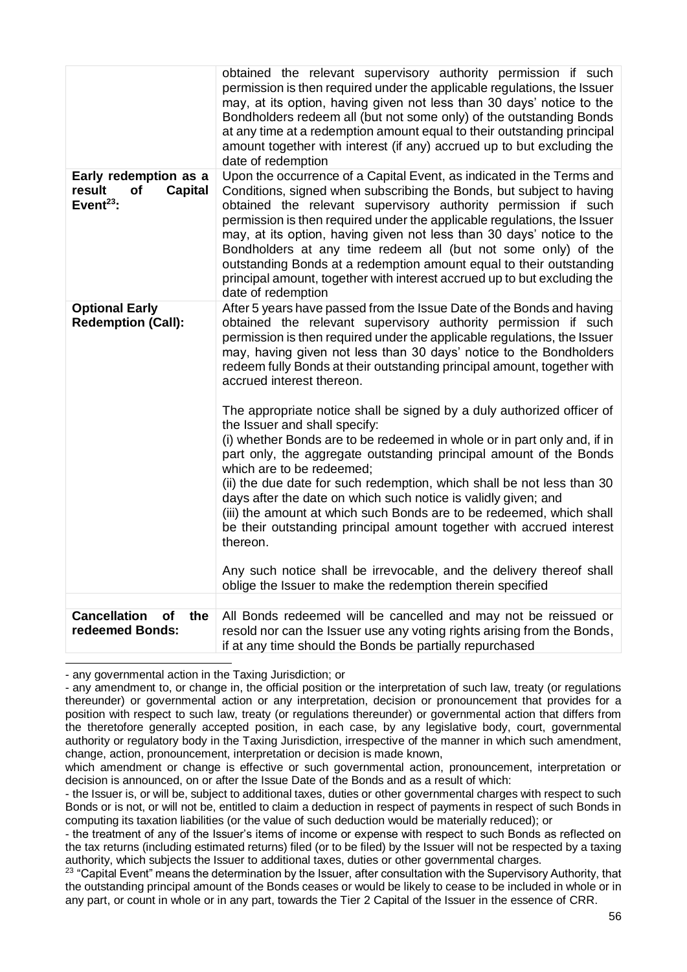|                                                                                  | obtained the relevant supervisory authority permission if such<br>permission is then required under the applicable regulations, the Issuer<br>may, at its option, having given not less than 30 days' notice to the<br>Bondholders redeem all (but not some only) of the outstanding Bonds<br>at any time at a redemption amount equal to their outstanding principal<br>amount together with interest (if any) accrued up to but excluding the<br>date of redemption                                                                                                                                                                                                                                                                                                                                                                                                                                                                                                                                                                                                                                                                     |
|----------------------------------------------------------------------------------|-------------------------------------------------------------------------------------------------------------------------------------------------------------------------------------------------------------------------------------------------------------------------------------------------------------------------------------------------------------------------------------------------------------------------------------------------------------------------------------------------------------------------------------------------------------------------------------------------------------------------------------------------------------------------------------------------------------------------------------------------------------------------------------------------------------------------------------------------------------------------------------------------------------------------------------------------------------------------------------------------------------------------------------------------------------------------------------------------------------------------------------------|
| Early redemption as a<br><b>Capital</b><br>result<br>of<br>Event <sup>23</sup> : | Upon the occurrence of a Capital Event, as indicated in the Terms and<br>Conditions, signed when subscribing the Bonds, but subject to having<br>obtained the relevant supervisory authority permission if such<br>permission is then required under the applicable regulations, the Issuer<br>may, at its option, having given not less than 30 days' notice to the<br>Bondholders at any time redeem all (but not some only) of the<br>outstanding Bonds at a redemption amount equal to their outstanding<br>principal amount, together with interest accrued up to but excluding the<br>date of redemption                                                                                                                                                                                                                                                                                                                                                                                                                                                                                                                            |
| <b>Optional Early</b><br><b>Redemption (Call):</b>                               | After 5 years have passed from the Issue Date of the Bonds and having<br>obtained the relevant supervisory authority permission if such<br>permission is then required under the applicable regulations, the Issuer<br>may, having given not less than 30 days' notice to the Bondholders<br>redeem fully Bonds at their outstanding principal amount, together with<br>accrued interest thereon.<br>The appropriate notice shall be signed by a duly authorized officer of<br>the Issuer and shall specify:<br>(i) whether Bonds are to be redeemed in whole or in part only and, if in<br>part only, the aggregate outstanding principal amount of the Bonds<br>which are to be redeemed;<br>(ii) the due date for such redemption, which shall be not less than 30<br>days after the date on which such notice is validly given; and<br>(iii) the amount at which such Bonds are to be redeemed, which shall<br>be their outstanding principal amount together with accrued interest<br>thereon.<br>Any such notice shall be irrevocable, and the delivery thereof shall<br>oblige the Issuer to make the redemption therein specified |
| <b>Cancellation</b><br><b>of</b><br>the                                          | All Bonds redeemed will be cancelled and may not be reissued or                                                                                                                                                                                                                                                                                                                                                                                                                                                                                                                                                                                                                                                                                                                                                                                                                                                                                                                                                                                                                                                                           |
| redeemed Bonds:                                                                  | resold nor can the Issuer use any voting rights arising from the Bonds,<br>if at any time should the Bonds be partially repurchased                                                                                                                                                                                                                                                                                                                                                                                                                                                                                                                                                                                                                                                                                                                                                                                                                                                                                                                                                                                                       |

- any governmental action in the Taxing Jurisdiction; or

<sup>-</sup> any amendment to, or change in, the official position or the interpretation of such law, treaty (or regulations thereunder) or governmental action or any interpretation, decision or pronouncement that provides for a position with respect to such law, treaty (or regulations thereunder) or governmental action that differs from the theretofore generally accepted position, in each case, by any legislative body, court, governmental authority or regulatory body in the Taxing Jurisdiction, irrespective of the manner in which such amendment, change, action, pronouncement, interpretation or decision is made known,

which amendment or change is effective or such governmental action, pronouncement, interpretation or decision is announced, on or after the Issue Date of the Bonds and as a result of which:

<sup>-</sup> the Issuer is, or will be, subject to additional taxes, duties or other governmental charges with respect to such Bonds or is not, or will not be, entitled to claim a deduction in respect of payments in respect of such Bonds in computing its taxation liabilities (or the value of such deduction would be materially reduced); or

<sup>-</sup> the treatment of any of the Issuer's items of income or expense with respect to such Bonds as reflected on the tax returns (including estimated returns) filed (or to be filed) by the Issuer will not be respected by a taxing authority, which subjects the Issuer to additional taxes, duties or other governmental charges.

<sup>&</sup>lt;sup>23</sup> "Capital Event" means the determination by the Issuer, after consultation with the Supervisory Authority, that the outstanding principal amount of the Bonds ceases or would be likely to cease to be included in whole or in any part, or count in whole or in any part, towards the Tier 2 Capital of the Issuer in the essence of CRR.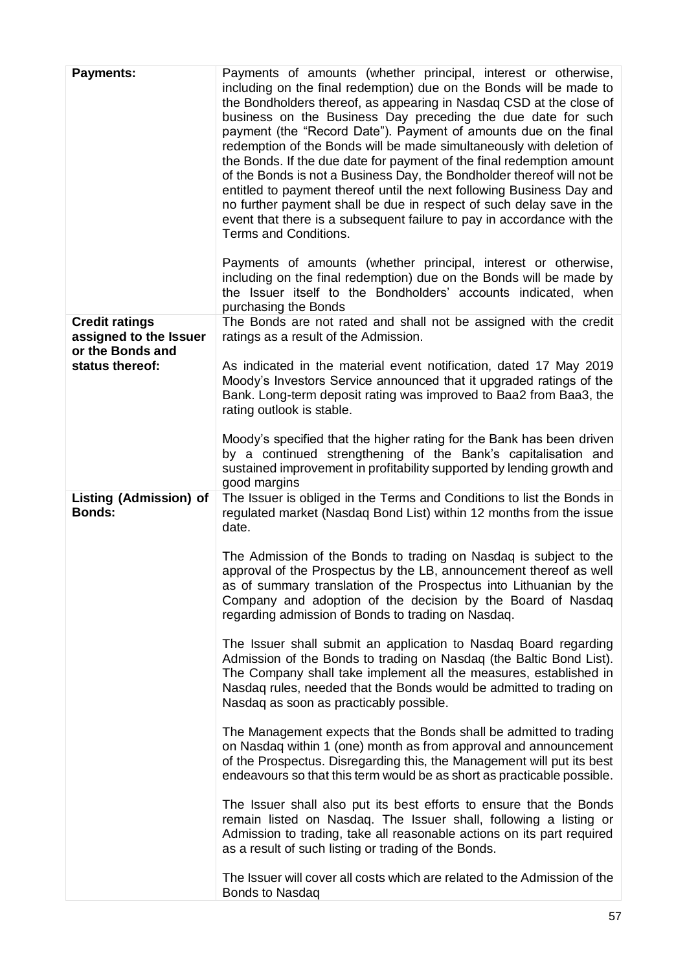| <b>Payments:</b>                                                    | Payments of amounts (whether principal, interest or otherwise,<br>including on the final redemption) due on the Bonds will be made to<br>the Bondholders thereof, as appearing in Nasdaq CSD at the close of<br>business on the Business Day preceding the due date for such<br>payment (the "Record Date"). Payment of amounts due on the final<br>redemption of the Bonds will be made simultaneously with deletion of<br>the Bonds. If the due date for payment of the final redemption amount<br>of the Bonds is not a Business Day, the Bondholder thereof will not be<br>entitled to payment thereof until the next following Business Day and<br>no further payment shall be due in respect of such delay save in the<br>event that there is a subsequent failure to pay in accordance with the<br>Terms and Conditions.<br>Payments of amounts (whether principal, interest or otherwise,<br>including on the final redemption) due on the Bonds will be made by<br>the Issuer itself to the Bondholders' accounts indicated, when<br>purchasing the Bonds |
|---------------------------------------------------------------------|--------------------------------------------------------------------------------------------------------------------------------------------------------------------------------------------------------------------------------------------------------------------------------------------------------------------------------------------------------------------------------------------------------------------------------------------------------------------------------------------------------------------------------------------------------------------------------------------------------------------------------------------------------------------------------------------------------------------------------------------------------------------------------------------------------------------------------------------------------------------------------------------------------------------------------------------------------------------------------------------------------------------------------------------------------------------|
| <b>Credit ratings</b><br>assigned to the Issuer<br>or the Bonds and | The Bonds are not rated and shall not be assigned with the credit<br>ratings as a result of the Admission.                                                                                                                                                                                                                                                                                                                                                                                                                                                                                                                                                                                                                                                                                                                                                                                                                                                                                                                                                         |
| status thereof:                                                     | As indicated in the material event notification, dated 17 May 2019<br>Moody's Investors Service announced that it upgraded ratings of the<br>Bank. Long-term deposit rating was improved to Baa2 from Baa3, the<br>rating outlook is stable.                                                                                                                                                                                                                                                                                                                                                                                                                                                                                                                                                                                                                                                                                                                                                                                                                       |
|                                                                     | Moody's specified that the higher rating for the Bank has been driven<br>by a continued strengthening of the Bank's capitalisation and<br>sustained improvement in profitability supported by lending growth and<br>good margins                                                                                                                                                                                                                                                                                                                                                                                                                                                                                                                                                                                                                                                                                                                                                                                                                                   |
| <b>Listing (Admission) of</b><br><b>Bonds:</b>                      | The Issuer is obliged in the Terms and Conditions to list the Bonds in<br>regulated market (Nasdaq Bond List) within 12 months from the issue<br>date.                                                                                                                                                                                                                                                                                                                                                                                                                                                                                                                                                                                                                                                                                                                                                                                                                                                                                                             |
|                                                                     | The Admission of the Bonds to trading on Nasdaq is subject to the<br>approval of the Prospectus by the LB, announcement thereof as well<br>as of summary translation of the Prospectus into Lithuanian by the<br>Company and adoption of the decision by the Board of Nasdaq<br>regarding admission of Bonds to trading on Nasdaq.                                                                                                                                                                                                                                                                                                                                                                                                                                                                                                                                                                                                                                                                                                                                 |
|                                                                     | The Issuer shall submit an application to Nasdaq Board regarding<br>Admission of the Bonds to trading on Nasdaq (the Baltic Bond List).<br>The Company shall take implement all the measures, established in<br>Nasdag rules, needed that the Bonds would be admitted to trading on<br>Nasdaq as soon as practicably possible.                                                                                                                                                                                                                                                                                                                                                                                                                                                                                                                                                                                                                                                                                                                                     |
|                                                                     | The Management expects that the Bonds shall be admitted to trading<br>on Nasdaq within 1 (one) month as from approval and announcement<br>of the Prospectus. Disregarding this, the Management will put its best<br>endeavours so that this term would be as short as practicable possible.                                                                                                                                                                                                                                                                                                                                                                                                                                                                                                                                                                                                                                                                                                                                                                        |
|                                                                     | The Issuer shall also put its best efforts to ensure that the Bonds<br>remain listed on Nasdaq. The Issuer shall, following a listing or<br>Admission to trading, take all reasonable actions on its part required<br>as a result of such listing or trading of the Bonds.                                                                                                                                                                                                                                                                                                                                                                                                                                                                                                                                                                                                                                                                                                                                                                                         |
|                                                                     | The Issuer will cover all costs which are related to the Admission of the<br><b>Bonds to Nasdaq</b>                                                                                                                                                                                                                                                                                                                                                                                                                                                                                                                                                                                                                                                                                                                                                                                                                                                                                                                                                                |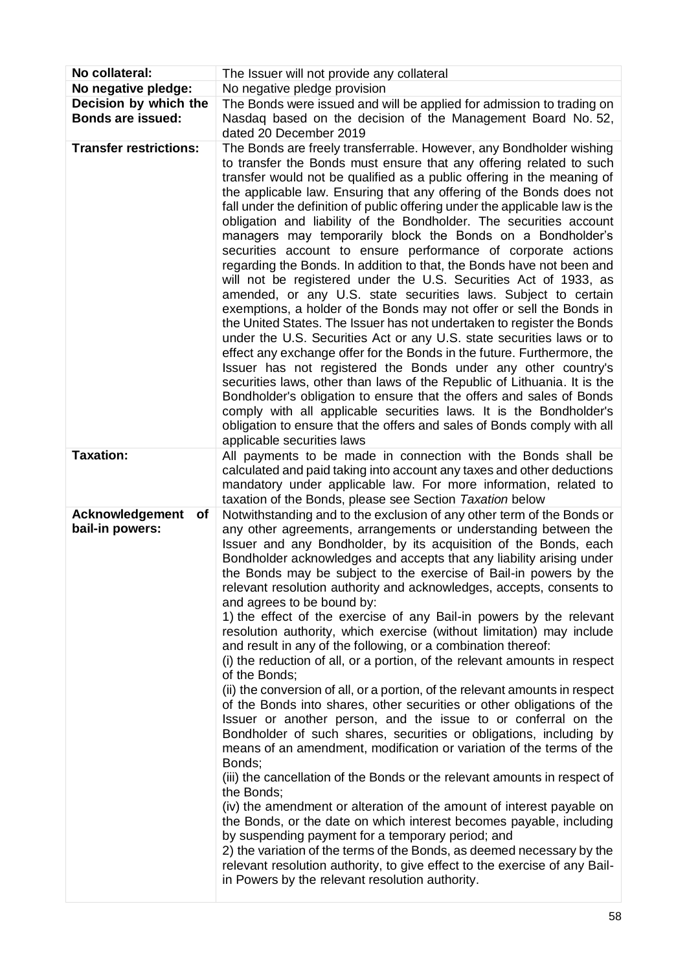| No collateral:                                    | The Issuer will not provide any collateral                                                                                                                                                                                                                                                                                                                                                                                                                                                                                                                                                                                                                                                                                                                                                                                                                                                                                                                                                                                                                                                                                                                                                                                                                                                                                                                                                                                                                                                                                                                                                                                                                                      |
|---------------------------------------------------|---------------------------------------------------------------------------------------------------------------------------------------------------------------------------------------------------------------------------------------------------------------------------------------------------------------------------------------------------------------------------------------------------------------------------------------------------------------------------------------------------------------------------------------------------------------------------------------------------------------------------------------------------------------------------------------------------------------------------------------------------------------------------------------------------------------------------------------------------------------------------------------------------------------------------------------------------------------------------------------------------------------------------------------------------------------------------------------------------------------------------------------------------------------------------------------------------------------------------------------------------------------------------------------------------------------------------------------------------------------------------------------------------------------------------------------------------------------------------------------------------------------------------------------------------------------------------------------------------------------------------------------------------------------------------------|
| No negative pledge:                               | No negative pledge provision                                                                                                                                                                                                                                                                                                                                                                                                                                                                                                                                                                                                                                                                                                                                                                                                                                                                                                                                                                                                                                                                                                                                                                                                                                                                                                                                                                                                                                                                                                                                                                                                                                                    |
| Decision by which the<br><b>Bonds are issued:</b> | The Bonds were issued and will be applied for admission to trading on<br>Nasdaq based on the decision of the Management Board No. 52,                                                                                                                                                                                                                                                                                                                                                                                                                                                                                                                                                                                                                                                                                                                                                                                                                                                                                                                                                                                                                                                                                                                                                                                                                                                                                                                                                                                                                                                                                                                                           |
|                                                   | dated 20 December 2019                                                                                                                                                                                                                                                                                                                                                                                                                                                                                                                                                                                                                                                                                                                                                                                                                                                                                                                                                                                                                                                                                                                                                                                                                                                                                                                                                                                                                                                                                                                                                                                                                                                          |
| <b>Transfer restrictions:</b>                     | The Bonds are freely transferrable. However, any Bondholder wishing<br>to transfer the Bonds must ensure that any offering related to such<br>transfer would not be qualified as a public offering in the meaning of<br>the applicable law. Ensuring that any offering of the Bonds does not<br>fall under the definition of public offering under the applicable law is the<br>obligation and liability of the Bondholder. The securities account<br>managers may temporarily block the Bonds on a Bondholder's<br>securities account to ensure performance of corporate actions<br>regarding the Bonds. In addition to that, the Bonds have not been and<br>will not be registered under the U.S. Securities Act of 1933, as<br>amended, or any U.S. state securities laws. Subject to certain<br>exemptions, a holder of the Bonds may not offer or sell the Bonds in<br>the United States. The Issuer has not undertaken to register the Bonds<br>under the U.S. Securities Act or any U.S. state securities laws or to<br>effect any exchange offer for the Bonds in the future. Furthermore, the<br>Issuer has not registered the Bonds under any other country's<br>securities laws, other than laws of the Republic of Lithuania. It is the<br>Bondholder's obligation to ensure that the offers and sales of Bonds<br>comply with all applicable securities laws. It is the Bondholder's<br>obligation to ensure that the offers and sales of Bonds comply with all<br>applicable securities laws                                                                                                                                                                      |
| <b>Taxation:</b>                                  | All payments to be made in connection with the Bonds shall be<br>calculated and paid taking into account any taxes and other deductions<br>mandatory under applicable law. For more information, related to<br>taxation of the Bonds, please see Section Taxation below                                                                                                                                                                                                                                                                                                                                                                                                                                                                                                                                                                                                                                                                                                                                                                                                                                                                                                                                                                                                                                                                                                                                                                                                                                                                                                                                                                                                         |
| Acknowledgement<br>Οf<br>bail-in powers:          | Notwithstanding and to the exclusion of any other term of the Bonds or<br>any other agreements, arrangements or understanding between the<br>Issuer and any Bondholder, by its acquisition of the Bonds, each<br>Bondholder acknowledges and accepts that any liability arising under<br>the Bonds may be subject to the exercise of Bail-in powers by the<br>relevant resolution authority and acknowledges, accepts, consents to<br>and agrees to be bound by:<br>1) the effect of the exercise of any Bail-in powers by the relevant<br>resolution authority, which exercise (without limitation) may include<br>and result in any of the following, or a combination thereof:<br>(i) the reduction of all, or a portion, of the relevant amounts in respect<br>of the Bonds;<br>(ii) the conversion of all, or a portion, of the relevant amounts in respect<br>of the Bonds into shares, other securities or other obligations of the<br>Issuer or another person, and the issue to or conferral on the<br>Bondholder of such shares, securities or obligations, including by<br>means of an amendment, modification or variation of the terms of the<br>Bonds;<br>(iii) the cancellation of the Bonds or the relevant amounts in respect of<br>the Bonds;<br>(iv) the amendment or alteration of the amount of interest payable on<br>the Bonds, or the date on which interest becomes payable, including<br>by suspending payment for a temporary period; and<br>2) the variation of the terms of the Bonds, as deemed necessary by the<br>relevant resolution authority, to give effect to the exercise of any Bail-<br>in Powers by the relevant resolution authority. |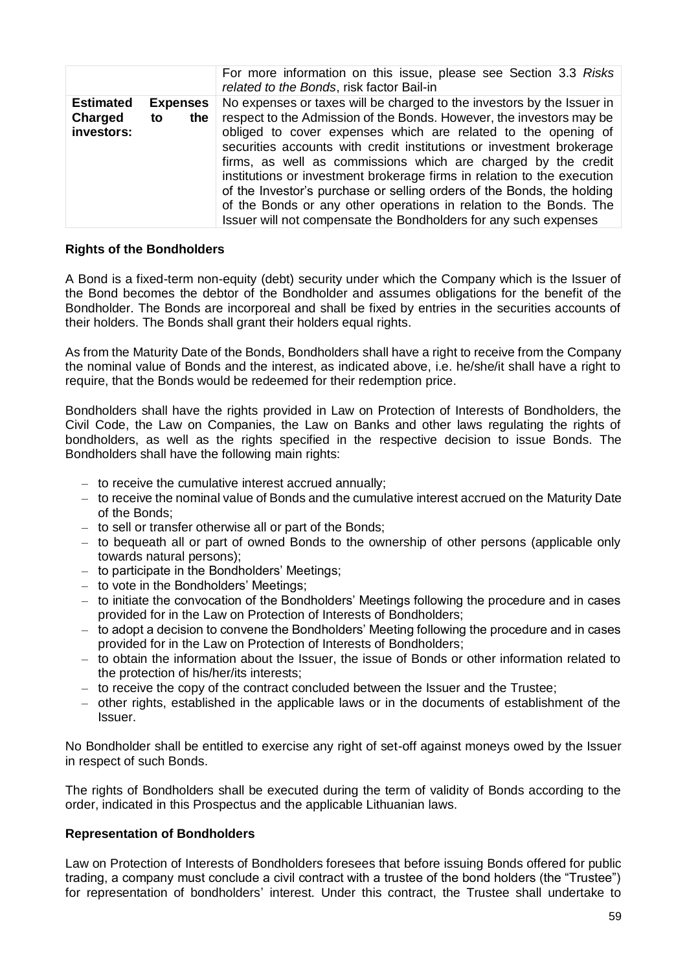|                                           |                              | For more information on this issue, please see Section 3.3 Risks<br>related to the Bonds, risk factor Bail-in                                                                                                                                                                                                                                                                                                                                                                                                                                                                                                                                           |
|-------------------------------------------|------------------------------|---------------------------------------------------------------------------------------------------------------------------------------------------------------------------------------------------------------------------------------------------------------------------------------------------------------------------------------------------------------------------------------------------------------------------------------------------------------------------------------------------------------------------------------------------------------------------------------------------------------------------------------------------------|
| <b>Estimated</b><br>Charged<br>investors: | <b>Expenses</b><br>the<br>to | No expenses or taxes will be charged to the investors by the Issuer in<br>respect to the Admission of the Bonds. However, the investors may be<br>obliged to cover expenses which are related to the opening of<br>securities accounts with credit institutions or investment brokerage<br>firms, as well as commissions which are charged by the credit<br>institutions or investment brokerage firms in relation to the execution<br>of the Investor's purchase or selling orders of the Bonds, the holding<br>of the Bonds or any other operations in relation to the Bonds. The<br>Issuer will not compensate the Bondholders for any such expenses |

#### **Rights of the Bondholders**

A Bond is a fixed-term non-equity (debt) security under which the Company which is the Issuer of the Bond becomes the debtor of the Bondholder and assumes obligations for the benefit of the Bondholder. The Bonds are incorporeal and shall be fixed by entries in the securities accounts of their holders. The Bonds shall grant their holders equal rights.

As from the Maturity Date of the Bonds, Bondholders shall have a right to receive from the Company the nominal value of Bonds and the interest, as indicated above, i.e. he/she/it shall have a right to require, that the Bonds would be redeemed for their redemption price.

Bondholders shall have the rights provided in Law on Protection of Interests of Bondholders, the Civil Code, the Law on Companies, the Law on Banks and other laws regulating the rights of bondholders, as well as the rights specified in the respective decision to issue Bonds. The Bondholders shall have the following main rights:

- to receive the cumulative interest accrued annually;
- to receive the nominal value of Bonds and the cumulative interest accrued on the Maturity Date of the Bonds;
- to sell or transfer otherwise all or part of the Bonds;
- to bequeath all or part of owned Bonds to the ownership of other persons (applicable only towards natural persons);
- to participate in the Bondholders' Meetings;
- to vote in the Bondholders' Meetings;
- to initiate the convocation of the Bondholders' Meetings following the procedure and in cases provided for in the Law on Protection of Interests of Bondholders;
- to adopt a decision to convene the Bondholders' Meeting following the procedure and in cases provided for in the Law on Protection of Interests of Bondholders;
- to obtain the information about the Issuer, the issue of Bonds or other information related to the protection of his/her/its interests;
- to receive the copy of the contract concluded between the Issuer and the Trustee;
- other rights, established in the applicable laws or in the documents of establishment of the Issuer.

No Bondholder shall be entitled to exercise any right of set-off against moneys owed by the Issuer in respect of such Bonds.

The rights of Bondholders shall be executed during the term of validity of Bonds according to the order, indicated in this Prospectus and the applicable Lithuanian laws.

### **Representation of Bondholders**

Law on Protection of Interests of Bondholders foresees that before issuing Bonds offered for public trading, a company must conclude a civil contract with a trustee of the bond holders (the "Trustee") for representation of bondholders' interest. Under this contract, the Trustee shall undertake to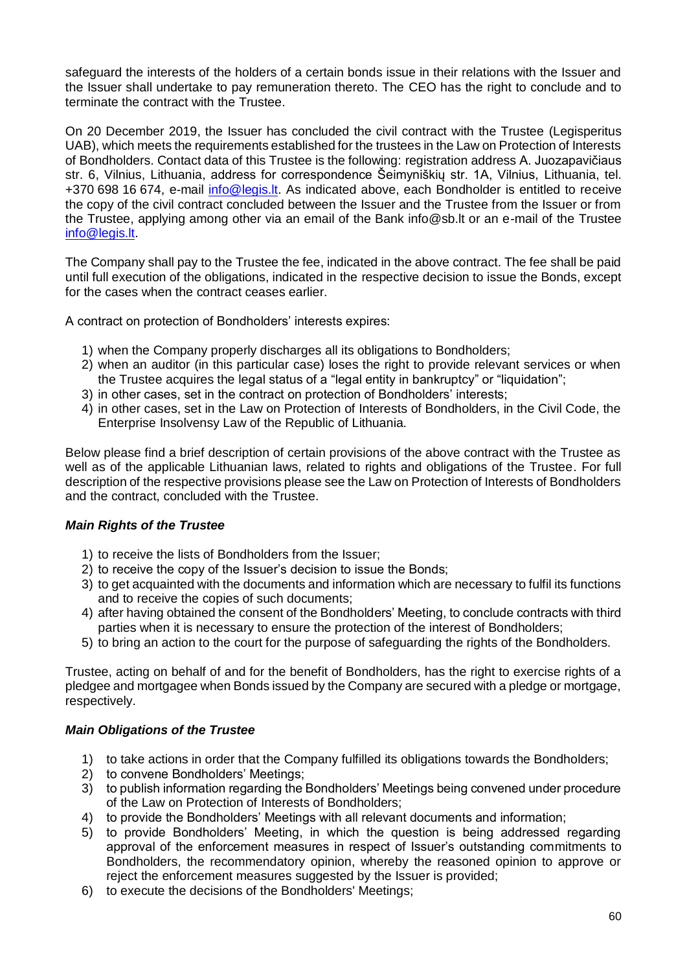safeguard the interests of the holders of a certain bonds issue in their relations with the Issuer and the Issuer shall undertake to pay remuneration thereto. The CEO has the right to conclude and to terminate the contract with the Trustee.

On 20 December 2019, the Issuer has concluded the civil contract with the Trustee (Legisperitus UAB), which meets the requirements established for the trustees in the Law on Protection of Interests of Bondholders. Contact data of this Trustee is the following: registration address A. Juozapavičiaus str. 6, Vilnius, Lithuania, address for correspondence Šeimyniškių str. 1A, Vilnius, Lithuania, tel. +370 698 16 674, e-mail [info@legis.lt.](mailto:info@legis.lt) As indicated above, each Bondholder is entitled to receive the copy of the civil contract concluded between the Issuer and the Trustee from the Issuer or from the Trustee, applying among other via an email of the Bank info@sb.lt or an e-mail of the Trustee [info@legis.lt.](mailto:info@legis.lt)

The Company shall pay to the Trustee the fee, indicated in the above contract. The fee shall be paid until full execution of the obligations, indicated in the respective decision to issue the Bonds, except for the cases when the contract ceases earlier.

A contract on protection of Bondholders' interests expires:

- 1) when the Company properly discharges all its obligations to Bondholders;
- 2) when an auditor (in this particular case) loses the right to provide relevant services or when the Trustee acquires the legal status of a "legal entity in bankruptcy" or "liquidation";
- 3) in other cases, set in the contract on protection of Bondholders' interests;
- 4) in other cases, set in the Law on Protection of Interests of Bondholders, in the Civil Code, the Enterprise Insolvensy Law of the Republic of Lithuania.

Below please find a brief description of certain provisions of the above contract with the Trustee as well as of the applicable Lithuanian laws, related to rights and obligations of the Trustee. For full description of the respective provisions please see the Law on Protection of Interests of Bondholders and the contract, concluded with the Trustee.

# *Main Rights of the Trustee*

- 1) to receive the lists of Bondholders from the Issuer;
- 2) to receive the copy of the Issuer's decision to issue the Bonds;
- 3) to get acquainted with the documents and information which are necessary to fulfil its functions and to receive the copies of such documents;
- 4) after having obtained the consent of the Bondholders' Meeting, to conclude contracts with third parties when it is necessary to ensure the protection of the interest of Bondholders;
- 5) to bring an action to the court for the purpose of safeguarding the rights of the Bondholders.

Trustee, acting on behalf of and for the benefit of Bondholders, has the right to exercise rights of a pledgee and mortgagee when Bonds issued by the Company are secured with a pledge or mortgage, respectively.

# *Main Obligations of the Trustee*

- 1) to take actions in order that the Company fulfilled its obligations towards the Bondholders;
- 2) to convene Bondholders' Meetings;
- 3) to publish information regarding the Bondholders' Meetings being convened under procedure of the Law on Protection of Interests of Bondholders;
- 4) to provide the Bondholders' Meetings with all relevant documents and information;
- 5) to provide Bondholders' Meeting, in which the question is being addressed regarding approval of the enforcement measures in respect of Issuer's outstanding commitments to Bondholders, the recommendatory opinion, whereby the reasoned opinion to approve or reject the enforcement measures suggested by the Issuer is provided;
- 6) to execute the decisions of the Bondholders' Meetings;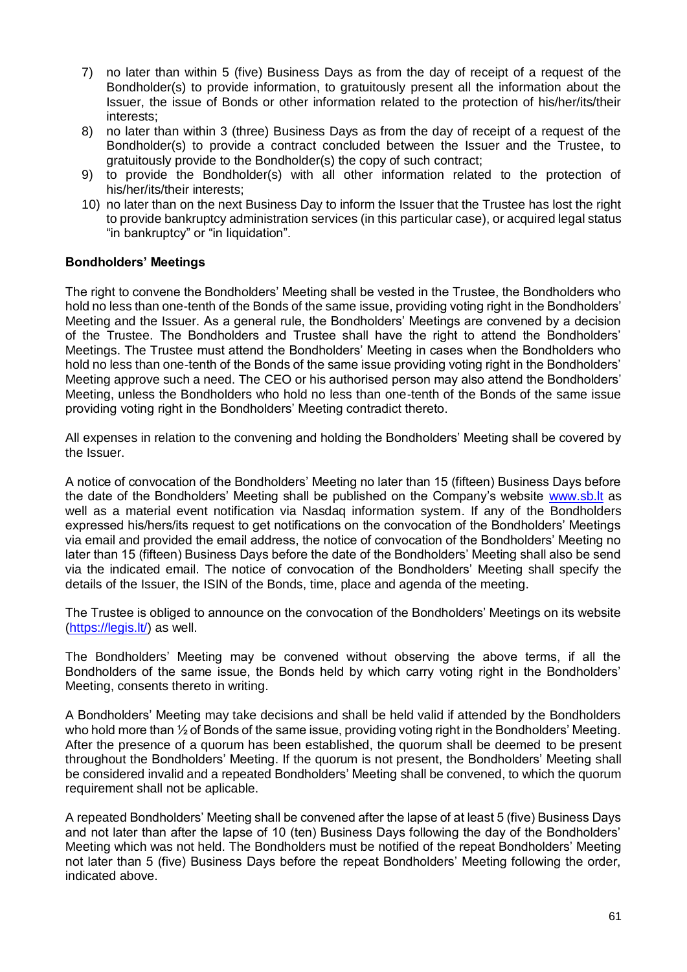- 7) no later than within 5 (five) Business Days as from the day of receipt of a request of the Bondholder(s) to provide information, to gratuitously present all the information about the Issuer, the issue of Bonds or other information related to the protection of his/her/its/their interests;
- 8) no later than within 3 (three) Business Days as from the day of receipt of a request of the Bondholder(s) to provide a contract concluded between the Issuer and the Trustee, to gratuitously provide to the Bondholder(s) the copy of such contract;
- 9) to provide the Bondholder(s) with all other information related to the protection of his/her/its/their interests;
- 10) no later than on the next Business Day to inform the Issuer that the Trustee has lost the right to provide bankruptcy administration services (in this particular case), or acquired legal status "in bankruptcy" or "in liquidation".

## **Bondholders' Meetings**

The right to convene the Bondholders' Meeting shall be vested in the Trustee, the Bondholders who hold no less than one-tenth of the Bonds of the same issue, providing voting right in the Bondholders' Meeting and the Issuer. As a general rule, the Bondholders' Meetings are convened by a decision of the Trustee. The Bondholders and Trustee shall have the right to attend the Bondholders' Meetings. The Trustee must attend the Bondholders' Meeting in cases when the Bondholders who hold no less than one-tenth of the Bonds of the same issue providing voting right in the Bondholders' Meeting approve such a need. The CEO or his authorised person may also attend the Bondholders' Meeting, unless the Bondholders who hold no less than one-tenth of the Bonds of the same issue providing voting right in the Bondholders' Meeting contradict thereto.

All expenses in relation to the convening and holding the Bondholders' Meeting shall be covered by the Issuer.

A notice of convocation of the Bondholders' Meeting no later than 15 (fifteen) Business Days before the date of the Bondholders' Meeting shall be published on the Company's website [www.sb.lt](http://www.sb.lt/) as well as a material event notification via Nasdaq information system. If any of the Bondholders expressed his/hers/its request to get notifications on the convocation of the Bondholders' Meetings via email and provided the email address, the notice of convocation of the Bondholders' Meeting no later than 15 (fifteen) Business Days before the date of the Bondholders' Meeting shall also be send via the indicated email. The notice of convocation of the Bondholders' Meeting shall specify the details of the Issuer, the ISIN of the Bonds, time, place and agenda of the meeting.

The Trustee is obliged to announce on the convocation of the Bondholders' Meetings on its website (https://legis.lt/) as well.

The Bondholders' Meeting may be convened without observing the above terms, if all the Bondholders of the same issue, the Bonds held by which carry voting right in the Bondholders' Meeting, consents thereto in writing.

A Bondholders' Meeting may take decisions and shall be held valid if attended by the Bondholders who hold more than  $\frac{1}{2}$  of Bonds of the same issue, providing voting right in the Bondholders' Meeting. After the presence of a quorum has been established, the quorum shall be deemed to be present throughout the Bondholders' Meeting. If the quorum is not present, the Bondholders' Meeting shall be considered invalid and a repeated Bondholders' Meeting shall be convened, to which the quorum requirement shall not be aplicable.

A repeated Bondholders' Meeting shall be convened after the lapse of at least 5 (five) Business Days and not later than after the lapse of 10 (ten) Business Days following the day of the Bondholders' Meeting which was not held. The Bondholders must be notified of the repeat Bondholders' Meeting not later than 5 (five) Business Days before the repeat Bondholders' Meeting following the order, indicated above.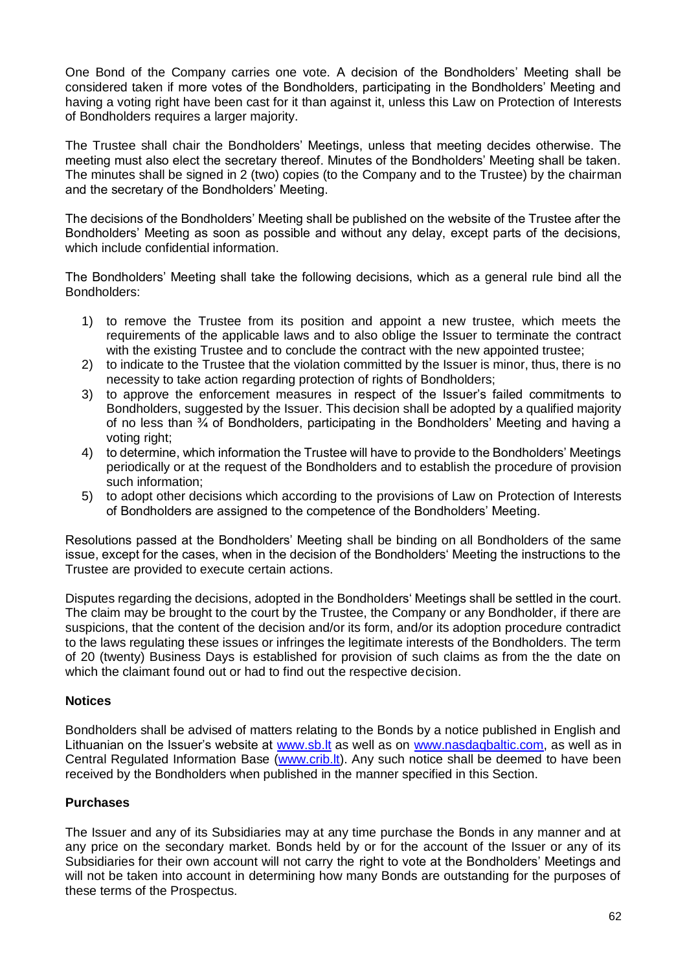One Bond of the Company carries one vote. A decision of the Bondholders' Meeting shall be considered taken if more votes of the Bondholders, participating in the Bondholders' Meeting and having a voting right have been cast for it than against it, unless this Law on Protection of Interests of Bondholders requires a larger majority.

The Trustee shall chair the Bondholders' Meetings, unless that meeting decides otherwise. The meeting must also elect the secretary thereof. Minutes of the Bondholders' Meeting shall be taken. The minutes shall be signed in 2 (two) copies (to the Company and to the Trustee) by the chairman and the secretary of the Bondholders' Meeting.

The decisions of the Bondholders' Meeting shall be published on the website of the Trustee after the Bondholders' Meeting as soon as possible and without any delay, except parts of the decisions, which include confidential information.

The Bondholders' Meeting shall take the following decisions, which as a general rule bind all the Bondholders:

- 1) to remove the Trustee from its position and appoint a new trustee, which meets the requirements of the applicable laws and to also oblige the Issuer to terminate the contract with the existing Trustee and to conclude the contract with the new appointed trustee:
- 2) to indicate to the Trustee that the violation committed by the Issuer is minor, thus, there is no necessity to take action regarding protection of rights of Bondholders;
- 3) to approve the enforcement measures in respect of the Issuer's failed commitments to Bondholders, suggested by the Issuer. This decision shall be adopted by a qualified majority of no less than  $\frac{3}{4}$  of Bondholders, participating in the Bondholders' Meeting and having a voting right:
- 4) to determine, which information the Trustee will have to provide to the Bondholders' Meetings periodically or at the request of the Bondholders and to establish the procedure of provision such information;
- 5) to adopt other decisions which according to the provisions of Law on Protection of Interests of Bondholders are assigned to the competence of the Bondholders' Meeting.

Resolutions passed at the Bondholders' Meeting shall be binding on all Bondholders of the same issue, except for the cases, when in the decision of the Bondholders' Meeting the instructions to the Trustee are provided to execute certain actions.

Disputes regarding the decisions, adopted in the Bondholders' Meetings shall be settled in the court. The claim may be brought to the court by the Trustee, the Company or any Bondholder, if there are suspicions, that the content of the decision and/or its form, and/or its adoption procedure contradict to the laws regulating these issues or infringes the legitimate interests of the Bondholders. The term of 20 (twenty) Business Days is established for provision of such claims as from the the date on which the claimant found out or had to find out the respective decision.

### **Notices**

Bondholders shall be advised of matters relating to the Bonds by a notice published in English and Lithuanian on the Issuer's website at www.sb. It as well as on [www.nasdaqbaltic.com,](http://www.nasdaqbaltic.com/) as well as in Central Regulated Information Base [\(www.crib.lt\)](http://www.crib.lt/). Any such notice shall be deemed to have been received by the Bondholders when published in the manner specified in this Section.

# **Purchases**

The Issuer and any of its Subsidiaries may at any time purchase the Bonds in any manner and at any price on the secondary market. Bonds held by or for the account of the Issuer or any of its Subsidiaries for their own account will not carry the right to vote at the Bondholders' Meetings and will not be taken into account in determining how many Bonds are outstanding for the purposes of these terms of the Prospectus.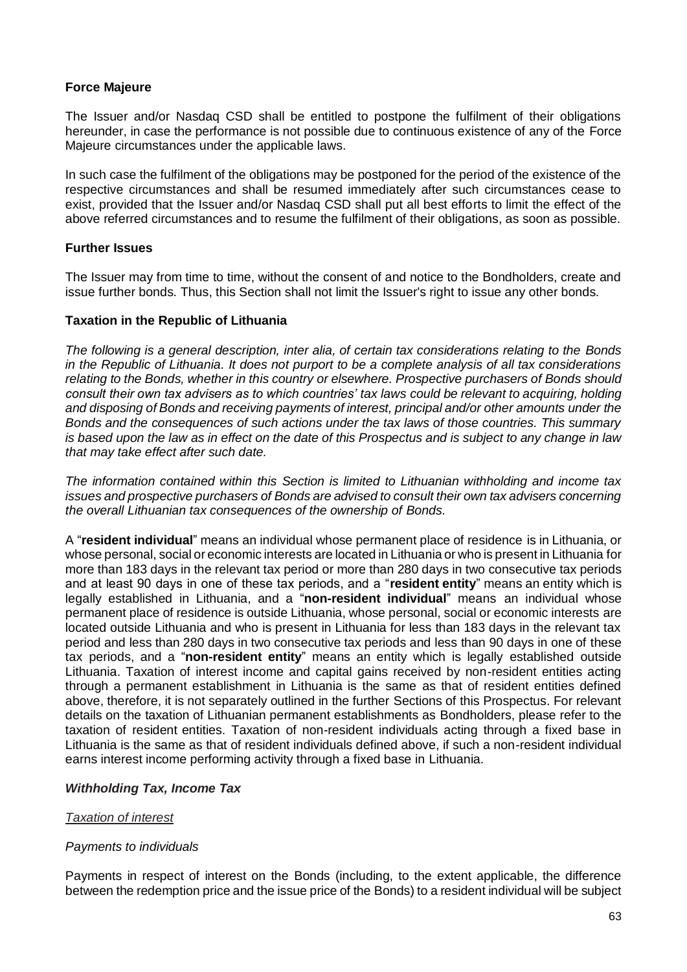### **Force Majeure**

The Issuer and/or Nasdaq CSD shall be entitled to postpone the fulfilment of their obligations hereunder, in case the performance is not possible due to continuous existence of any of the Force Majeure circumstances under the applicable laws.

In such case the fulfilment of the obligations may be postponed for the period of the existence of the respective circumstances and shall be resumed immediately after such circumstances cease to exist, provided that the Issuer and/or Nasdaq CSD shall put all best efforts to limit the effect of the above referred circumstances and to resume the fulfilment of their obligations, as soon as possible.

## **Further Issues**

The Issuer may from time to time, without the consent of and notice to the Bondholders, create and issue further bonds. Thus, this Section shall not limit the Issuer's right to issue any other bonds.

## **Taxation in the Republic of Lithuania**

*The following is a general description, inter alia, of certain tax considerations relating to the Bonds in the Republic of Lithuania. It does not purport to be a complete analysis of all tax considerations relating to the Bonds, whether in this country or elsewhere. Prospective purchasers of Bonds should consult their own tax advisers as to which countries' tax laws could be relevant to acquiring, holding and disposing of Bonds and receiving payments of interest, principal and/or other amounts under the Bonds and the consequences of such actions under the tax laws of those countries. This summary* is based upon the law as in effect on the date of this Prospectus and is subject to any change in law *that may take effect after such date.*

*The information contained within this Section is limited to Lithuanian withholding and income tax issues and prospective purchasers of Bonds are advised to consult their own tax advisers concerning the overall Lithuanian tax consequences of the ownership of Bonds.*

A "**resident individual**" means an individual whose permanent place of residence is in Lithuania, or whose personal, social or economic interests are located in Lithuania or who is present in Lithuania for more than 183 days in the relevant tax period or more than 280 days in two consecutive tax periods and at least 90 days in one of these tax periods, and a "**resident entity**" means an entity which is legally established in Lithuania, and a "**non-resident individual**" means an individual whose permanent place of residence is outside Lithuania, whose personal, social or economic interests are located outside Lithuania and who is present in Lithuania for less than 183 days in the relevant tax period and less than 280 days in two consecutive tax periods and less than 90 days in one of these tax periods, and a "**non-resident entity**" means an entity which is legally established outside Lithuania. Taxation of interest income and capital gains received by non-resident entities acting through a permanent establishment in Lithuania is the same as that of resident entities defined above, therefore, it is not separately outlined in the further Sections of this Prospectus. For relevant details on the taxation of Lithuanian permanent establishments as Bondholders, please refer to the taxation of resident entities. Taxation of non-resident individuals acting through a fixed base in Lithuania is the same as that of resident individuals defined above, if such a non-resident individual earns interest income performing activity through a fixed base in Lithuania.

# *Withholding Tax, Income Tax*

### *Taxation of interest*

### *Payments to individuals*

Payments in respect of interest on the Bonds (including, to the extent applicable, the difference between the redemption price and the issue price of the Bonds) to a resident individual will be subject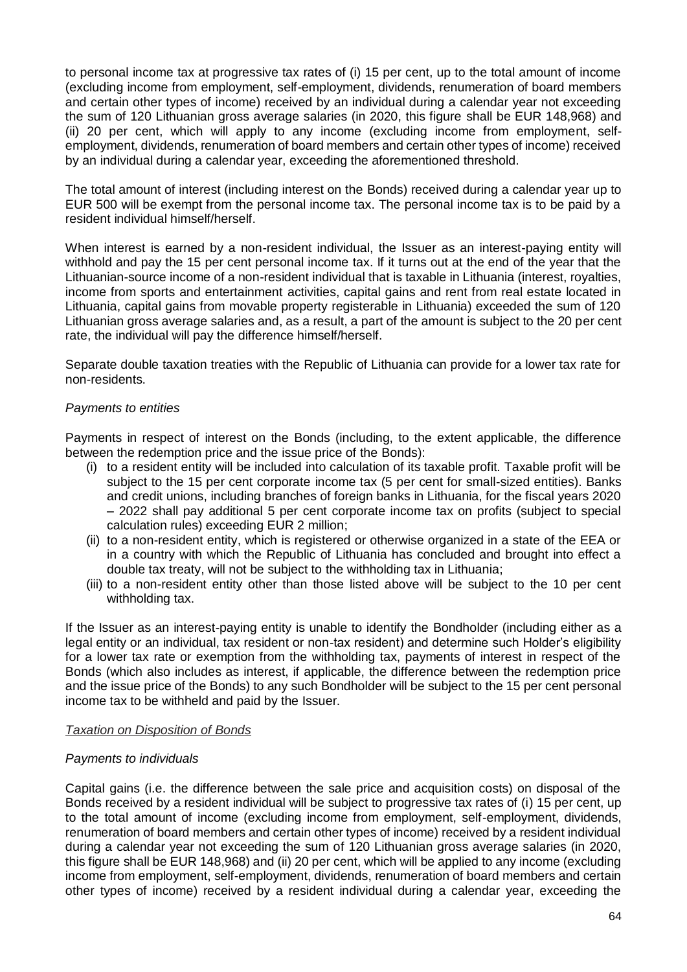to personal income tax at progressive tax rates of (i) 15 per cent, up to the total amount of income (excluding income from employment, self-employment, dividends, renumeration of board members and certain other types of income) received by an individual during a calendar year not exceeding the sum of 120 Lithuanian gross average salaries (in 2020, this figure shall be EUR 148,968) and (ii) 20 per cent, which will apply to any income (excluding income from employment, selfemployment, dividends, renumeration of board members and certain other types of income) received by an individual during a calendar year, exceeding the aforementioned threshold.

The total amount of interest (including interest on the Bonds) received during a calendar year up to EUR 500 will be exempt from the personal income tax. The personal income tax is to be paid by a resident individual himself/herself.

When interest is earned by a non-resident individual, the Issuer as an interest-paying entity will withhold and pay the 15 per cent personal income tax. If it turns out at the end of the year that the Lithuanian-source income of a non-resident individual that is taxable in Lithuania (interest, royalties, income from sports and entertainment activities, capital gains and rent from real estate located in Lithuania, capital gains from movable property registerable in Lithuania) exceeded the sum of 120 Lithuanian gross average salaries and, as a result, a part of the amount is subject to the 20 per cent rate, the individual will pay the difference himself/herself.

Separate double taxation treaties with the Republic of Lithuania can provide for a lower tax rate for non-residents.

### *Payments to entities*

Payments in respect of interest on the Bonds (including, to the extent applicable, the difference between the redemption price and the issue price of the Bonds):

- (i) to a resident entity will be included into calculation of its taxable profit. Taxable profit will be subject to the 15 per cent corporate income tax (5 per cent for small-sized entities). Banks and credit unions, including branches of foreign banks in Lithuania, for the fiscal years 2020 – 2022 shall pay additional 5 per cent corporate income tax on profits (subject to special calculation rules) exceeding EUR 2 million;
- (ii) to a non-resident entity, which is registered or otherwise organized in a state of the EEA or in a country with which the Republic of Lithuania has concluded and brought into effect a double tax treaty, will not be subject to the withholding tax in Lithuania;
- (iii) to a non-resident entity other than those listed above will be subject to the 10 per cent withholding tax.

If the Issuer as an interest-paying entity is unable to identify the Bondholder (including either as a legal entity or an individual, tax resident or non-tax resident) and determine such Holder's eligibility for a lower tax rate or exemption from the withholding tax, payments of interest in respect of the Bonds (which also includes as interest, if applicable, the difference between the redemption price and the issue price of the Bonds) to any such Bondholder will be subject to the 15 per cent personal income tax to be withheld and paid by the Issuer.

### *Taxation on Disposition of Bonds*

### *Payments to individuals*

Capital gains (i.e. the difference between the sale price and acquisition costs) on disposal of the Bonds received by a resident individual will be subject to progressive tax rates of (i) 15 per cent, up to the total amount of income (excluding income from employment, self-employment, dividends, renumeration of board members and certain other types of income) received by a resident individual during a calendar year not exceeding the sum of 120 Lithuanian gross average salaries (in 2020, this figure shall be EUR 148,968) and (ii) 20 per cent, which will be applied to any income (excluding income from employment, self-employment, dividends, renumeration of board members and certain other types of income) received by a resident individual during a calendar year, exceeding the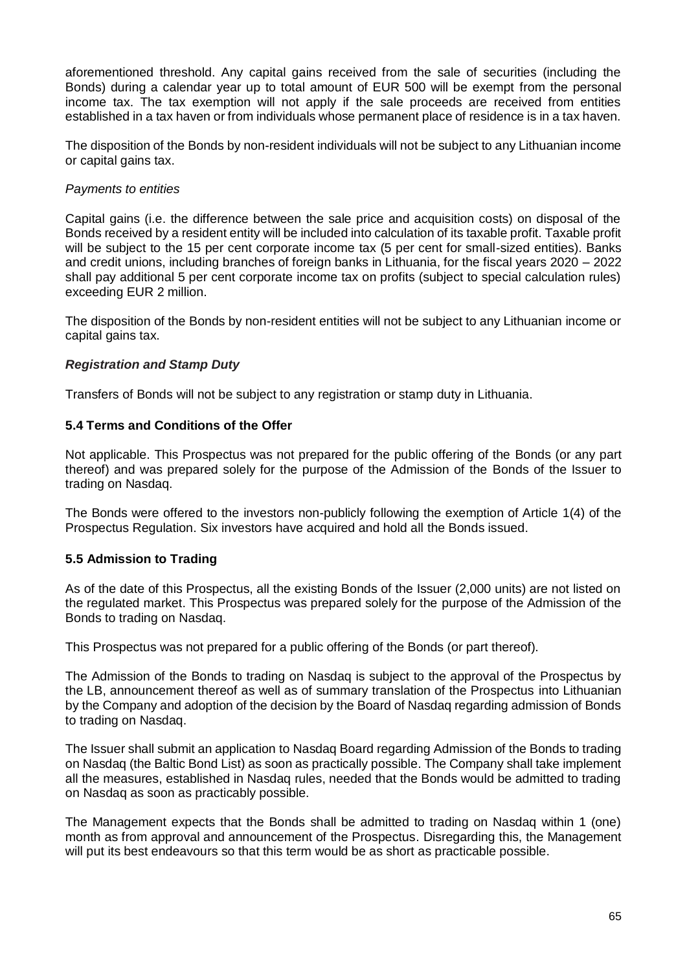aforementioned threshold. Any capital gains received from the sale of securities (including the Bonds) during a calendar year up to total amount of EUR 500 will be exempt from the personal income tax. The tax exemption will not apply if the sale proceeds are received from entities established in a tax haven or from individuals whose permanent place of residence is in a tax haven.

The disposition of the Bonds by non-resident individuals will not be subject to any Lithuanian income or capital gains tax.

## *Payments to entities*

Capital gains (i.e. the difference between the sale price and acquisition costs) on disposal of the Bonds received by a resident entity will be included into calculation of its taxable profit. Taxable profit will be subject to the 15 per cent corporate income tax (5 per cent for small-sized entities). Banks and credit unions, including branches of foreign banks in Lithuania, for the fiscal years 2020 – 2022 shall pay additional 5 per cent corporate income tax on profits (subject to special calculation rules) exceeding EUR 2 million.

The disposition of the Bonds by non-resident entities will not be subject to any Lithuanian income or capital gains tax.

## *Registration and Stamp Duty*

Transfers of Bonds will not be subject to any registration or stamp duty in Lithuania.

## <span id="page-64-0"></span>**5.4 Terms and Conditions of the Offer**

Not applicable. This Prospectus was not prepared for the public offering of the Bonds (or any part thereof) and was prepared solely for the purpose of the Admission of the Bonds of the Issuer to trading on Nasdaq.

The Bonds were offered to the investors non-publicly following the exemption of Article 1(4) of the Prospectus Regulation. Six investors have acquired and hold all the Bonds issued.

### <span id="page-64-1"></span>**5.5 Admission to Trading**

As of the date of this Prospectus, all the existing Bonds of the Issuer (2,000 units) are not listed on the regulated market. This Prospectus was prepared solely for the purpose of the Admission of the Bonds to trading on Nasdaq.

This Prospectus was not prepared for a public offering of the Bonds (or part thereof).

The Admission of the Bonds to trading on Nasdaq is subject to the approval of the Prospectus by the LB, announcement thereof as well as of summary translation of the Prospectus into Lithuanian by the Company and adoption of the decision by the Board of Nasdaq regarding admission of Bonds to trading on Nasdaq.

The Issuer shall submit an application to Nasdaq Board regarding Admission of the Bonds to trading on Nasdaq (the Baltic Bond List) as soon as practically possible. The Company shall take implement all the measures, established in Nasdaq rules, needed that the Bonds would be admitted to trading on Nasdaq as soon as practicably possible.

The Management expects that the Bonds shall be admitted to trading on Nasdaq within 1 (one) month as from approval and announcement of the Prospectus. Disregarding this, the Management will put its best endeavours so that this term would be as short as practicable possible.